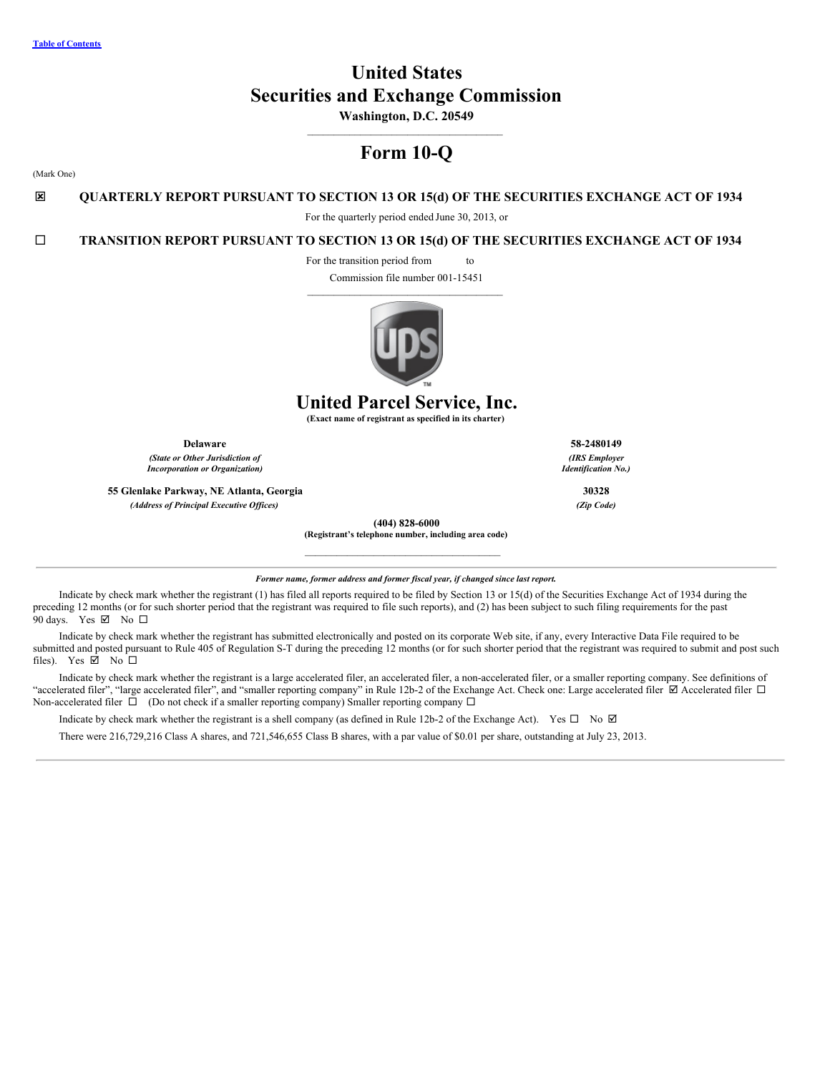# **United States Securities and Exchange Commission**

**Washington, D.C. 20549** \_\_\_\_\_\_\_\_\_\_\_\_\_\_\_\_\_\_\_\_\_\_\_\_\_\_\_\_\_\_\_\_\_\_\_\_\_

# **Form 10-Q**

(Mark One)

## ý **QUARTERLY REPORT PURSUANT TO SECTION 13 OR 15(d) OF THE SECURITIES EXCHANGE ACT OF 1934**

For the quarterly period ended June 30, 2013, or

# ¨ **TRANSITION REPORT PURSUANT TO SECTION 13 OR 15(d) OF THE SECURITIES EXCHANGE ACT OF 1934**

For the transition period from to

Commission file number 001-15451 \_\_\_\_\_\_\_\_\_\_\_\_\_\_\_\_\_\_\_\_\_\_\_\_\_\_\_\_\_\_\_\_\_\_\_\_\_



**United Parcel Service, Inc.**

**(Exact name of registrant as specified in its charter)**

**Delaware 58-2480149**

*(State or Other Jurisdiction of Incorporation or Organization)*

**55 Glenlake Parkway, NE Atlanta, Georgia 30328** *(Address of Principal Executive Of ices) (Zip Code)*

*(IRS Employer Identification No.)*

**(404) 828-6000 (Registrant's telephone number, including area code)**  $\mathcal{L}_\text{max}$  and  $\mathcal{L}_\text{max}$  and  $\mathcal{L}_\text{max}$  and  $\mathcal{L}_\text{max}$ 

*Former name, former address and former fiscal year, if changed since last report.*

Indicate by check mark whether the registrant (1) has filed all reports required to be filed by Section 13 or 15(d) of the Securities Exchange Act of 1934 during the preceding 12 months (or for such shorter period that the registrant was required to file such reports), and (2) has been subject to such filing requirements for the past 90 days. Yes  $\boxtimes$  No  $\square$ 

Indicate by check mark whether the registrant has submitted electronically and posted on its corporate Web site, if any, every Interactive Data File required to be submitted and posted pursuant to Rule 405 of Regulation S-T during the preceding 12 months (or for such shorter period that the registrant was required to submit and post such files). Yes  $\overline{\boxtimes}$  No  $\Box$ 

Indicate by check mark whether the registrant is a large accelerated filer, an accelerated filer, a non-accelerated filer, or a smaller reporting company. See definitions of "accelerated filer", "large accelerated filer", and "smaller reporting company" in Rule 12b-2 of the Exchange Act. Check one: Large accelerated filer  $\Box$  Accelerated filer  $\Box$ Non-accelerated filer  $\Box$  (Do not check if a smaller reporting company) Smaller reporting company  $\Box$ 

Indicate by check mark whether the registrant is a shell company (as defined in Rule 12b-2 of the Exchange Act). Yes  $\Box$  No  $\Box$ 

There were 216,729,216 Class A shares, and 721,546,655 Class B shares, with a par value of \$0.01 per share, outstanding at July 23, 2013.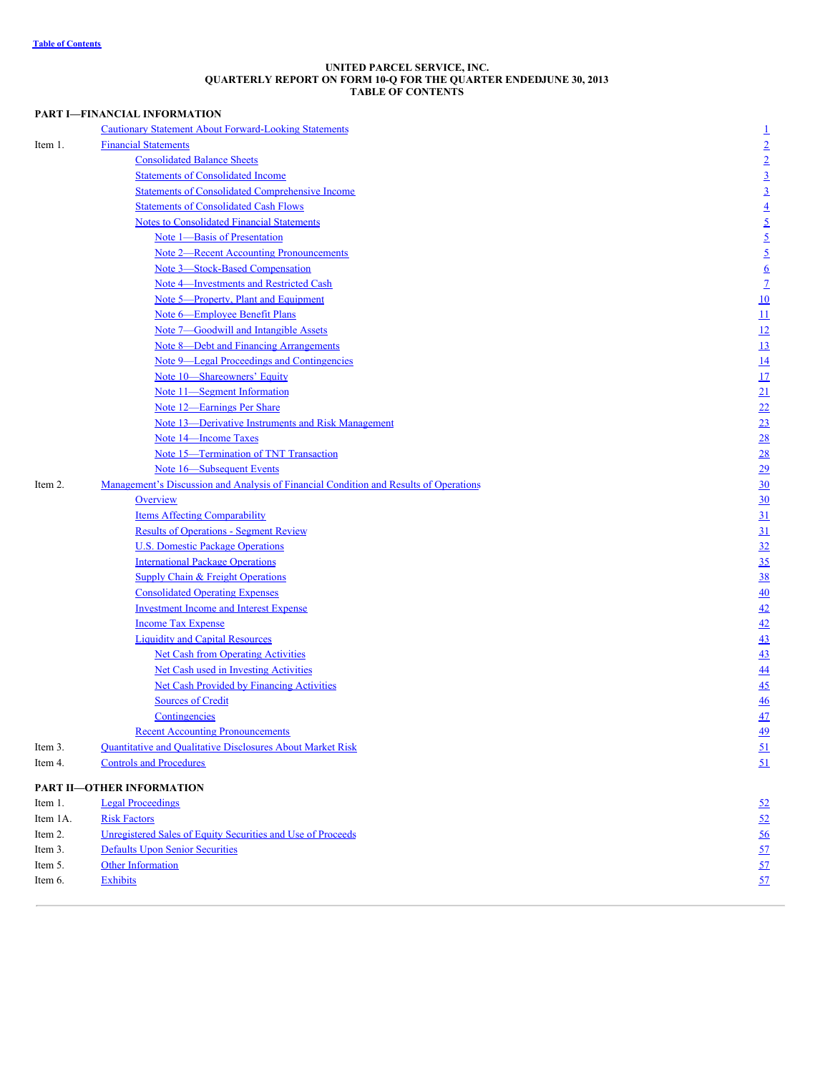### **UNITED PARCEL SERVICE, INC. QUARTERLY REPORT ON FORM 10-Q FOR THE QUARTER ENDEDJUNE 30, 2013 TABLE OF CONTENTS**

<span id="page-1-0"></span>

|          | PART I-FINANCIAL INFORMATION                                                          |                             |
|----------|---------------------------------------------------------------------------------------|-----------------------------|
|          | <b>Cautionary Statement About Forward-Looking Statements</b>                          | $\overline{1}$              |
| Item 1.  | <b>Financial Statements</b>                                                           | $\overline{2}$              |
|          | <b>Consolidated Balance Sheets</b>                                                    | $\overline{2}$              |
|          | <b>Statements of Consolidated Income</b>                                              | $\overline{3}$              |
|          | <b>Statements of Consolidated Comprehensive Income</b>                                | $\overline{3}$              |
|          | <b>Statements of Consolidated Cash Flows</b>                                          |                             |
|          | <b>Notes to Consolidated Financial Statements</b>                                     |                             |
|          | Note 1-Basis of Presentation                                                          | $\frac{4}{5}$ $\frac{5}{5}$ |
|          | <b>Note 2—Recent Accounting Pronouncements</b>                                        |                             |
|          | Note 3-Stock-Based Compensation                                                       |                             |
|          | Note 4-Investments and Restricted Cash                                                | $rac{6}{7}$                 |
|          | Note 5—Property, Plant and Equipment                                                  | 10                          |
|          | Note 6—Employee Benefit Plans                                                         | $\underline{11}$            |
|          | Note 7-Goodwill and Intangible Assets                                                 | 12                          |
|          | <b>Note 8-Debt and Financing Arrangements</b>                                         | 13                          |
|          | Note 9—Legal Proceedings and Contingencies                                            | 14                          |
|          | Note 10-Shareowners' Equity                                                           | 17                          |
|          | Note 11-Segment Information                                                           | 21                          |
|          | Note 12-Earnings Per Share                                                            | $\overline{22}$             |
|          | Note 13—Derivative Instruments and Risk Management                                    | 23                          |
|          | Note 14—Income Taxes                                                                  | 28                          |
|          | Note 15-Termination of TNT Transaction                                                | $\overline{28}$             |
|          | Note 16—Subsequent Events                                                             | $\overline{29}$             |
| Item 2.  | Management's Discussion and Analysis of Financial Condition and Results of Operations | $\frac{30}{50}$             |
|          | Overview                                                                              | $\underline{30}$            |
|          | <b>Items Affecting Comparability</b>                                                  | 31                          |
|          | <b>Results of Operations - Segment Review</b>                                         | 31                          |
|          | <b>U.S. Domestic Package Operations</b>                                               | $\overline{32}$             |
|          | <b>International Package Operations</b>                                               | 35                          |
|          | Supply Chain & Freight Operations                                                     | 38                          |
|          | <b>Consolidated Operating Expenses</b>                                                | $\underline{40}$            |
|          | <b>Investment Income and Interest Expense</b>                                         | 42                          |
|          | <b>Income Tax Expense</b>                                                             | 42                          |
|          | <b>Liquidity and Capital Resources</b>                                                | 43                          |
|          | <b>Net Cash from Operating Activities</b>                                             | 43                          |
|          | <b>Net Cash used in Investing Activities</b>                                          | $\overline{44}$             |
|          | <b>Net Cash Provided by Financing Activities</b>                                      | 45                          |
|          | <b>Sources of Credit</b>                                                              | 46                          |
|          | Contingencies                                                                         | 47                          |
|          | <b>Recent Accounting Pronouncements</b>                                               | $\frac{49}{5}$              |
| Item 3.  | <b>Quantitative and Qualitative Disclosures About Market Risk</b>                     | 51                          |
| Item 4.  | <b>Controls and Procedures</b>                                                        | 51                          |
|          |                                                                                       |                             |
|          | <b>PART II-OTHER INFORMATION</b>                                                      |                             |
| Item 1.  | <b>Legal Proceedings</b>                                                              | 52                          |
| Item 1A. | <b>Risk Factors</b>                                                                   | 52                          |
| Item 2.  | Unregistered Sales of Equity Securities and Use of Proceeds                           | 56                          |
| Item 3.  | <b>Defaults Upon Senior Securities</b>                                                | 57                          |
| Item 5.  | <b>Other Information</b>                                                              | 57                          |
| Item 6.  | <b>Exhibits</b>                                                                       | 57                          |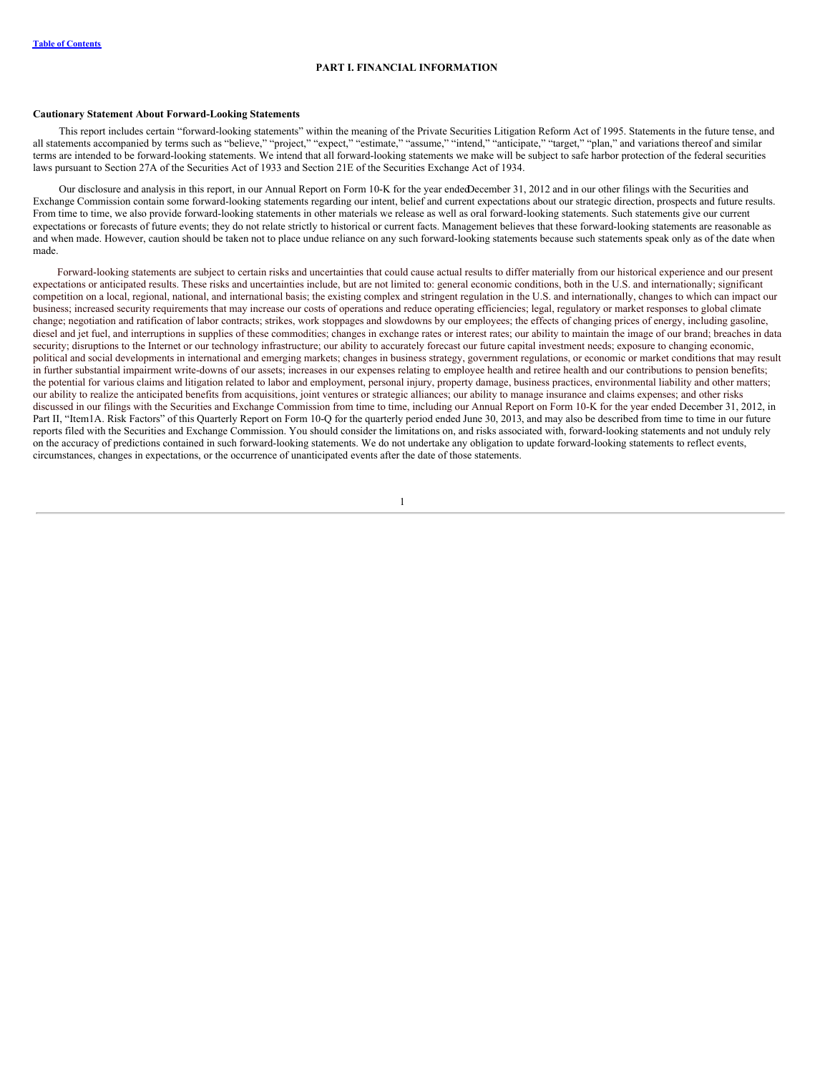### **PART I. FINANCIAL INFORMATION**

### <span id="page-2-0"></span>**Cautionary Statement About Forward-Looking Statements**

This report includes certain "forward-looking statements" within the meaning of the Private Securities Litigation Reform Act of 1995. Statements in the future tense, and all statements accompanied by terms such as "believe," "project," "expect," "estimate," "assume," "intend," "anticipate," "target," "plan," and variations thereof and similar terms are intended to be forward-looking statements. We intend that all forward-looking statements we make will be subject to safe harbor protection of the federal securities laws pursuant to Section 27A of the Securities Act of 1933 and Section 21E of the Securities Exchange Act of 1934.

Our disclosure and analysis in this report, in our Annual Report on Form 10-K for the year endedDecember 31, 2012 and in our other filings with the Securities and Exchange Commission contain some forward-looking statements regarding our intent, belief and current expectations about our strategic direction, prospects and future results. From time to time, we also provide forward-looking statements in other materials we release as well as oral forward-looking statements. Such statements give our current expectations or forecasts of future events; they do not relate strictly to historical or current facts. Management believes that these forward-looking statements are reasonable as and when made. However, caution should be taken not to place undue reliance on any such forward-looking statements because such statements speak only as of the date when made.

Forward-looking statements are subject to certain risks and uncertainties that could cause actual results to differ materially from our historical experience and our present expectations or anticipated results. These risks and uncertainties include, but are not limited to: general economic conditions, both in the U.S. and internationally; significant competition on a local, regional, national, and international basis; the existing complex and stringent regulation in the U.S. and internationally, changes to which can impact our business; increased security requirements that may increase our costs of operations and reduce operating efficiencies; legal, regulatory or market responses to global climate change; negotiation and ratification of labor contracts; strikes, work stoppages and slowdowns by our employees; the effects of changing prices of energy, including gasoline, diesel and jet fuel, and interruptions in supplies of these commodities; changes in exchange rates or interest rates; our ability to maintain the image of our brand; breaches in data security; disruptions to the Internet or our technology infrastructure; our ability to accurately forecast our future capital investment needs; exposure to changing economic, political and social developments in international and emerging markets; changes in business strategy, government regulations, or economic or market conditions that may result in further substantial impairment write-downs of our assets; increases in our expenses relating to employee health and retiree health and our contributions to pension benefits; the potential for various claims and litigation related to labor and employment, personal injury, property damage, business practices, environmental liability and other matters; our ability to realize the anticipated benefits from acquisitions, joint ventures or strategic alliances; our ability to manage insurance and claims expenses; and other risks discussed in our filings with the Securities and Exchange Commission from time to time, including our Annual Report on Form 10-K for the year ended December 31, 2012, in Part II, "Item1A. Risk Factors" of this Quarterly Report on Form 10-Q for the quarterly period ended June 30, 2013, and may also be described from time to time in our future reports filed with the Securities and Exchange Commission. You should consider the limitations on, and risks associated with, forward-looking statements and not unduly rely on the accuracy of predictions contained in such forward-looking statements. We do not undertake any obligation to update forward-looking statements to reflect events, circumstances, changes in expectations, or the occurrence of unanticipated events after the date of those statements.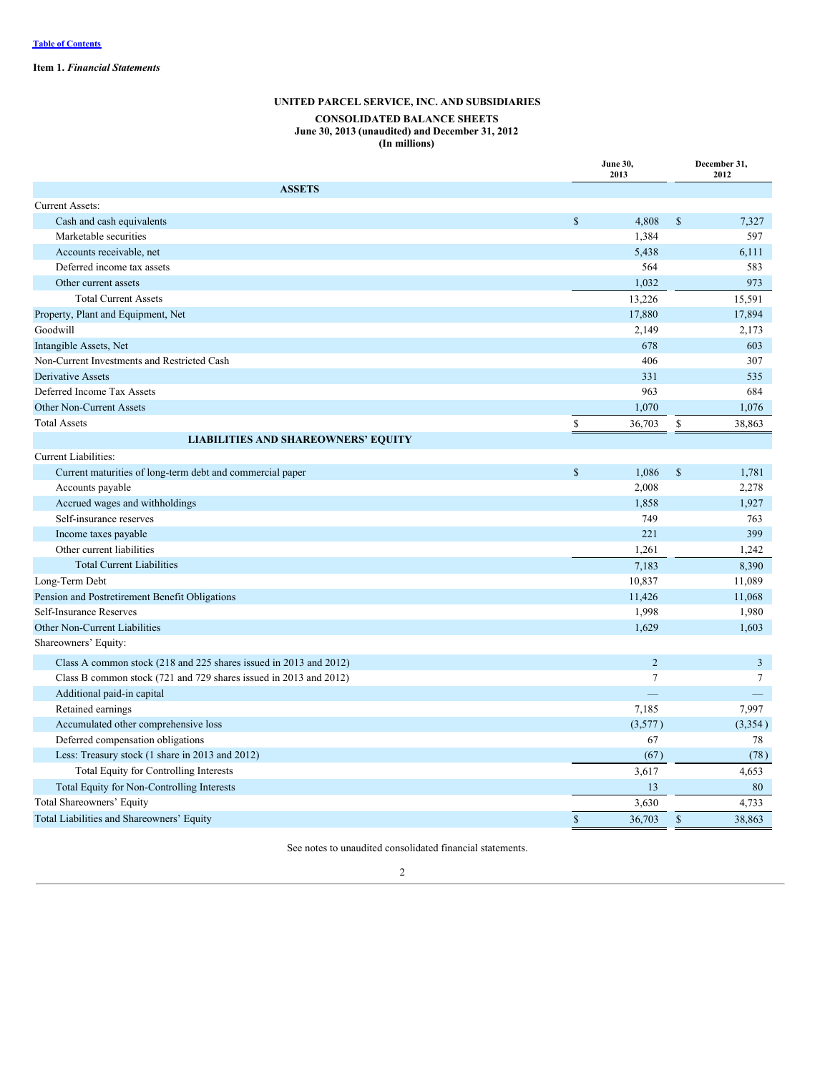<span id="page-3-1"></span><span id="page-3-0"></span>**Item 1.** *Financial Statements*

# **UNITED PARCEL SERVICE, INC. AND SUBSIDIARIES CONSOLIDATED BALANCE SHEETS June 30, 2013 (unaudited) and December 31, 2012 (In millions)**

| <b>ASSETS</b><br><b>Current Assets:</b><br>$\mathbb{S}$<br>4.808<br>$\mathbb{S}$<br>Cash and cash equivalents<br>7,327<br>1,384<br>597<br>Marketable securities<br>Accounts receivable, net<br>5,438<br>6,111<br>564<br>Deferred income tax assets<br>583<br>1,032<br>973<br>Other current assets<br><b>Total Current Assets</b><br>13,226<br>15,591<br>17,894<br>Property, Plant and Equipment, Net<br>17,880<br>Goodwill<br>2,149<br>2,173<br>Intangible Assets, Net<br>678<br>603<br>Non-Current Investments and Restricted Cash<br>406<br>307<br><b>Derivative Assets</b><br>331<br>535<br>963<br>Deferred Income Tax Assets<br>684<br><b>Other Non-Current Assets</b><br>1,070<br>1,076<br>$\mathbb S$<br><b>Total Assets</b><br>\$<br>36,703<br>38,863<br><b>LIABILITIES AND SHAREOWNERS' EQUITY</b><br><b>Current Liabilities:</b><br>Current maturities of long-term debt and commercial paper<br>\$<br>1,086<br>$\mathbb{S}$<br>1,781<br>Accounts payable<br>2,008<br>2,278<br>Accrued wages and withholdings<br>1,858<br>1,927<br>749<br>763<br>Self-insurance reserves<br>221<br>399<br>Income taxes payable<br>Other current liabilities<br>1,261<br>1,242<br><b>Total Current Liabilities</b><br>7,183<br>8,390<br>10,837<br>11,089<br>Long-Term Debt<br>Pension and Postretirement Benefit Obligations<br>11,426<br>11,068<br><b>Self-Insurance Reserves</b><br>1,998<br>1,980<br>Other Non-Current Liabilities<br>1,629<br>1,603<br>Shareowners' Equity:<br>$\overline{2}$<br>Class A common stock (218 and 225 shares issued in 2013 and 2012)<br>$\mathfrak{Z}$<br>$\overline{7}$<br>$\overline{7}$<br>Class B common stock (721 and 729 shares issued in 2013 and 2012)<br>Additional paid-in capital<br>$\overline{\phantom{0}}$<br>—<br>7,185<br>7,997<br>Retained earnings<br>Accumulated other comprehensive loss<br>(3,577)<br>(3,354)<br>Deferred compensation obligations<br>67<br>78<br>Less: Treasury stock (1 share in 2013 and 2012)<br>(67)<br>(78)<br>Total Equity for Controlling Interests<br>3,617<br>4,653<br>80<br>Total Equity for Non-Controlling Interests<br>13<br>Total Shareowners' Equity<br>3,630<br>4,733 |                                           |             | June 30,<br>2013 | December 31,<br>2012 |        |
|--------------------------------------------------------------------------------------------------------------------------------------------------------------------------------------------------------------------------------------------------------------------------------------------------------------------------------------------------------------------------------------------------------------------------------------------------------------------------------------------------------------------------------------------------------------------------------------------------------------------------------------------------------------------------------------------------------------------------------------------------------------------------------------------------------------------------------------------------------------------------------------------------------------------------------------------------------------------------------------------------------------------------------------------------------------------------------------------------------------------------------------------------------------------------------------------------------------------------------------------------------------------------------------------------------------------------------------------------------------------------------------------------------------------------------------------------------------------------------------------------------------------------------------------------------------------------------------------------------------------------------------------------------------------------------------------------------------------------------------------------------------------------------------------------------------------------------------------------------------------------------------------------------------------------------------------------------------------------------------------------------------------------------------------------------------------------------------------------------------------------------------------------------|-------------------------------------------|-------------|------------------|----------------------|--------|
|                                                                                                                                                                                                                                                                                                                                                                                                                                                                                                                                                                                                                                                                                                                                                                                                                                                                                                                                                                                                                                                                                                                                                                                                                                                                                                                                                                                                                                                                                                                                                                                                                                                                                                                                                                                                                                                                                                                                                                                                                                                                                                                                                        |                                           |             |                  |                      |        |
|                                                                                                                                                                                                                                                                                                                                                                                                                                                                                                                                                                                                                                                                                                                                                                                                                                                                                                                                                                                                                                                                                                                                                                                                                                                                                                                                                                                                                                                                                                                                                                                                                                                                                                                                                                                                                                                                                                                                                                                                                                                                                                                                                        |                                           |             |                  |                      |        |
|                                                                                                                                                                                                                                                                                                                                                                                                                                                                                                                                                                                                                                                                                                                                                                                                                                                                                                                                                                                                                                                                                                                                                                                                                                                                                                                                                                                                                                                                                                                                                                                                                                                                                                                                                                                                                                                                                                                                                                                                                                                                                                                                                        |                                           |             |                  |                      |        |
|                                                                                                                                                                                                                                                                                                                                                                                                                                                                                                                                                                                                                                                                                                                                                                                                                                                                                                                                                                                                                                                                                                                                                                                                                                                                                                                                                                                                                                                                                                                                                                                                                                                                                                                                                                                                                                                                                                                                                                                                                                                                                                                                                        |                                           |             |                  |                      |        |
|                                                                                                                                                                                                                                                                                                                                                                                                                                                                                                                                                                                                                                                                                                                                                                                                                                                                                                                                                                                                                                                                                                                                                                                                                                                                                                                                                                                                                                                                                                                                                                                                                                                                                                                                                                                                                                                                                                                                                                                                                                                                                                                                                        |                                           |             |                  |                      |        |
|                                                                                                                                                                                                                                                                                                                                                                                                                                                                                                                                                                                                                                                                                                                                                                                                                                                                                                                                                                                                                                                                                                                                                                                                                                                                                                                                                                                                                                                                                                                                                                                                                                                                                                                                                                                                                                                                                                                                                                                                                                                                                                                                                        |                                           |             |                  |                      |        |
|                                                                                                                                                                                                                                                                                                                                                                                                                                                                                                                                                                                                                                                                                                                                                                                                                                                                                                                                                                                                                                                                                                                                                                                                                                                                                                                                                                                                                                                                                                                                                                                                                                                                                                                                                                                                                                                                                                                                                                                                                                                                                                                                                        |                                           |             |                  |                      |        |
|                                                                                                                                                                                                                                                                                                                                                                                                                                                                                                                                                                                                                                                                                                                                                                                                                                                                                                                                                                                                                                                                                                                                                                                                                                                                                                                                                                                                                                                                                                                                                                                                                                                                                                                                                                                                                                                                                                                                                                                                                                                                                                                                                        |                                           |             |                  |                      |        |
|                                                                                                                                                                                                                                                                                                                                                                                                                                                                                                                                                                                                                                                                                                                                                                                                                                                                                                                                                                                                                                                                                                                                                                                                                                                                                                                                                                                                                                                                                                                                                                                                                                                                                                                                                                                                                                                                                                                                                                                                                                                                                                                                                        |                                           |             |                  |                      |        |
|                                                                                                                                                                                                                                                                                                                                                                                                                                                                                                                                                                                                                                                                                                                                                                                                                                                                                                                                                                                                                                                                                                                                                                                                                                                                                                                                                                                                                                                                                                                                                                                                                                                                                                                                                                                                                                                                                                                                                                                                                                                                                                                                                        |                                           |             |                  |                      |        |
|                                                                                                                                                                                                                                                                                                                                                                                                                                                                                                                                                                                                                                                                                                                                                                                                                                                                                                                                                                                                                                                                                                                                                                                                                                                                                                                                                                                                                                                                                                                                                                                                                                                                                                                                                                                                                                                                                                                                                                                                                                                                                                                                                        |                                           |             |                  |                      |        |
|                                                                                                                                                                                                                                                                                                                                                                                                                                                                                                                                                                                                                                                                                                                                                                                                                                                                                                                                                                                                                                                                                                                                                                                                                                                                                                                                                                                                                                                                                                                                                                                                                                                                                                                                                                                                                                                                                                                                                                                                                                                                                                                                                        |                                           |             |                  |                      |        |
|                                                                                                                                                                                                                                                                                                                                                                                                                                                                                                                                                                                                                                                                                                                                                                                                                                                                                                                                                                                                                                                                                                                                                                                                                                                                                                                                                                                                                                                                                                                                                                                                                                                                                                                                                                                                                                                                                                                                                                                                                                                                                                                                                        |                                           |             |                  |                      |        |
|                                                                                                                                                                                                                                                                                                                                                                                                                                                                                                                                                                                                                                                                                                                                                                                                                                                                                                                                                                                                                                                                                                                                                                                                                                                                                                                                                                                                                                                                                                                                                                                                                                                                                                                                                                                                                                                                                                                                                                                                                                                                                                                                                        |                                           |             |                  |                      |        |
|                                                                                                                                                                                                                                                                                                                                                                                                                                                                                                                                                                                                                                                                                                                                                                                                                                                                                                                                                                                                                                                                                                                                                                                                                                                                                                                                                                                                                                                                                                                                                                                                                                                                                                                                                                                                                                                                                                                                                                                                                                                                                                                                                        |                                           |             |                  |                      |        |
|                                                                                                                                                                                                                                                                                                                                                                                                                                                                                                                                                                                                                                                                                                                                                                                                                                                                                                                                                                                                                                                                                                                                                                                                                                                                                                                                                                                                                                                                                                                                                                                                                                                                                                                                                                                                                                                                                                                                                                                                                                                                                                                                                        |                                           |             |                  |                      |        |
|                                                                                                                                                                                                                                                                                                                                                                                                                                                                                                                                                                                                                                                                                                                                                                                                                                                                                                                                                                                                                                                                                                                                                                                                                                                                                                                                                                                                                                                                                                                                                                                                                                                                                                                                                                                                                                                                                                                                                                                                                                                                                                                                                        |                                           |             |                  |                      |        |
|                                                                                                                                                                                                                                                                                                                                                                                                                                                                                                                                                                                                                                                                                                                                                                                                                                                                                                                                                                                                                                                                                                                                                                                                                                                                                                                                                                                                                                                                                                                                                                                                                                                                                                                                                                                                                                                                                                                                                                                                                                                                                                                                                        |                                           |             |                  |                      |        |
|                                                                                                                                                                                                                                                                                                                                                                                                                                                                                                                                                                                                                                                                                                                                                                                                                                                                                                                                                                                                                                                                                                                                                                                                                                                                                                                                                                                                                                                                                                                                                                                                                                                                                                                                                                                                                                                                                                                                                                                                                                                                                                                                                        |                                           |             |                  |                      |        |
|                                                                                                                                                                                                                                                                                                                                                                                                                                                                                                                                                                                                                                                                                                                                                                                                                                                                                                                                                                                                                                                                                                                                                                                                                                                                                                                                                                                                                                                                                                                                                                                                                                                                                                                                                                                                                                                                                                                                                                                                                                                                                                                                                        |                                           |             |                  |                      |        |
|                                                                                                                                                                                                                                                                                                                                                                                                                                                                                                                                                                                                                                                                                                                                                                                                                                                                                                                                                                                                                                                                                                                                                                                                                                                                                                                                                                                                                                                                                                                                                                                                                                                                                                                                                                                                                                                                                                                                                                                                                                                                                                                                                        |                                           |             |                  |                      |        |
|                                                                                                                                                                                                                                                                                                                                                                                                                                                                                                                                                                                                                                                                                                                                                                                                                                                                                                                                                                                                                                                                                                                                                                                                                                                                                                                                                                                                                                                                                                                                                                                                                                                                                                                                                                                                                                                                                                                                                                                                                                                                                                                                                        |                                           |             |                  |                      |        |
|                                                                                                                                                                                                                                                                                                                                                                                                                                                                                                                                                                                                                                                                                                                                                                                                                                                                                                                                                                                                                                                                                                                                                                                                                                                                                                                                                                                                                                                                                                                                                                                                                                                                                                                                                                                                                                                                                                                                                                                                                                                                                                                                                        |                                           |             |                  |                      |        |
|                                                                                                                                                                                                                                                                                                                                                                                                                                                                                                                                                                                                                                                                                                                                                                                                                                                                                                                                                                                                                                                                                                                                                                                                                                                                                                                                                                                                                                                                                                                                                                                                                                                                                                                                                                                                                                                                                                                                                                                                                                                                                                                                                        |                                           |             |                  |                      |        |
|                                                                                                                                                                                                                                                                                                                                                                                                                                                                                                                                                                                                                                                                                                                                                                                                                                                                                                                                                                                                                                                                                                                                                                                                                                                                                                                                                                                                                                                                                                                                                                                                                                                                                                                                                                                                                                                                                                                                                                                                                                                                                                                                                        |                                           |             |                  |                      |        |
|                                                                                                                                                                                                                                                                                                                                                                                                                                                                                                                                                                                                                                                                                                                                                                                                                                                                                                                                                                                                                                                                                                                                                                                                                                                                                                                                                                                                                                                                                                                                                                                                                                                                                                                                                                                                                                                                                                                                                                                                                                                                                                                                                        |                                           |             |                  |                      |        |
|                                                                                                                                                                                                                                                                                                                                                                                                                                                                                                                                                                                                                                                                                                                                                                                                                                                                                                                                                                                                                                                                                                                                                                                                                                                                                                                                                                                                                                                                                                                                                                                                                                                                                                                                                                                                                                                                                                                                                                                                                                                                                                                                                        |                                           |             |                  |                      |        |
|                                                                                                                                                                                                                                                                                                                                                                                                                                                                                                                                                                                                                                                                                                                                                                                                                                                                                                                                                                                                                                                                                                                                                                                                                                                                                                                                                                                                                                                                                                                                                                                                                                                                                                                                                                                                                                                                                                                                                                                                                                                                                                                                                        |                                           |             |                  |                      |        |
|                                                                                                                                                                                                                                                                                                                                                                                                                                                                                                                                                                                                                                                                                                                                                                                                                                                                                                                                                                                                                                                                                                                                                                                                                                                                                                                                                                                                                                                                                                                                                                                                                                                                                                                                                                                                                                                                                                                                                                                                                                                                                                                                                        |                                           |             |                  |                      |        |
|                                                                                                                                                                                                                                                                                                                                                                                                                                                                                                                                                                                                                                                                                                                                                                                                                                                                                                                                                                                                                                                                                                                                                                                                                                                                                                                                                                                                                                                                                                                                                                                                                                                                                                                                                                                                                                                                                                                                                                                                                                                                                                                                                        |                                           |             |                  |                      |        |
|                                                                                                                                                                                                                                                                                                                                                                                                                                                                                                                                                                                                                                                                                                                                                                                                                                                                                                                                                                                                                                                                                                                                                                                                                                                                                                                                                                                                                                                                                                                                                                                                                                                                                                                                                                                                                                                                                                                                                                                                                                                                                                                                                        |                                           |             |                  |                      |        |
|                                                                                                                                                                                                                                                                                                                                                                                                                                                                                                                                                                                                                                                                                                                                                                                                                                                                                                                                                                                                                                                                                                                                                                                                                                                                                                                                                                                                                                                                                                                                                                                                                                                                                                                                                                                                                                                                                                                                                                                                                                                                                                                                                        |                                           |             |                  |                      |        |
|                                                                                                                                                                                                                                                                                                                                                                                                                                                                                                                                                                                                                                                                                                                                                                                                                                                                                                                                                                                                                                                                                                                                                                                                                                                                                                                                                                                                                                                                                                                                                                                                                                                                                                                                                                                                                                                                                                                                                                                                                                                                                                                                                        |                                           |             |                  |                      |        |
|                                                                                                                                                                                                                                                                                                                                                                                                                                                                                                                                                                                                                                                                                                                                                                                                                                                                                                                                                                                                                                                                                                                                                                                                                                                                                                                                                                                                                                                                                                                                                                                                                                                                                                                                                                                                                                                                                                                                                                                                                                                                                                                                                        |                                           |             |                  |                      |        |
|                                                                                                                                                                                                                                                                                                                                                                                                                                                                                                                                                                                                                                                                                                                                                                                                                                                                                                                                                                                                                                                                                                                                                                                                                                                                                                                                                                                                                                                                                                                                                                                                                                                                                                                                                                                                                                                                                                                                                                                                                                                                                                                                                        |                                           |             |                  |                      |        |
|                                                                                                                                                                                                                                                                                                                                                                                                                                                                                                                                                                                                                                                                                                                                                                                                                                                                                                                                                                                                                                                                                                                                                                                                                                                                                                                                                                                                                                                                                                                                                                                                                                                                                                                                                                                                                                                                                                                                                                                                                                                                                                                                                        |                                           |             |                  |                      |        |
|                                                                                                                                                                                                                                                                                                                                                                                                                                                                                                                                                                                                                                                                                                                                                                                                                                                                                                                                                                                                                                                                                                                                                                                                                                                                                                                                                                                                                                                                                                                                                                                                                                                                                                                                                                                                                                                                                                                                                                                                                                                                                                                                                        |                                           |             |                  |                      |        |
|                                                                                                                                                                                                                                                                                                                                                                                                                                                                                                                                                                                                                                                                                                                                                                                                                                                                                                                                                                                                                                                                                                                                                                                                                                                                                                                                                                                                                                                                                                                                                                                                                                                                                                                                                                                                                                                                                                                                                                                                                                                                                                                                                        |                                           |             |                  |                      |        |
|                                                                                                                                                                                                                                                                                                                                                                                                                                                                                                                                                                                                                                                                                                                                                                                                                                                                                                                                                                                                                                                                                                                                                                                                                                                                                                                                                                                                                                                                                                                                                                                                                                                                                                                                                                                                                                                                                                                                                                                                                                                                                                                                                        |                                           |             |                  |                      |        |
|                                                                                                                                                                                                                                                                                                                                                                                                                                                                                                                                                                                                                                                                                                                                                                                                                                                                                                                                                                                                                                                                                                                                                                                                                                                                                                                                                                                                                                                                                                                                                                                                                                                                                                                                                                                                                                                                                                                                                                                                                                                                                                                                                        |                                           |             |                  |                      |        |
|                                                                                                                                                                                                                                                                                                                                                                                                                                                                                                                                                                                                                                                                                                                                                                                                                                                                                                                                                                                                                                                                                                                                                                                                                                                                                                                                                                                                                                                                                                                                                                                                                                                                                                                                                                                                                                                                                                                                                                                                                                                                                                                                                        | Total Liabilities and Shareowners' Equity | $\mathbf S$ | 36,703           | $\mathsf{\$}$        | 38,863 |

See notes to unaudited consolidated financial statements.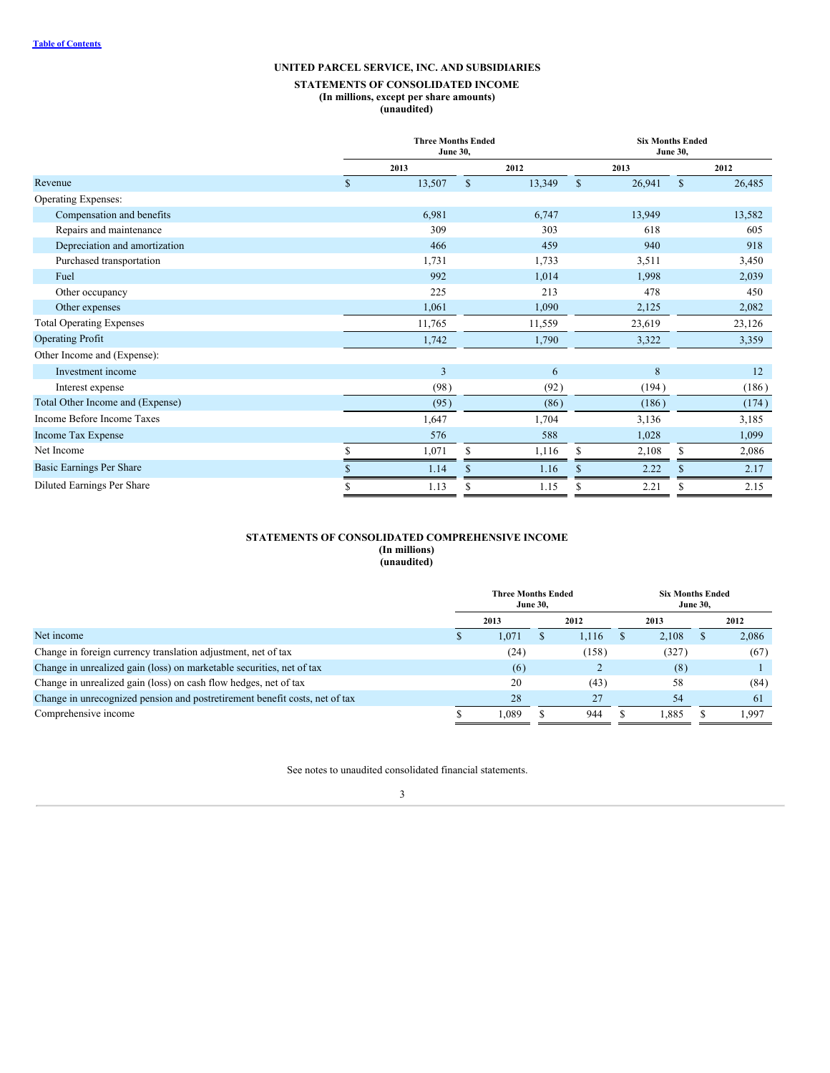# **UNITED PARCEL SERVICE, INC. AND SUBSIDIARIES**

# **STATEMENTS OF CONSOLIDATED INCOME**

**(In millions, except per share amounts) (unaudited)**

<span id="page-4-0"></span>

|                                  |              | <b>Three Months Ended</b><br><b>June 30,</b> |              |        |              | <b>Six Months Ended</b><br><b>June 30,</b> |              |        |  |
|----------------------------------|--------------|----------------------------------------------|--------------|--------|--------------|--------------------------------------------|--------------|--------|--|
|                                  |              | 2013                                         |              | 2012   |              | 2013                                       |              | 2012   |  |
| Revenue                          | $\mathbb{S}$ | 13,507                                       | $\mathbb{S}$ | 13,349 | $\mathbb{S}$ | 26,941                                     | $\mathbb{S}$ | 26,485 |  |
| <b>Operating Expenses:</b>       |              |                                              |              |        |              |                                            |              |        |  |
| Compensation and benefits        |              | 6,981                                        |              | 6,747  |              | 13,949                                     |              | 13,582 |  |
| Repairs and maintenance          |              | 309                                          |              | 303    |              | 618                                        |              | 605    |  |
| Depreciation and amortization    |              | 466                                          |              | 459    |              | 940                                        |              | 918    |  |
| Purchased transportation         |              | 1,731                                        |              | 1,733  |              | 3,511                                      |              | 3,450  |  |
| Fuel                             |              | 992                                          |              | 1,014  |              | 1,998                                      |              | 2,039  |  |
| Other occupancy                  |              | 225                                          |              | 213    |              | 478                                        |              | 450    |  |
| Other expenses                   |              | 1,061                                        |              | 1,090  |              | 2,125                                      |              | 2,082  |  |
| <b>Total Operating Expenses</b>  |              | 11,765                                       |              | 11,559 |              | 23,619                                     |              | 23,126 |  |
| <b>Operating Profit</b>          |              | 1,742                                        |              | 1,790  |              | 3,322                                      |              | 3,359  |  |
| Other Income and (Expense):      |              |                                              |              |        |              |                                            |              |        |  |
| Investment income                |              | 3                                            |              | 6      |              | 8                                          |              | 12     |  |
| Interest expense                 |              | (98)                                         |              | (92)   |              | (194)                                      |              | (186)  |  |
| Total Other Income and (Expense) |              | (95)                                         |              | (86)   |              | (186)                                      |              | (174)  |  |
| Income Before Income Taxes       |              | 1,647                                        |              | 1,704  |              | 3,136                                      |              | 3,185  |  |
| Income Tax Expense               |              | 576                                          |              | 588    |              | 1,028                                      |              | 1,099  |  |
| Net Income                       | S            | 1,071                                        | S            | 1,116  | S.           | 2,108                                      | S            | 2,086  |  |
| Basic Earnings Per Share         | S            | 1.14                                         | $\mathbb{S}$ | 1.16   | \$           | 2.22                                       | S            | 2.17   |  |
| Diluted Earnings Per Share       | \$           | 1.13                                         | S            | 1.15   | S            | 2.21                                       | S            | 2.15   |  |

## **STATEMENTS OF CONSOLIDATED COMPREHENSIVE INCOME (In millions) (unaudited)**

<span id="page-4-1"></span>

|                                                                             | <b>Three Months Ended</b><br><b>June 30,</b> |  |       |  | <b>Six Months Ended</b> | <b>June 30,</b> |       |
|-----------------------------------------------------------------------------|----------------------------------------------|--|-------|--|-------------------------|-----------------|-------|
|                                                                             | 2013                                         |  | 2012  |  | 2013                    |                 | 2012  |
| Net income                                                                  | 1,071                                        |  | 1,116 |  | 2,108                   | ъ               | 2,086 |
| Change in foreign currency translation adjustment, net of tax               | (24)                                         |  | (158) |  | (327)                   |                 | (67)  |
| Change in unrealized gain (loss) on marketable securities, net of tax       | (6)                                          |  |       |  | (8)                     |                 |       |
| Change in unrealized gain (loss) on cash flow hedges, net of tax            | 20                                           |  | (43)  |  | 58                      |                 | (84)  |
| Change in unrecognized pension and postretirement benefit costs, net of tax | 28                                           |  | 27    |  | 54                      |                 | 61    |
| Comprehensive income                                                        | 1.089                                        |  | 944   |  | 1.885                   |                 | 1.997 |

See notes to unaudited consolidated financial statements.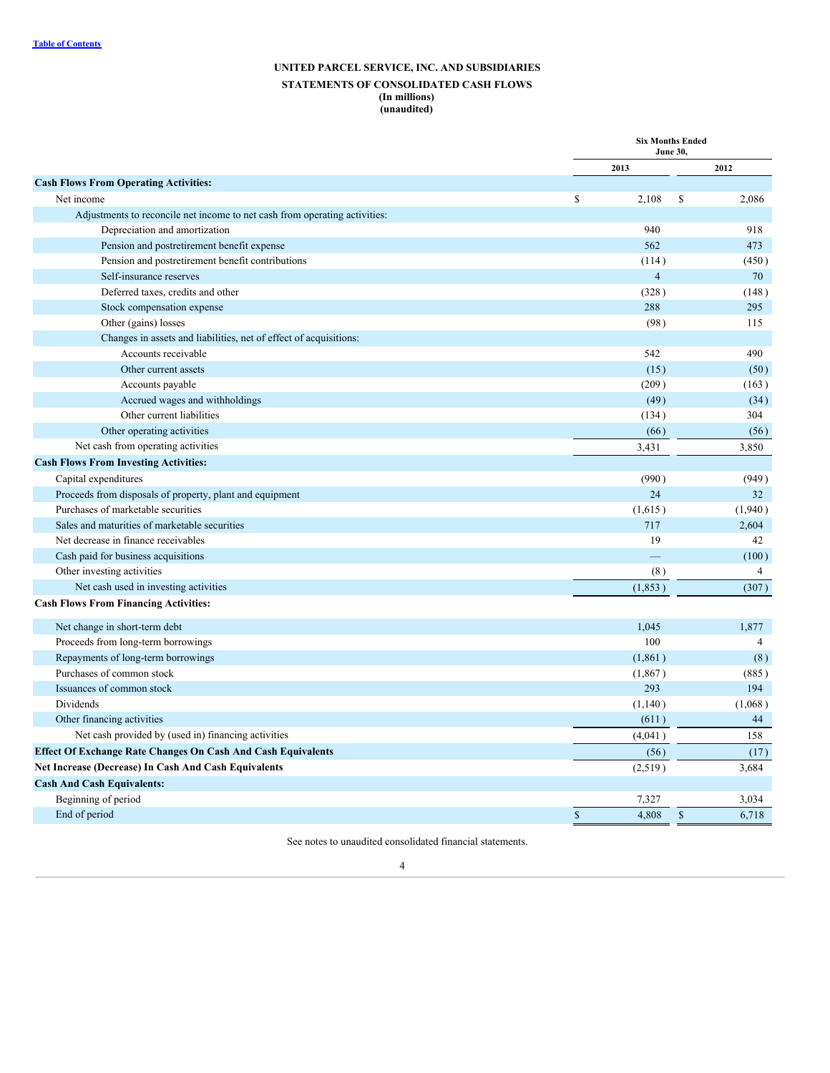# **UNITED PARCEL SERVICE, INC. AND SUBSIDIARIES STATEMENTS OF CONSOLIDATED CASH FLOWS (In millions) (unaudited)**

<span id="page-5-0"></span>

|                                                                            |                        | <b>Six Months Ended</b><br><b>June 30,</b> |                |  |
|----------------------------------------------------------------------------|------------------------|--------------------------------------------|----------------|--|
|                                                                            | 2013                   |                                            | 2012           |  |
| <b>Cash Flows From Operating Activities:</b>                               |                        |                                            |                |  |
| Net income                                                                 | \$<br>2,108            | <sup>\$</sup>                              | 2,086          |  |
| Adjustments to reconcile net income to net cash from operating activities: |                        |                                            |                |  |
| Depreciation and amortization                                              | 940                    |                                            | 918            |  |
| Pension and postretirement benefit expense                                 |                        | 562                                        | 473            |  |
| Pension and postretirement benefit contributions                           |                        | (114)                                      | (450)          |  |
| Self-insurance reserves                                                    |                        | $\overline{4}$                             | 70             |  |
| Deferred taxes, credits and other                                          |                        | (328)                                      | (148)          |  |
| Stock compensation expense                                                 |                        | 288                                        | 295            |  |
| Other (gains) losses                                                       |                        | (98)                                       | 115            |  |
| Changes in assets and liabilities, net of effect of acquisitions:          |                        |                                            |                |  |
| Accounts receivable                                                        |                        | 542                                        | 490            |  |
| Other current assets                                                       |                        | (15)                                       | (50)           |  |
| Accounts payable                                                           |                        | (209)                                      | (163)          |  |
| Accrued wages and withholdings                                             |                        | (49)                                       | (34)           |  |
| Other current liabilities                                                  |                        | (134)                                      | 304            |  |
| Other operating activities                                                 |                        | (66)                                       | (56)           |  |
| Net cash from operating activities                                         | 3,431                  |                                            | 3,850          |  |
| <b>Cash Flows From Investing Activities:</b>                               |                        |                                            |                |  |
| Capital expenditures                                                       |                        | (990)                                      | (949)          |  |
| Proceeds from disposals of property, plant and equipment                   |                        | 24                                         | 32             |  |
| Purchases of marketable securities                                         | (1,615)                |                                            | (1,940)        |  |
| Sales and maturities of marketable securities                              |                        | 717                                        | 2,604          |  |
| Net decrease in finance receivables                                        |                        | 19                                         | 42             |  |
| Cash paid for business acquisitions                                        |                        |                                            | (100)          |  |
| Other investing activities                                                 |                        | (8)                                        | $\overline{4}$ |  |
| Net cash used in investing activities                                      | (1, 853)               |                                            | (307)          |  |
| <b>Cash Flows From Financing Activities:</b>                               |                        |                                            |                |  |
| Net change in short-term debt                                              | 1,045                  |                                            | 1,877          |  |
| Proceeds from long-term borrowings                                         |                        | 100                                        | $\overline{4}$ |  |
| Repayments of long-term borrowings                                         | (1,861)                |                                            | (8)            |  |
| Purchases of common stock                                                  | (1,867)                |                                            | (885)          |  |
| Issuances of common stock                                                  |                        | 293                                        | 194            |  |
| Dividends                                                                  | (1,140)                |                                            | (1,068)        |  |
| Other financing activities                                                 |                        | (611)                                      | 44             |  |
| Net cash provided by (used in) financing activities                        | (4,041)                |                                            | 158            |  |
| <b>Effect Of Exchange Rate Changes On Cash And Cash Equivalents</b>        |                        | (56)                                       | (17)           |  |
| Net Increase (Decrease) In Cash And Cash Equivalents                       | (2,519)                |                                            | 3,684          |  |
| <b>Cash And Cash Equivalents:</b>                                          |                        |                                            |                |  |
| Beginning of period                                                        | 7,327                  |                                            | 3,034          |  |
| End of period                                                              | $\mathsf{\$}$<br>4.808 | $\mathbb{S}$                               | 6,718          |  |

See notes to unaudited consolidated financial statements.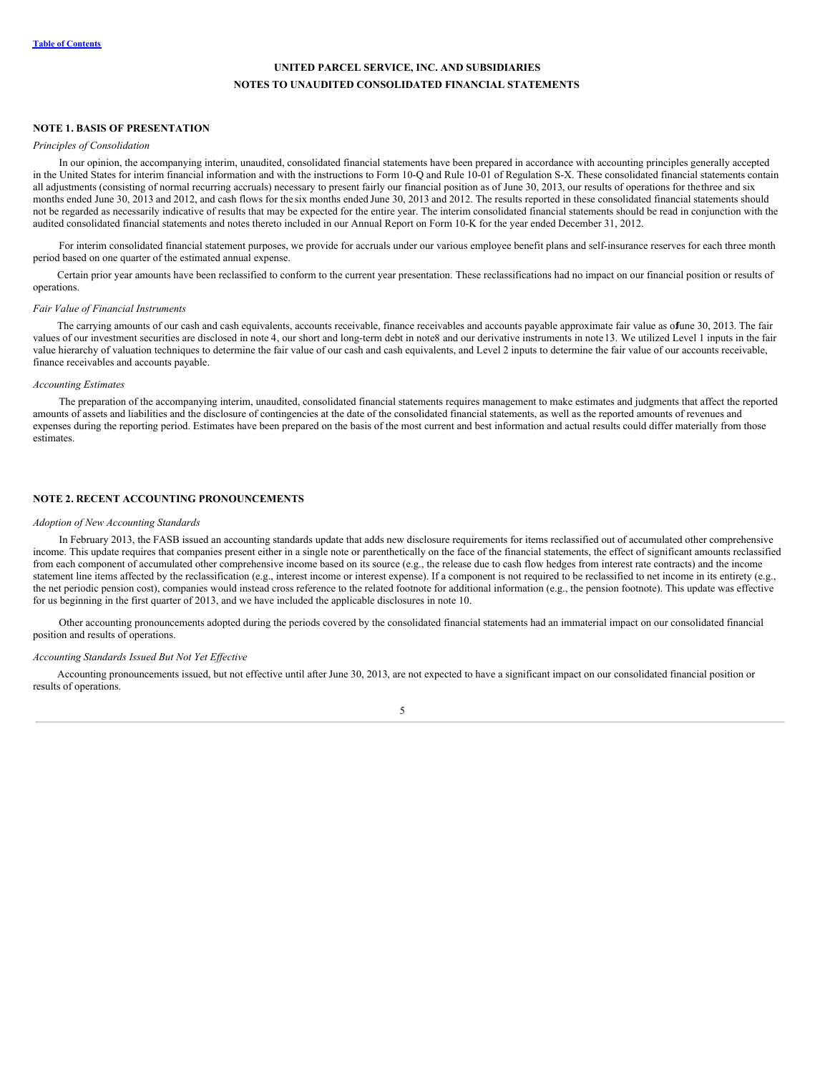### <span id="page-6-1"></span><span id="page-6-0"></span>**NOTE 1. BASIS OF PRESENTATION**

#### *Principles of Consolidation*

In our opinion, the accompanying interim, unaudited, consolidated financial statements have been prepared in accordance with accounting principles generally accepted in the United States for interim financial information and with the instructions to Form 10-Q and Rule 10-01 of Regulation S-X. These consolidated financial statements contain all adjustments (consisting of normal recurring accruals) necessary to present fairly our financial position as of June 30, 2013, our results of operations for the three and six months ended June 30, 2013 and 2012, and cash flows for the six months ended June 30, 2013 and 2012. The results reported in these consolidated financial statements should not be regarded as necessarily indicative of results that may be expected for the entire year. The interim consolidated financial statements should be read in conjunction with the audited consolidated financial statements and notes thereto included in our Annual Report on Form 10-K for the year ended December 31, 2012.

For interim consolidated financial statement purposes, we provide for accruals under our various employee benefit plans and self-insurance reserves for each three month period based on one quarter of the estimated annual expense.

Certain prior year amounts have been reclassified to conform to the current year presentation. These reclassifications had no impact on our financial position or results of operations.

#### *Fair Value of Financial Instruments*

The carrying amounts of our cash and cash equivalents, accounts receivables, finance receivables and accounts payable approximate fair value as of une 30, 2013. The fair values of our investment securities are disclosed in note 4, our short and long-term debt in note8 and our derivative instruments in note13. We utilized Level 1 inputs in the fair value hierarchy of valuation techniques to determine the fair value of our cash and cash equivalents, and Level 2 inputs to determine the fair value of our accounts receivable, finance receivables and accounts payable.

### *Accounting Estimates*

The preparation of the accompanying interim, unaudited, consolidated financial statements requires management to make estimates and judgments that affect the reported amounts of assets and liabilities and the disclosure of contingencies at the date of the consolidated financial statements, as well as the reported amounts of revenues and expenses during the reporting period. Estimates have been prepared on the basis of the most current and best information and actual results could differ materially from those estimates.

# <span id="page-6-2"></span>**NOTE 2. RECENT ACCOUNTING PRONOUNCEMENTS**

#### *Adoption of New Accounting Standards*

In February 2013, the FASB issued an accounting standards update that adds new disclosure requirements for items reclassified out of accumulated other comprehensive income. This update requires that companies present either in a single note or parenthetically on the face of the financial statements, the effect of significant amounts reclassified from each component of accumulated other comprehensive income based on its source (e.g., the release due to cash flow hedges from interest rate contracts) and the income statement line items affected by the reclassification (e.g., interest income or interest expense). If a component is not required to be reclassified to net income in its entirety (e.g., the net periodic pension cost), companies would instead cross reference to the related footnote for additional information (e.g., the pension footnote). This update was effective for us beginning in the first quarter of 2013, and we have included the applicable disclosures in note 10.

Other accounting pronouncements adopted during the periods covered by the consolidated financial statements had an immaterial impact on our consolidated financial position and results of operations.

#### *Accounting Standards Issued But Not Yet Ef ective*

Accounting pronouncements issued, but not effective until after June 30, 2013, are not expected to have a significant impact on our consolidated financial position or results of operations.

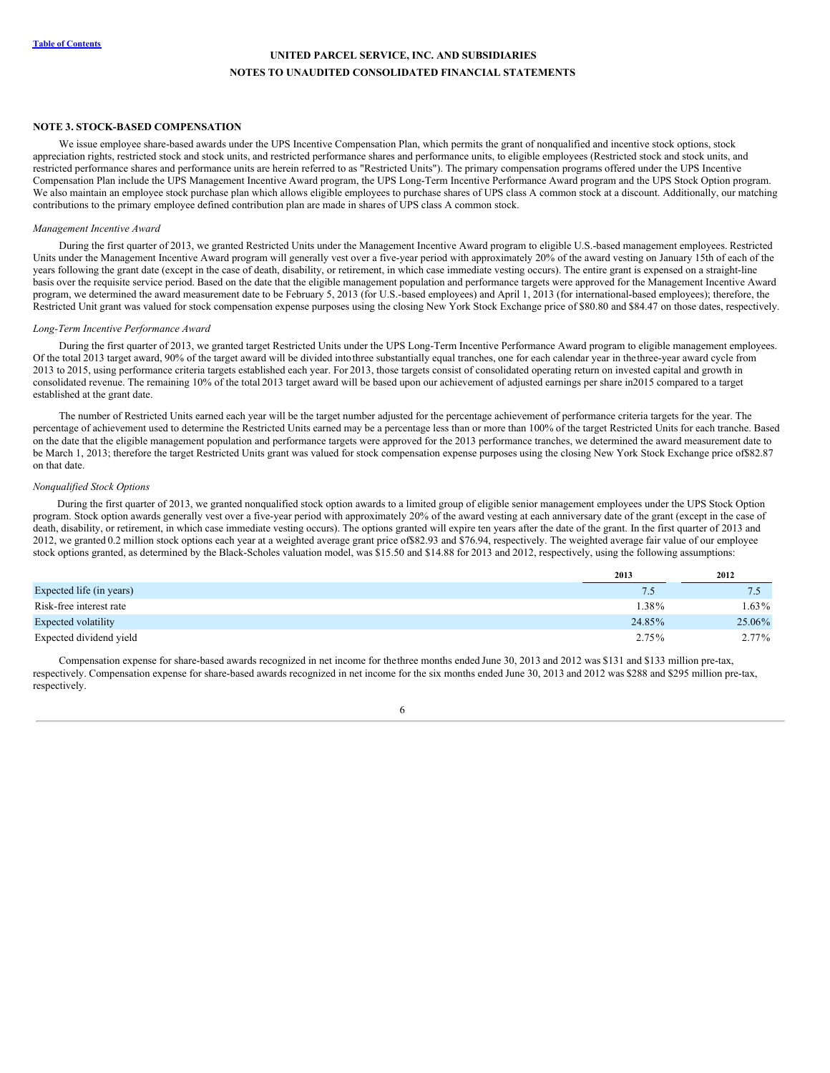## <span id="page-7-0"></span>**NOTE 3. STOCK-BASED COMPENSATION**

We issue employee share-based awards under the UPS Incentive Compensation Plan, which permits the grant of nonqualified and incentive stock options, stock appreciation rights, restricted stock and stock units, and restricted performance shares and performance units, to eligible employees (Restricted stock and stock units, and restricted performance shares and performance units are herein referred to as "Restricted Units"). The primary compensation programs offered under the UPS Incentive Compensation Plan include the UPS Management Incentive Award program, the UPS Long-Term Incentive Performance Award program and the UPS Stock Option program. We also maintain an employee stock purchase plan which allows eligible employees to purchase shares of UPS class A common stock at a discount. Additionally, our matching contributions to the primary employee defined contribution plan are made in shares of UPS class A common stock.

#### *Management Incentive Award*

During the first quarter of 2013, we granted Restricted Units under the Management Incentive Award program to eligible U.S.-based management employees. Restricted Units under the Management Incentive Award program will generally vest over a five-year period with approximately 20% of the award vesting on January 15th of each of the years following the grant date (except in the case of death, disability, or retirement, in which case immediate vesting occurs). The entire grant is expensed on a straight-line basis over the requisite service period. Based on the date that the eligible management population and performance targets were approved for the Management Incentive Award program, we determined the award measurement date to be February 5, 2013 (for U.S.-based employees) and April 1, 2013 (for international-based employees); therefore, the Restricted Unit grant was valued for stock compensation expense purposes using the closing New York Stock Exchange price of \$80.80 and \$84.47 on those dates, respectively.

### *Long-Term Incentive Performance Award*

During the first quarter of 2013, we granted target Restricted Units under the UPS Long-Term Incentive Performance Award program to eligible management employees. Of the total 2013 target award, 90% of the target award will be divided intothree substantially equal tranches, one for each calendar year in thethree-year award cycle from 2013 to 2015, using performance criteria targets established each year. For 2013, those targets consist of consolidated operating return on invested capital and growth in consolidated revenue. The remaining 10% of the total 2013 target award will be based upon our achievement of adjusted earnings per share in2015 compared to a target established at the grant date.

The number of Restricted Units earned each year will be the target number adjusted for the percentage achievement of performance criteria targets for the year. The percentage of achievement used to determine the Restricted Units earned may be a percentage less than or more than 100% of the target Restricted Units for each tranche. Based on the date that the eligible management population and performance targets were approved for the 2013 performance tranches, we determined the award measurement date to be March 1, 2013; therefore the target Restricted Units grant was valued for stock compensation expense purposes using the closing New York Stock Exchange price of\$82.87 on that date.

#### *Nonqualified Stock Options*

During the first quarter of 2013, we granted nonqualified stock option awards to a limited group of eligible senior management employees under the UPS Stock Option program. Stock option awards generally vest over a five-year period with approximately 20% of the award vesting at each anniversary date of the grant (except in the case of death, disability, or retirement, in which case immediate vesting occurs). The options granted will expire ten years after the date of the grant. In the first quarter of 2013 and 2012, we granted 0.2 million stock options each year at a weighted average grant price of\$82.93 and \$76.94, respectively. The weighted average fair value of our employee stock options granted, as determined by the Black-Scholes valuation model, was \$15.50 and \$14.88 for 2013 and 2012, respectively, using the following assumptions:

|                            | 2013   | 2012     |
|----------------------------|--------|----------|
| Expected life (in years)   | 7.5    | 7.5      |
| Risk-free interest rate    | 1.38%  | 1.63%    |
| <b>Expected volatility</b> | 24.85% | 25.06%   |
| Expected dividend yield    | 2.75%  | $2.77\%$ |

Compensation expense for share-based awards recognized in net income for thethree months ended June 30, 2013 and 2012 was \$131 and \$133 million pre-tax, respectively. Compensation expense for share-based awards recognized in net income for the six months ended June 30, 2013 and 2012 was \$288 and \$295 million pre-tax, respectively.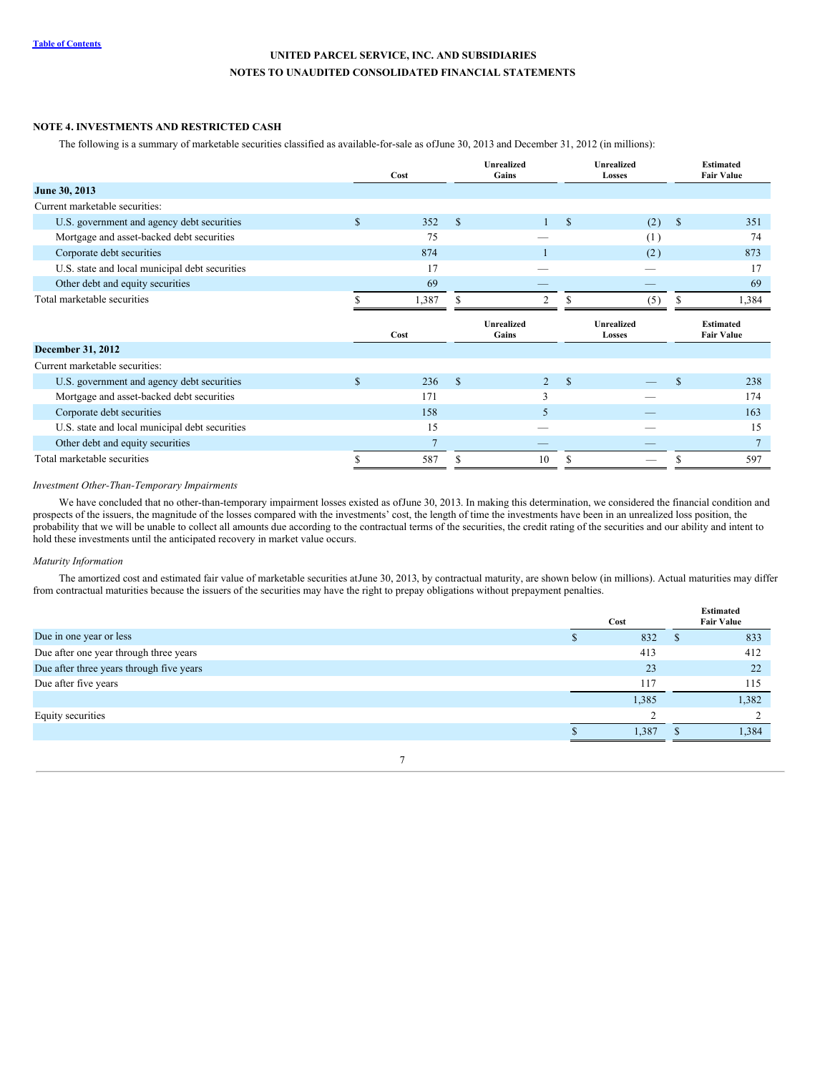# <span id="page-8-0"></span>**NOTE 4. INVESTMENTS AND RESTRICTED CASH**

The following is a summary of marketable securities classified as available-for-sale as ofJune 30, 2013 and December 31, 2012 (in millions):

|                                                |              | Cost  |             | <b>Unrealized</b><br>Gains |               | <b>Unrealized</b><br><b>Losses</b> |               | <b>Estimated</b><br><b>Fair Value</b> |
|------------------------------------------------|--------------|-------|-------------|----------------------------|---------------|------------------------------------|---------------|---------------------------------------|
| June 30, 2013                                  |              |       |             |                            |               |                                    |               |                                       |
| Current marketable securities:                 |              |       |             |                            |               |                                    |               |                                       |
| U.S. government and agency debt securities     | $\mathbb{S}$ | 352   | $\mathbf S$ |                            | $\mathbf S$   | (2)                                | $\mathbb{S}$  | 351                                   |
| Mortgage and asset-backed debt securities      |              | 75    |             |                            |               | (1)                                |               | 74                                    |
| Corporate debt securities                      |              | 874   |             |                            |               | (2)                                |               | 873                                   |
| U.S. state and local municipal debt securities |              | 17    |             |                            |               |                                    |               | 17                                    |
| Other debt and equity securities               |              | 69    |             |                            |               |                                    |               | 69                                    |
| Total marketable securities                    |              | 1,387 | S           | 2                          |               | (5                                 |               | 1,384                                 |
|                                                |              |       |             |                            |               |                                    |               |                                       |
|                                                |              | Cost  |             | Unrealized<br>Gains        |               | Unrealized<br><b>Losses</b>        |               | <b>Estimated</b><br><b>Fair Value</b> |
| December 31, 2012                              |              |       |             |                            |               |                                    |               |                                       |
| Current marketable securities:                 |              |       |             |                            |               |                                    |               |                                       |
| U.S. government and agency debt securities     | $\mathbb{S}$ | 236   | $\mathbf S$ | $\overline{2}$             | <sup>\$</sup> |                                    | <sup>\$</sup> | 238                                   |
| Mortgage and asset-backed debt securities      |              | 171   |             | 3                          |               |                                    |               | 174                                   |
| Corporate debt securities                      |              | 158   |             | 5                          |               |                                    |               | 163                                   |
| U.S. state and local municipal debt securities |              | 15    |             |                            |               |                                    |               | 15                                    |
| Other debt and equity securities               |              | 7     |             |                            |               |                                    |               |                                       |

## *Investment Other-Than-Temporary Impairments*

We have concluded that no other-than-temporary impairment losses existed as ofJune 30, 2013. In making this determination, we considered the financial condition and prospects of the issuers, the magnitude of the losses compared with the investments' cost, the length of time the investments have been in an unrealized loss position, the probability that we will be unable to collect all amounts due according to the contractual terms of the securities, the credit rating of the securities and our ability and intent to hold these investments until the anticipated recovery in market value occurs.

### *Maturity Information*

The amortized cost and estimated fair value of marketable securities atJune 30, 2013, by contractual maturity, are shown below (in millions). Actual maturities may differ from contractual maturities because the issuers of the securities may have the right to prepay obligations without prepayment penalties.

|                                          | Cost |       |               | <b>Estimated</b><br><b>Fair Value</b> |
|------------------------------------------|------|-------|---------------|---------------------------------------|
| Due in one year or less                  |      | 832   | <sup>\$</sup> | 833                                   |
| Due after one year through three years   |      | 413   |               | 412                                   |
| Due after three years through five years |      | 23    |               | 22                                    |
| Due after five years                     |      | 117   |               | 115                                   |
|                                          |      | 1,385 |               | 1,382                                 |
| Equity securities                        |      |       |               |                                       |
|                                          |      | 1.387 |               | 1,384                                 |
|                                          |      |       |               |                                       |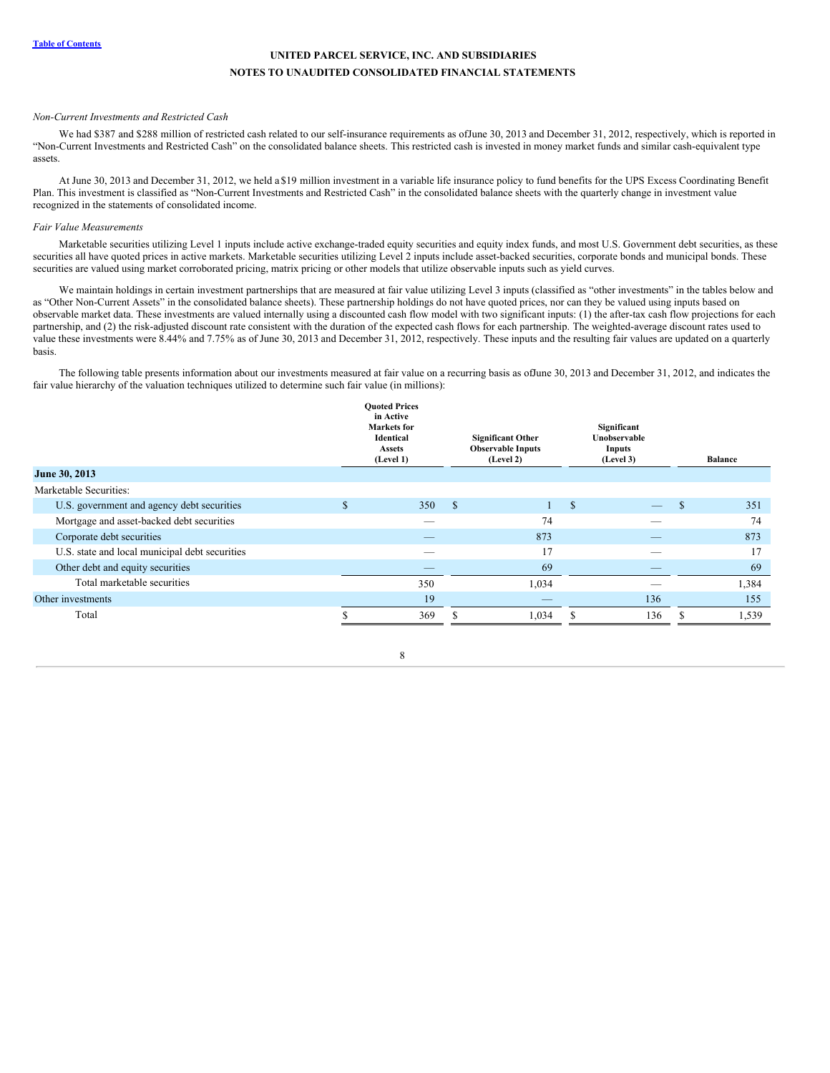### *Non-Current Investments and Restricted Cash*

We had \$387 and \$288 million of restricted cash related to our self-insurance requirements as of June 30, 2013 and December 31, 2012, respectively, which is reported in "Non-Current Investments and Restricted Cash" on the consolidated balance sheets. This restricted cash is invested in money market funds and similar cash-equivalent type assets.

At June 30, 2013 and December 31, 2012, we held a \$19 million investment in a variable life insurance policy to fund benefits for the UPS Excess Coordinating Benefit Plan. This investment is classified as "Non-Current Investments and Restricted Cash" in the consolidated balance sheets with the quarterly change in investment value recognized in the statements of consolidated income.

#### *Fair Value Measurements*

Marketable securities utilizing Level 1 inputs include active exchange-traded equity securities and equity index funds, and most U.S. Government debt securities, as these securities all have quoted prices in active markets. Marketable securities utilizing Level 2 inputs include asset-backed securities, corporate bonds and municipal bonds. These securities are valued using market corroborated pricing, matrix pricing or other models that utilize observable inputs such as yield curves.

We maintain holdings in certain investment partnerships that are measured at fair value utilizing Level 3 inputs (classified as "other investments" in the tables below and as "Other Non-Current Assets" in the consolidated balance sheets). These partnership holdings do not have quoted prices, nor can they be valued using inputs based on observable market data. These investments are valued internally using a discounted cash flow model with two significant inputs: (1) the after-tax cash flow projections for each partnership, and (2) the risk-adjusted discount rate consistent with the duration of the expected cash flows for each partnership. The weighted-average discount rates used to value these investments were 8.44% and 7.75% as of June 30, 2013 and December 31, 2012, respectively. These inputs and the resulting fair values are updated on a quarterly basis.

The following table presents information about our investments measured at fair value on a recurring basis as ofJune 30, 2013 and December 31, 2012, and indicates the fair value hierarchy of the valuation techniques utilized to determine such fair value (in millions):

|                                                |     | <b>Ouoted Prices</b><br>in Active<br><b>Markets</b> for<br><b>Identical</b><br><b>Assets</b><br>(Level 1) |               | <b>Significant Other</b><br><b>Observable Inputs</b><br>(Level 2) |               | Significant<br>Unobservable<br>Inputs<br>(Level 3) |   | <b>Balance</b> |
|------------------------------------------------|-----|-----------------------------------------------------------------------------------------------------------|---------------|-------------------------------------------------------------------|---------------|----------------------------------------------------|---|----------------|
| June 30, 2013                                  |     |                                                                                                           |               |                                                                   |               |                                                    |   |                |
| Marketable Securities:                         |     |                                                                                                           |               |                                                                   |               |                                                    |   |                |
| U.S. government and agency debt securities     | \$. | 350                                                                                                       | <sup>\$</sup> |                                                                   | <sup>\$</sup> |                                                    | S | 351            |
| Mortgage and asset-backed debt securities      |     |                                                                                                           |               | 74                                                                |               |                                                    |   | 74             |
| Corporate debt securities                      |     |                                                                                                           |               | 873                                                               |               |                                                    |   | 873            |
| U.S. state and local municipal debt securities |     |                                                                                                           |               | 17                                                                |               |                                                    |   | 17             |
| Other debt and equity securities               |     |                                                                                                           |               | 69                                                                |               |                                                    |   | 69             |
| Total marketable securities                    |     | 350                                                                                                       |               | 1,034                                                             |               |                                                    |   | 1,384          |
| Other investments                              |     | 19                                                                                                        |               |                                                                   |               | 136                                                |   | 155            |
| Total                                          |     | 369                                                                                                       |               | 1,034                                                             |               | 136                                                |   | 1,539          |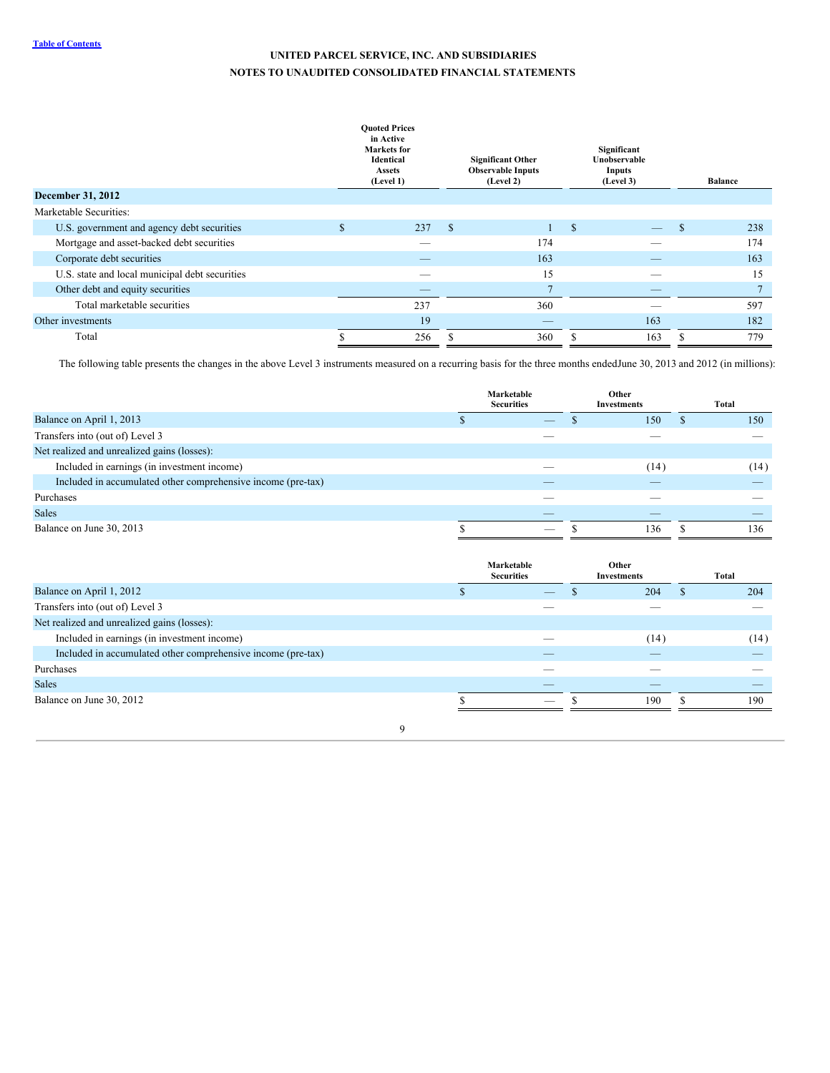|                                                |   | <b>Ouoted Prices</b><br>in Active<br><b>Markets</b> for<br>Identical<br><b>Assets</b><br>(Level 1) |               | <b>Significant Other</b><br><b>Observable Inputs</b><br>(Level 2) |               | Significant<br>Unobservable<br>Inputs<br>(Level 3) | <b>Balance</b> |
|------------------------------------------------|---|----------------------------------------------------------------------------------------------------|---------------|-------------------------------------------------------------------|---------------|----------------------------------------------------|----------------|
| December 31, 2012                              |   |                                                                                                    |               |                                                                   |               |                                                    |                |
| Marketable Securities:                         |   |                                                                                                    |               |                                                                   |               |                                                    |                |
| U.S. government and agency debt securities     | ъ | 237                                                                                                | $\mathcal{S}$ |                                                                   | $\mathcal{S}$ |                                                    | \$<br>238      |
| Mortgage and asset-backed debt securities      |   |                                                                                                    |               | 174                                                               |               |                                                    | 174            |
| Corporate debt securities                      |   |                                                                                                    |               | 163                                                               |               |                                                    | 163            |
| U.S. state and local municipal debt securities |   |                                                                                                    |               | 15                                                                |               |                                                    | 15             |
| Other debt and equity securities               |   |                                                                                                    |               |                                                                   |               |                                                    |                |
| Total marketable securities                    |   | 237                                                                                                |               | 360                                                               |               |                                                    | 597            |
| Other investments                              |   | 19                                                                                                 |               |                                                                   |               | 163                                                | 182            |
| Total                                          |   | 256                                                                                                |               | 360                                                               |               | 163                                                | 779            |

The following table presents the changes in the above Level 3 instruments measured on a recurring basis for the three months endedJune 30, 2013 and 2012 (in millions):

|                                                              | Marketable<br><b>Securities</b> | Other<br><b>Investments</b> | Total     |
|--------------------------------------------------------------|---------------------------------|-----------------------------|-----------|
| Balance on April 1, 2013                                     |                                 | 150                         | 150<br>Ъ. |
| Transfers into (out of) Level 3                              |                                 |                             |           |
| Net realized and unrealized gains (losses):                  |                                 |                             |           |
| Included in earnings (in investment income)                  |                                 | (14)                        | (14)      |
| Included in accumulated other comprehensive income (pre-tax) | _                               |                             |           |
| Purchases                                                    | __                              |                             |           |
| <b>Sales</b>                                                 |                                 |                             |           |
| Balance on June 30, 2013                                     | _                               | 136                         | 136       |

|    | Other<br><b>Investments</b>     | Total |
|----|---------------------------------|-------|
| _  | 204                             | 204   |
| __ |                                 |       |
|    |                                 |       |
|    | (14)                            | (14)  |
| _  |                                 |       |
|    |                                 |       |
| __ |                                 |       |
|    | 190                             | 190   |
|    | Marketable<br><b>Securities</b> |       |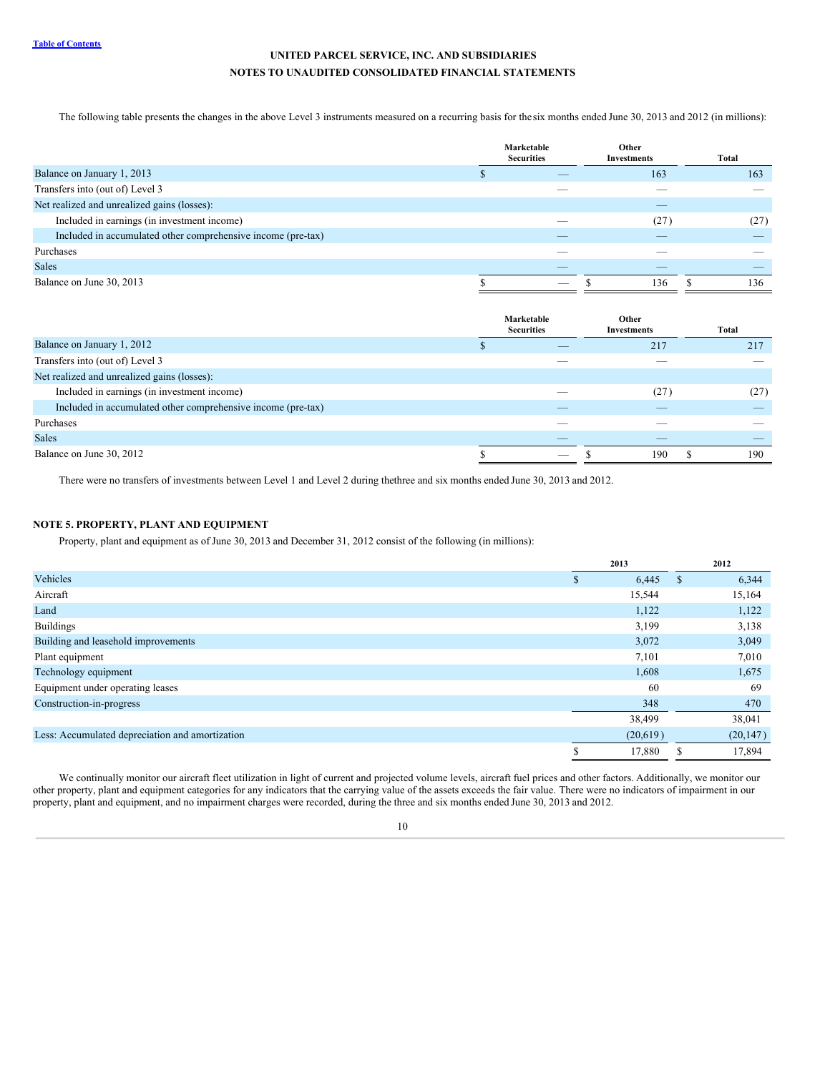The following table presents the changes in the above Level 3 instruments measured on a recurring basis for thesix months ended June 30, 2013 and 2012 (in millions):

|                                                              | Marketable<br><b>Securities</b> | Other<br>Investments     | Total |
|--------------------------------------------------------------|---------------------------------|--------------------------|-------|
| Balance on January 1, 2013                                   |                                 | 163                      | 163   |
| Transfers into (out of) Level 3                              |                                 |                          |       |
| Net realized and unrealized gains (losses):                  |                                 | $\overline{\phantom{a}}$ |       |
| Included in earnings (in investment income)                  |                                 | (27)                     | (27)  |
| Included in accumulated other comprehensive income (pre-tax) |                                 |                          |       |
| Purchases                                                    |                                 |                          |       |
| <b>Sales</b>                                                 | _                               |                          |       |
| Balance on June 30, 2013                                     |                                 | 136                      | 136   |

|                                                              | Marketable<br><b>Securities</b> |        | Other<br>Investments | Total     |
|--------------------------------------------------------------|---------------------------------|--------|----------------------|-----------|
| Balance on January 1, 2012                                   |                                 |        | 217                  | 217       |
| Transfers into (out of) Level 3                              |                                 |        |                      |           |
| Net realized and unrealized gains (losses):                  |                                 |        |                      |           |
| Included in earnings (in investment income)                  |                                 |        | (27)                 | (27)      |
| Included in accumulated other comprehensive income (pre-tax) |                                 |        |                      |           |
| Purchases                                                    |                                 | $\sim$ | ___                  |           |
| <b>Sales</b>                                                 |                                 |        |                      |           |
| Balance on June 30, 2012                                     |                                 |        | 190                  | 190<br>-S |

<span id="page-11-0"></span>There were no transfers of investments between Level 1 and Level 2 during thethree and six months ended June 30, 2013 and 2012.

## **NOTE 5. PROPERTY, PLANT AND EQUIPMENT**

Property, plant and equipment as of June 30, 2013 and December 31, 2012 consist of the following (in millions):

|                                                 | 2013 |          |    | 2012      |
|-------------------------------------------------|------|----------|----|-----------|
| Vehicles                                        | D    | 6,445    | -S | 6,344     |
| Aircraft                                        |      | 15,544   |    | 15,164    |
| Land                                            |      | 1,122    |    | 1,122     |
| <b>Buildings</b>                                |      | 3,199    |    | 3,138     |
| Building and leasehold improvements             |      | 3,072    |    | 3,049     |
| Plant equipment                                 |      | 7,101    |    | 7,010     |
| Technology equipment                            |      | 1,608    |    | 1,675     |
| Equipment under operating leases                |      | 60       |    | 69        |
| Construction-in-progress                        |      | 348      |    | 470       |
|                                                 |      | 38,499   |    | 38,041    |
| Less: Accumulated depreciation and amortization |      | (20,619) |    | (20, 147) |
|                                                 | ъ    | 17,880   | S  | 17,894    |

We continually monitor our aircraft fleet utilization in light of current and projected volume levels, aircraft fuel prices and other factors. Additionally, we monitor our other property, plant and equipment categories for any indicators that the carrying value of the assets exceeds the fair value. There were no indicators of impairment in our property, plant and equipment, and no impairment charges were recorded, during the three and six months ended June 30, 2013 and 2012.

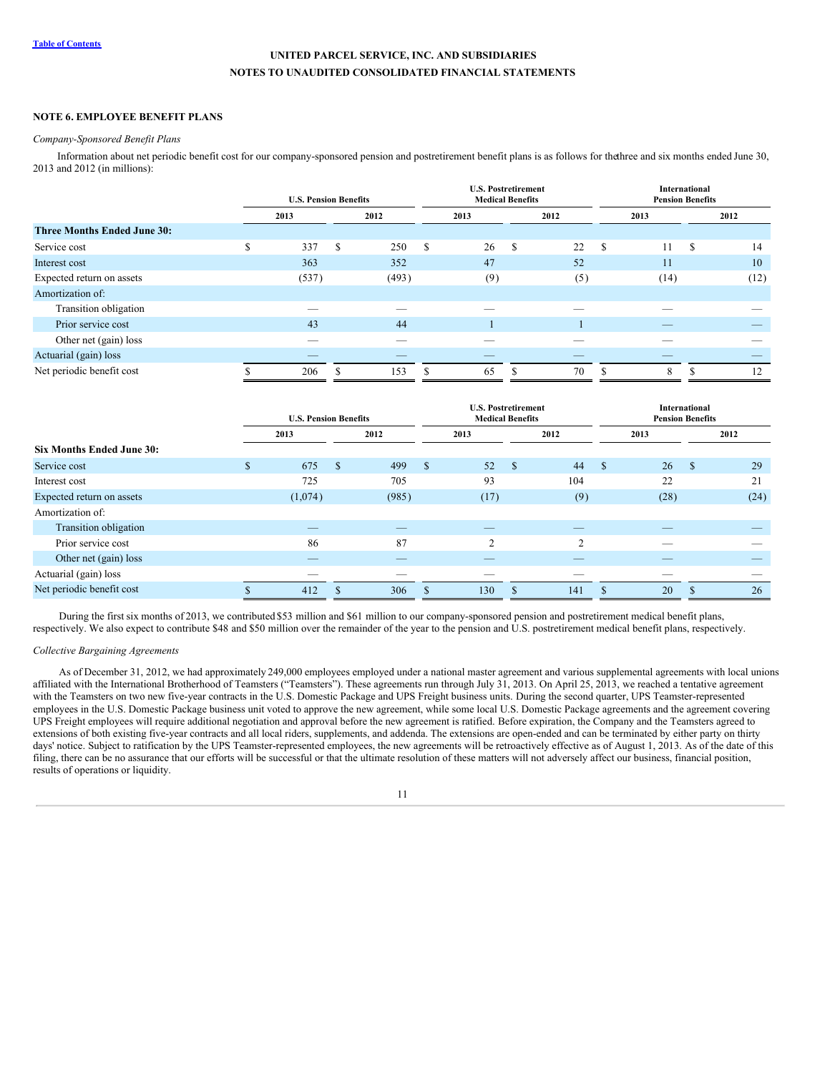## <span id="page-12-0"></span>**NOTE 6. EMPLOYEE BENEFIT PLANS**

## *Company-Sponsored Benefit Plans*

Information about net periodic benefit cost for our company-sponsored pension and postretirement benefit plans is as follows for thethree and six months ended June 30, 2013 and 2012 (in millions):

|                                    | <b>U.S. Pension Benefits</b> |       |   |       | <b>U.S. Postretirement</b><br><b>Medical Benefits</b> |      |   |      | <b>International</b><br><b>Pension Benefits</b> |                          |   |      |
|------------------------------------|------------------------------|-------|---|-------|-------------------------------------------------------|------|---|------|-------------------------------------------------|--------------------------|---|------|
|                                    |                              | 2013  |   | 2012  |                                                       | 2013 |   | 2012 |                                                 | 2013                     |   | 2012 |
| <b>Three Months Ended June 30:</b> |                              |       |   |       |                                                       |      |   |      |                                                 |                          |   |      |
| Service cost                       | ъ                            | 337   | S | 250   | <sup>\$</sup>                                         | 26   | S | 22   | S                                               | 11                       | S | 14   |
| Interest cost                      |                              | 363   |   | 352   |                                                       | 47   |   | 52   |                                                 | 11                       |   | 10   |
| Expected return on assets          |                              | (537) |   | (493) |                                                       | (9)  |   | (5)  |                                                 | (14)                     |   | (12) |
| Amortization of:                   |                              |       |   |       |                                                       |      |   |      |                                                 |                          |   |      |
| Transition obligation              |                              |       |   |       |                                                       |      |   |      |                                                 |                          |   |      |
| Prior service cost                 |                              | 43    |   | 44    |                                                       |      |   |      |                                                 | $\overline{\phantom{a}}$ |   |      |
| Other net (gain) loss              |                              | _     |   |       |                                                       |      |   |      |                                                 |                          |   |      |
| Actuarial (gain) loss              |                              |       |   |       |                                                       |      |   |      |                                                 |                          |   |      |
| Net periodic benefit cost          |                              | 206   |   | 153   |                                                       | 65   | ፍ | 70   |                                                 | 8                        |   | 12   |

|                                  |              | <b>U.S. Pension Benefits</b> |   |       |               | <b>U.S. Postretirement</b><br><b>Medical Benefits</b> |             |                |             | <b>Pension Benefits</b> | <b>International</b> |      |
|----------------------------------|--------------|------------------------------|---|-------|---------------|-------------------------------------------------------|-------------|----------------|-------------|-------------------------|----------------------|------|
|                                  |              | 2013                         |   | 2012  |               | 2013                                                  |             | 2012           |             | 2013                    |                      | 2012 |
| <b>Six Months Ended June 30:</b> |              |                              |   |       |               |                                                       |             |                |             |                         |                      |      |
| Service cost                     | $\mathbb{S}$ | 675                          | S | 499   | <sup>\$</sup> | 52                                                    | $\mathbf S$ | 44             | $\mathbf S$ | 26                      | <sup>\$</sup>        | 29   |
| Interest cost                    |              | 725                          |   | 705   |               | 93                                                    |             | 104            |             | 22                      |                      | 21   |
| Expected return on assets        |              | (1,074)                      |   | (985) |               | (17)                                                  |             | (9)            |             | (28)                    |                      | (24) |
| Amortization of:                 |              |                              |   |       |               |                                                       |             |                |             |                         |                      |      |
| <b>Transition obligation</b>     |              | _                            |   | __    |               |                                                       |             |                |             |                         |                      |      |
| Prior service cost               |              | 86                           |   | 87    |               | $\overline{2}$                                        |             | $\overline{2}$ |             |                         |                      |      |
| Other net (gain) loss            |              | _                            |   | _     |               | _                                                     |             |                |             |                         |                      |      |
| Actuarial (gain) loss            |              | __                           |   |       |               |                                                       |             |                |             |                         |                      |      |
| Net periodic benefit cost        |              | 412                          | ъ | 306   | ъ             | 130                                                   |             | 141            |             | 20                      |                      | 26   |

During the first six months of 2013, we contributed \$53 million and \$61 million to our company-sponsored pension and postretirement medical benefit plans, respectively. We also expect to contribute \$48 and \$50 million over the remainder of the year to the pension and U.S. postretirement medical benefit plans, respectively.

### *Collective Bargaining Agreements*

As of December 31, 2012, we had approximately 249,000 employees employed under a national master agreement and various supplemental agreements with local unions affiliated with the International Brotherhood of Teamsters ("Teamsters"). These agreements run through July 31, 2013. On April 25, 2013, we reached a tentative agreement with the Teamsters on two new five-year contracts in the U.S. Domestic Package and UPS Freight business units. During the second quarter, UPS Teamster-represented employees in the U.S. Domestic Package business unit voted to approve the new agreement, while some local U.S. Domestic Package agreements and the agreement covering UPS Freight employees will require additional negotiation and approval before the new agreement is ratified. Before expiration, the Company and the Teamsters agreed to extensions of both existing five-year contracts and all local riders, supplements, and addenda. The extensions are open-ended and can be terminated by either party on thirty days' notice. Subject to ratification by the UPS Teamster-represented employees, the new agreements will be retroactively effective as of August 1, 2013. As of the date of this filing, there can be no assurance that our efforts will be successful or that the ultimate resolution of these matters will not adversely affect our business, financial position, results of operations or liquidity.

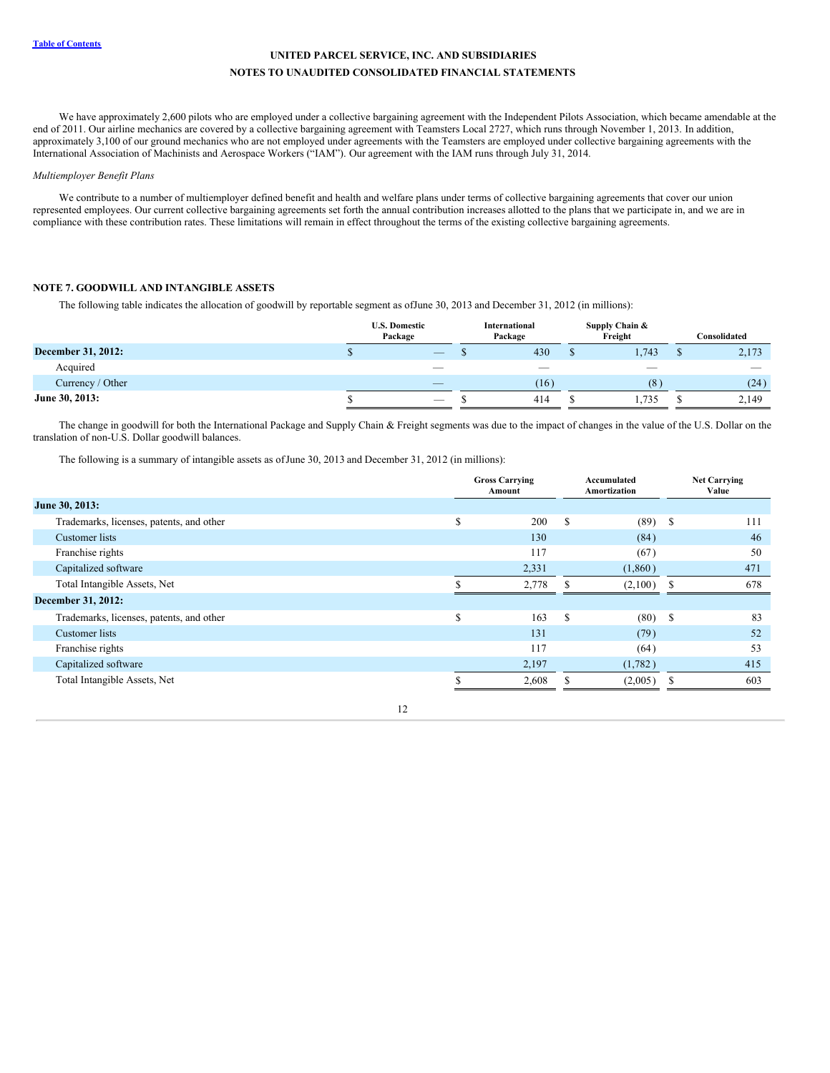We have approximately 2,600 pilots who are employed under a collective bargaining agreement with the Independent Pilots Association, which became amendable at the end of 2011. Our airline mechanics are covered by a collective bargaining agreement with Teamsters Local 2727, which runs through November 1, 2013. In addition, approximately 3,100 of our ground mechanics who are not employed under agreements with the Teamsters are employed under collective bargaining agreements with the International Association of Machinists and Aerospace Workers ("IAM"). Our agreement with the IAM runs through July 31, 2014.

### *Multiemployer Benefit Plans*

We contribute to a number of multiemployer defined benefit and health and welfare plans under terms of collective bargaining agreements that cover our union represented employees. Our current collective bargaining agreements set forth the annual contribution increases allotted to the plans that we participate in, and we are in compliance with these contribution rates. These limitations will remain in effect throughout the terms of the existing collective bargaining agreements.

## <span id="page-13-0"></span>**NOTE 7. GOODWILL AND INTANGIBLE ASSETS**

The following table indicates the allocation of goodwill by reportable segment as ofJune 30, 2013 and December 31, 2012 (in millions):

|                           | <b>U.S. Domestic</b><br>Package |                          | International<br>Package | Supply Chain &<br>Freight | Consolidated             |
|---------------------------|---------------------------------|--------------------------|--------------------------|---------------------------|--------------------------|
| <b>December 31, 2012:</b> |                                 | $\overline{\phantom{a}}$ | 430                      | 1,743                     | 2,173                    |
| Acquired                  |                                 | $\sim$                   | $\overline{\phantom{a}}$ | $\overline{\phantom{a}}$  | $\overline{\phantom{a}}$ |
| Currency / Other          |                                 | _                        | (16)                     | (8)                       | (24)                     |
| June 30, 2013:            |                                 | $\overline{\phantom{a}}$ | 414                      | 1.735                     | 2,149                    |

The change in goodwill for both the International Package and Supply Chain & Freight segments was due to the impact of changes in the value of the U.S. Dollar on the translation of non-U.S. Dollar goodwill balances.

The following is a summary of intangible assets as ofJune 30, 2013 and December 31, 2012 (in millions):

|                                          |     | <b>Gross Carrying</b><br>Amount | Accumulated<br>Amortization |         |      | <b>Net Carrying</b><br>Value |
|------------------------------------------|-----|---------------------------------|-----------------------------|---------|------|------------------------------|
| June 30, 2013:                           |     |                                 |                             |         |      |                              |
| Trademarks, licenses, patents, and other | \$  | 200                             | S                           | (89)    | - \$ | 111                          |
| Customer lists                           |     | 130                             |                             | (84)    |      | 46                           |
| Franchise rights                         |     | 117                             |                             | (67)    |      | 50                           |
| Capitalized software                     |     | 2,331                           |                             | (1,860) |      | 471                          |
| Total Intangible Assets, Net             |     | 2,778                           |                             | (2,100) | -S   | 678                          |
| December 31, 2012:                       |     |                                 |                             |         |      |                              |
| Trademarks, licenses, patents, and other | \$. | 163                             | S                           | (80)    | - \$ | 83                           |
| Customer lists                           |     | 131                             |                             | (79)    |      | 52                           |
| Franchise rights                         |     | 117                             |                             | (64)    |      | 53                           |
| Capitalized software                     |     | 2,197                           |                             | (1,782) |      | 415                          |
| Total Intangible Assets, Net             |     | 2,608                           |                             | (2,005) |      | 603                          |
|                                          |     |                                 |                             |         |      |                              |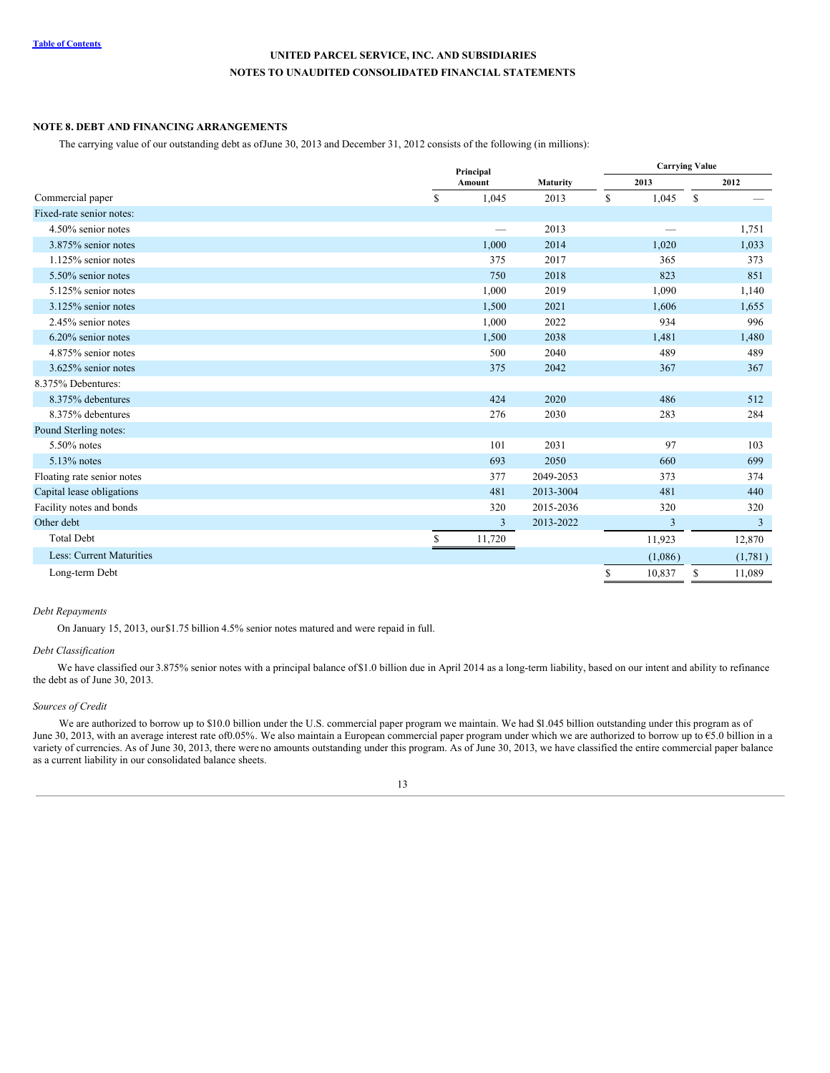# <span id="page-14-0"></span>**NOTE 8. DEBT AND FINANCING ARRANGEMENTS**

The carrying value of our outstanding debt as ofJune 30, 2013 and December 31, 2012 consists of the following (in millions):

|                            | Principal    |           |              | <b>Carrying Value</b> |    |         |
|----------------------------|--------------|-----------|--------------|-----------------------|----|---------|
|                            | Amount       | Maturity  | 2013         |                       |    | 2012    |
| Commercial paper           | \$<br>1,045  | 2013      | $\mathbb{S}$ | 1,045                 | \$ |         |
| Fixed-rate senior notes:   |              |           |              |                       |    |         |
| 4.50% senior notes         |              | 2013      |              |                       |    | 1,751   |
| 3.875% senior notes        | 1,000        | 2014      |              | 1,020                 |    | 1,033   |
| 1.125% senior notes        | 375          | 2017      |              | 365                   |    | 373     |
| 5.50% senior notes         | 750          | 2018      |              | 823                   |    | 851     |
| 5.125% senior notes        | 1,000        | 2019      |              | 1,090                 |    | 1,140   |
| 3.125% senior notes        | 1,500        | 2021      |              | 1,606                 |    | 1,655   |
| 2.45% senior notes         | 1,000        | 2022      |              | 934                   |    | 996     |
| 6.20% senior notes         | 1,500        | 2038      |              | 1,481                 |    | 1,480   |
| 4.875% senior notes        | 500          | 2040      |              | 489                   |    | 489     |
| 3.625% senior notes        | 375          | 2042      |              | 367                   |    | 367     |
| 8.375% Debentures:         |              |           |              |                       |    |         |
| 8.375% debentures          | 424          | 2020      |              | 486                   |    | 512     |
| 8.375% debentures          | 276          | 2030      |              | 283                   |    | 284     |
| Pound Sterling notes:      |              |           |              |                       |    |         |
| $5.50\%$ notes             | 101          | 2031      |              | 97                    |    | 103     |
| $5.13\%$ notes             | 693          | 2050      |              | 660                   |    | 699     |
| Floating rate senior notes | 377          | 2049-2053 |              | 373                   |    | 374     |
| Capital lease obligations  | 481          | 2013-3004 |              | 481                   |    | 440     |
| Facility notes and bonds   | 320          | 2015-2036 |              | 320                   |    | 320     |
| Other debt                 | 3            | 2013-2022 |              | 3                     |    | 3       |
| <b>Total Debt</b>          | \$<br>11,720 |           |              | 11,923                |    | 12,870  |
| Less: Current Maturities   |              |           |              | (1,086)               |    | (1,781) |
| Long-term Debt             |              |           | \$           | 10,837                | \$ | 11,089  |
|                            |              |           |              |                       |    |         |

### *Debt Repayments*

On January 15, 2013, our\$1.75 billion 4.5% senior notes matured and were repaid in full.

### *Debt Classification*

We have classified our 3.875% senior notes with a principal balance of\$1.0 billion due in April 2014 as a long-term liability, based on our intent and ability to refinance the debt as of June 30, 2013.

### *Sources of Credit*

We are authorized to borrow up to \$10.0 billion under the U.S. commercial paper program we maintain. We had \$1.045 billion outstanding under this program as of June 30, 2013, with an average interest rate of0.05%. We also maintain a European commercial paper program under which we are authorized to borrow up to €5.0 billion in a variety of currencies. As of June 30, 2013, there were no amounts outstanding under this program. As of June 30, 2013, we have classified the entire commercial paper balance as a current liability in our consolidated balance sheets.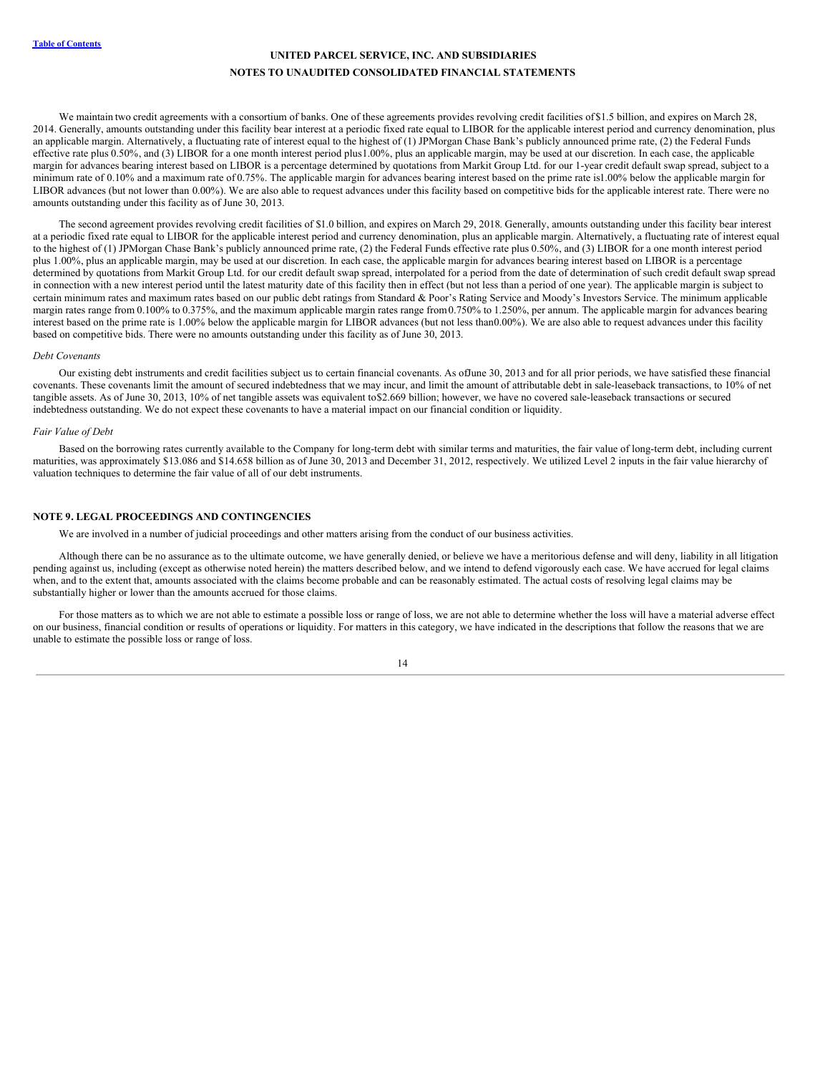We maintain two credit agreements with a consortium of banks. One of these agreements provides revolving credit facilities of \$1.5 billion, and expires on March 28, 2014. Generally, amounts outstanding under this facility bear interest at a periodic fixed rate equal to LIBOR for the applicable interest period and currency denomination, plus an applicable margin. Alternatively, a fluctuating rate of interest equal to the highest of (1) JPMorgan Chase Bank's publicly announced prime rate, (2) the Federal Funds effective rate plus 0.50%, and (3) LIBOR for a one month interest period plus1.00%, plus an applicable margin, may be used at our discretion. In each case, the applicable margin for advances bearing interest based on LIBOR is a percentage determined by quotations from Markit Group Ltd. for our 1-year credit default swap spread, subject to a minimum rate of 0.10% and a maximum rate of 0.75%. The applicable margin for advances bearing interest based on the prime rate is1.00% below the applicable margin for LIBOR advances (but not lower than 0.00%). We are also able to request advances under this facility based on competitive bids for the applicable interest rate. There were no amounts outstanding under this facility as of June 30, 2013.

The second agreement provides revolving credit facilities of \$1.0 billion, and expires on March 29, 2018. Generally, amounts outstanding under this facility bear interest at a periodic fixed rate equal to LIBOR for the applicable interest period and currency denomination, plus an applicable margin. Alternatively, a fluctuating rate of interest equal to the highest of (1) JPMorgan Chase Bank's publicly announced prime rate, (2) the Federal Funds effective rate plus 0.50%, and (3) LIBOR for a one month interest period plus 1.00%, plus an applicable margin, may be used at our discretion. In each case, the applicable margin for advances bearing interest based on LIBOR is a percentage determined by quotations from Markit Group Ltd. for our credit default swap spread, interpolated for a period from the date of determination of such credit default swap spread in connection with a new interest period until the latest maturity date of this facility then in effect (but not less than a period of one year). The applicable margin is subject to certain minimum rates and maximum rates based on our public debt ratings from Standard & Poor's Rating Service and Moody's Investors Service. The minimum applicable margin rates range from 0.100% to 0.375%, and the maximum applicable margin rates range from 0.750% to 1.250%, per annum. The applicable margin for advances bearing interest based on the prime rate is 1.00% below the applicable margin for LIBOR advances (but not less than0.00%). We are also able to request advances under this facility based on competitive bids. There were no amounts outstanding under this facility as of June 30, 2013.

#### *Debt Covenants*

Our existing debt instruments and credit facilities subject us to certain financial covenants. As ofJune 30, 2013 and for all prior periods, we have satisfied these financial covenants. These covenants limit the amount of secured indebtedness that we may incur, and limit the amount of attributable debt in sale-leaseback transactions, to 10% of net tangible assets. As of June 30, 2013, 10% of net tangible assets was equivalent to\$2.669 billion; however, we have no covered sale-leaseback transactions or secured indebtedness outstanding. We do not expect these covenants to have a material impact on our financial condition or liquidity.

#### *Fair Value of Debt*

Based on the borrowing rates currently available to the Company for long-term debt with similar terms and maturities, the fair value of long-term debt, including current maturities, was approximately \$13.086 and \$14.658 billion as of June 30, 2013 and December 31, 2012, respectively. We utilized Level 2 inputs in the fair value hierarchy of valuation techniques to determine the fair value of all of our debt instruments.

### <span id="page-15-0"></span>**NOTE 9. LEGAL PROCEEDINGS AND CONTINGENCIES**

We are involved in a number of judicial proceedings and other matters arising from the conduct of our business activities.

Although there can be no assurance as to the ultimate outcome, we have generally denied, or believe we have a meritorious defense and will deny, liability in all litigation pending against us, including (except as otherwise noted herein) the matters described below, and we intend to defend vigorously each case. We have accrued for legal claims when, and to the extent that, amounts associated with the claims become probable and can be reasonably estimated. The actual costs of resolving legal claims may be substantially higher or lower than the amounts accrued for those claims.

For those matters as to which we are not able to estimate a possible loss or range of loss, we are not able to determine whether the loss will have a material adverse effect on our business, financial condition or results of operations or liquidity. For matters in this category, we have indicated in the descriptions that follow the reasons that we are unable to estimate the possible loss or range of loss.

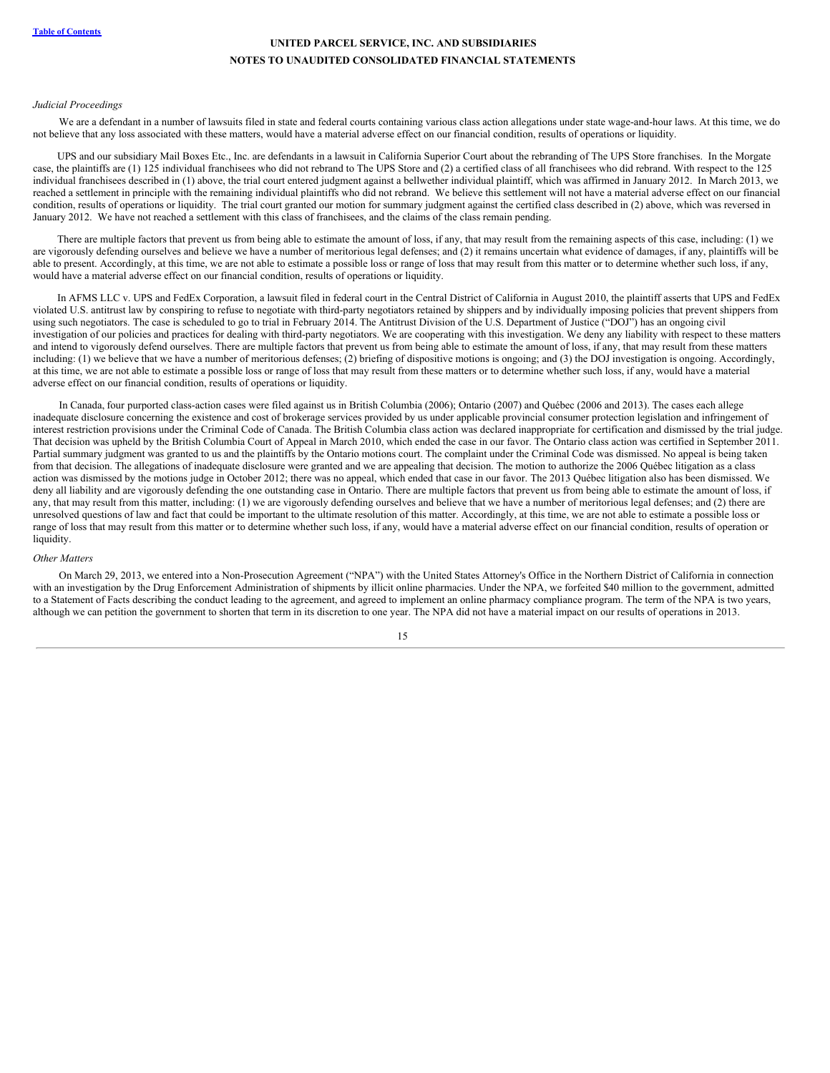#### *Judicial Proceedings*

We are a defendant in a number of lawsuits filed in state and federal courts containing various class action allegations under state wage-and-hour laws. At this time, we do not believe that any loss associated with these matters, would have a material adverse effect on our financial condition, results of operations or liquidity.

UPS and our subsidiary Mail Boxes Etc., Inc. are defendants in a lawsuit in California Superior Court about the rebranding of The UPS Store franchises. In the Morgate case, the plaintiffs are (1) 125 individual franchisees who did not rebrand to The UPS Store and (2) a certified class of all franchisees who did rebrand. With respect to the 125 individual franchisees described in (1) above, the trial court entered judgment against a bellwether individual plaintiff, which was affirmed in January 2012. In March 2013, we reached a settlement in principle with the remaining individual plaintiffs who did not rebrand. We believe this settlement will not have a material adverse effect on our financial condition, results of operations or liquidity. The trial court granted our motion for summary judgment against the certified class described in (2) above, which was reversed in January 2012. We have not reached a settlement with this class of franchisees, and the claims of the class remain pending.

There are multiple factors that prevent us from being able to estimate the amount of loss, if any, that may result from the remaining aspects of this case, including: (1) we are vigorously defending ourselves and believe we have a number of meritorious legal defenses; and (2) it remains uncertain what evidence of damages, if any, plaintiffs will be able to present. Accordingly, at this time, we are not able to estimate a possible loss or range of loss that may result from this matter or to determine whether such loss, if any, would have a material adverse effect on our financial condition, results of operations or liquidity.

In AFMS LLC v. UPS and FedEx Corporation, a lawsuit filed in federal court in the Central District of California in August 2010, the plaintiff asserts that UPS and FedEx violated U.S. antitrust law by conspiring to refuse to negotiate with third-party negotiators retained by shippers and by individually imposing policies that prevent shippers from using such negotiators. The case is scheduled to go to trial in February 2014. The Antitrust Division of the U.S. Department of Justice ("DOJ") has an ongoing civil investigation of our policies and practices for dealing with third-party negotiators. We are cooperating with this investigation. We deny any liability with respect to these matters and intend to vigorously defend ourselves. There are multiple factors that prevent us from being able to estimate the amount of loss, if any, that may result from these matters including: (1) we believe that we have a number of meritorious defenses; (2) briefing of dispositive motions is ongoing; and (3) the DOJ investigation is ongoing. Accordingly, at this time, we are not able to estimate a possible loss or range of loss that may result from these matters or to determine whether such loss, if any, would have a material adverse effect on our financial condition, results of operations or liquidity.

In Canada, four purported class-action cases were filed against us in British Columbia (2006); Ontario (2007) and Québec (2006 and 2013). The cases each allege inadequate disclosure concerning the existence and cost of brokerage services provided by us under applicable provincial consumer protection legislation and infringement of interest restriction provisions under the Criminal Code of Canada. The British Columbia class action was declared inappropriate for certification and dismissed by the trial judge. That decision was upheld by the British Columbia Court of Appeal in March 2010, which ended the case in our favor. The Ontario class action was certified in September 2011. Partial summary judgment was granted to us and the plaintiffs by the Ontario motions court. The complaint under the Criminal Code was dismissed. No appeal is being taken from that decision. The allegations of inadequate disclosure were granted and we are appealing that decision. The motion to authorize the 2006 Québec litigation as a class action was dismissed by the motions judge in October 2012; there was no appeal, which ended that case in our favor. The 2013 Québec litigation also has been dismissed. We deny all liability and are vigorously defending the one outstanding case in Ontario. There are multiple factors that prevent us from being able to estimate the amount of loss, if any, that may result from this matter, including: (1) we are vigorously defending ourselves and believe that we have a number of meritorious legal defenses; and (2) there are unresolved questions of law and fact that could be important to the ultimate resolution of this matter. Accordingly, at this time, we are not able to estimate a possible loss or range of loss that may result from this matter or to determine whether such loss, if any, would have a material adverse effect on our financial condition, results of operation or liquidity.

#### *Other Matters*

On March 29, 2013, we entered into a Non-Prosecution Agreement ("NPA") with the United States Attorney's Office in the Northern District of California in connection with an investigation by the Drug Enforcement Administration of shipments by illicit online pharmacies. Under the NPA, we forfeited \$40 million to the government, admitted to a Statement of Facts describing the conduct leading to the agreement, and agreed to implement an online pharmacy compliance program. The term of the NPA is two years, although we can petition the government to shorten that term in its discretion to one year. The NPA did not have a material impact on our results of operations in 2013.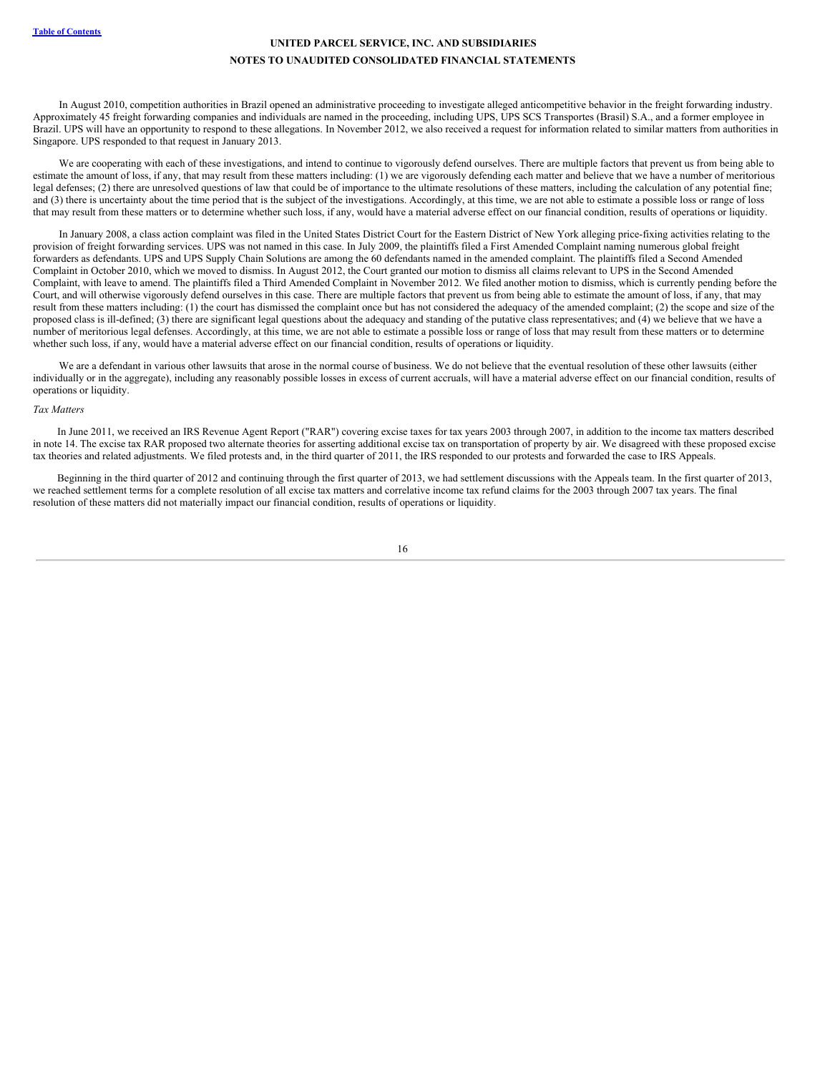In August 2010, competition authorities in Brazil opened an administrative proceeding to investigate alleged anticompetitive behavior in the freight forwarding industry. Approximately 45 freight forwarding companies and individuals are named in the proceeding, including UPS, UPS SCS Transportes (Brasil) S.A., and a former employee in Brazil. UPS will have an opportunity to respond to these allegations. In November 2012, we also received a request for information related to similar matters from authorities in Singapore. UPS responded to that request in January 2013.

We are cooperating with each of these investigations, and intend to continue to vigorously defend ourselves. There are multiple factors that prevent us from being able to estimate the amount of loss, if any, that may result from these matters including: (1) we are vigorously defending each matter and believe that we have a number of meritorious legal defenses; (2) there are unresolved questions of law that could be of importance to the ultimate resolutions of these matters, including the calculation of any potential fine; and (3) there is uncertainty about the time period that is the subject of the investigations. Accordingly, at this time, we are not able to estimate a possible loss or range of loss that may result from these matters or to determine whether such loss, if any, would have a material adverse effect on our financial condition, results of operations or liquidity.

In January 2008, a class action complaint was filed in the United States District Court for the Eastern District of New York alleging price-fixing activities relating to the provision of freight forwarding services. UPS was not named in this case. In July 2009, the plaintiffs filed a First Amended Complaint naming numerous global freight forwarders as defendants. UPS and UPS Supply Chain Solutions are among the 60 defendants named in the amended complaint. The plaintiffs filed a Second Amended Complaint in October 2010, which we moved to dismiss. In August 2012, the Court granted our motion to dismiss all claims relevant to UPS in the Second Amended Complaint, with leave to amend. The plaintiffs filed a Third Amended Complaint in November 2012. We filed another motion to dismiss, which is currently pending before the Court, and will otherwise vigorously defend ourselves in this case. There are multiple factors that prevent us from being able to estimate the amount of loss, if any, that may result from these matters including: (1) the court has dismissed the complaint once but has not considered the adequacy of the amended complaint; (2) the scope and size of the proposed class is ill-defined; (3) there are significant legal questions about the adequacy and standing of the putative class representatives; and (4) we believe that we have a number of meritorious legal defenses. Accordingly, at this time, we are not able to estimate a possible loss or range of loss that may result from these matters or to determine whether such loss, if any, would have a material adverse effect on our financial condition, results of operations or liquidity.

We are a defendant in various other lawsuits that arose in the normal course of business. We do not believe that the eventual resolution of these other lawsuits (either individually or in the aggregate), including any reasonably possible losses in excess of current accruals, will have a material adverse effect on our financial condition, results of operations or liquidity.

#### *Tax Matters*

In June 2011, we received an IRS Revenue Agent Report ("RAR") covering excise taxes for tax years 2003 through 2007, in addition to the income tax matters described in note 14. The excise tax RAR proposed two alternate theories for asserting additional excise tax on transportation of property by air. We disagreed with these proposed excise tax theories and related adjustments. We filed protests and, in the third quarter of 2011, the IRS responded to our protests and forwarded the case to IRS Appeals.

Beginning in the third quarter of 2012 and continuing through the first quarter of 2013, we had settlement discussions with the Appeals team. In the first quarter of 2013, we reached settlement terms for a complete resolution of all excise tax matters and correlative income tax refund claims for the 2003 through 2007 tax years. The final resolution of these matters did not materially impact our financial condition, results of operations or liquidity.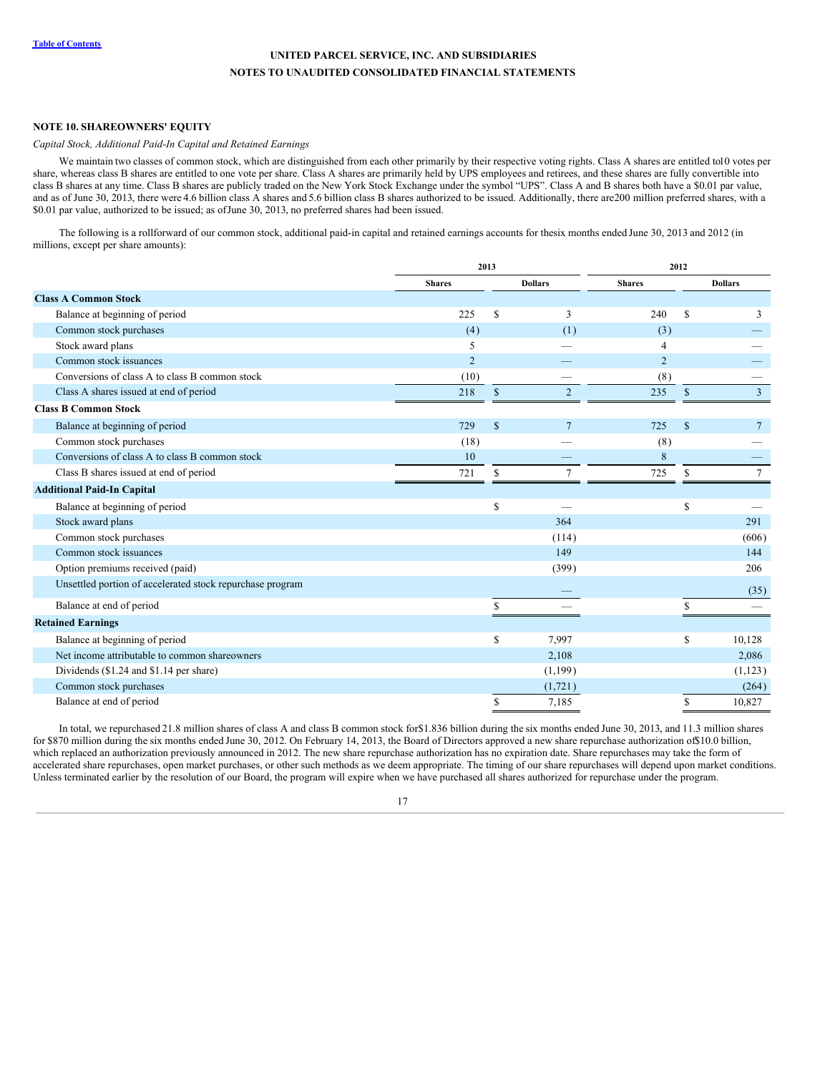# <span id="page-18-0"></span>**NOTE 10. SHAREOWNERS' EQUITY**

### *Capital Stock, Additional Paid-In Capital and Retained Earnings*

We maintain two classes of common stock, which are distinguished from each other primarily by their respective voting rights. Class A shares are entitled tol0 votes per share, whereas class B shares are entitled to one vote per share. Class A shares are primarily held by UPS employees and retirees, and these shares are fully convertible into class B shares at any time. Class B shares are publicly traded on the New York Stock Exchange under the symbol "UPS". Class A and B shares both have a \$0.01 par value, and as of June 30, 2013, there were 4.6 billion class A shares and 5.6 billion class B shares authorized to be issued. Additionally, there are200 million preferred shares, with a \$0.01 par value, authorized to be issued; as ofJune 30, 2013, no preferred shares had been issued.

The following is a rollforward of our common stock, additional paid-in capital and retained earnings accounts for thesix months ended June 30, 2013 and 2012 (in millions, except per share amounts):

|                                                           |                | 2013         |                | 2012           |               |                 |  |
|-----------------------------------------------------------|----------------|--------------|----------------|----------------|---------------|-----------------|--|
|                                                           | <b>Shares</b>  |              | <b>Dollars</b> | <b>Shares</b>  |               | <b>Dollars</b>  |  |
| <b>Class A Common Stock</b>                               |                |              |                |                |               |                 |  |
| Balance at beginning of period                            | 225            | S            | 3              | 240            | <sup>\$</sup> | 3               |  |
| Common stock purchases                                    | (4)            |              | (1)            | (3)            |               |                 |  |
| Stock award plans                                         | 5              |              |                | 4              |               |                 |  |
| Common stock issuances                                    | $\overline{2}$ |              |                | $\overline{2}$ |               |                 |  |
| Conversions of class A to class B common stock            | (10)           |              |                | (8)            |               |                 |  |
| Class A shares issued at end of period                    | 218            | $\mathbb{S}$ | $\overline{2}$ | 235            | $\mathsf{\$}$ | 3               |  |
| <b>Class B Common Stock</b>                               |                |              |                |                |               |                 |  |
| Balance at beginning of period                            | 729            | $\mathbb{S}$ | 7              | 725            | \$            | $7\phantom{.0}$ |  |
| Common stock purchases                                    | (18)           |              |                | (8)            |               |                 |  |
| Conversions of class A to class B common stock            | 10             |              |                | 8              |               |                 |  |
| Class B shares issued at end of period                    | 721            | \$           | $\tau$         | 725            | \$            | $7\phantom{.0}$ |  |
| <b>Additional Paid-In Capital</b>                         |                |              |                |                |               |                 |  |
| Balance at beginning of period                            |                | \$           |                |                | \$            |                 |  |
| Stock award plans                                         |                |              | 364            |                |               | 291             |  |
| Common stock purchases                                    |                |              | (114)          |                |               | (606)           |  |
| Common stock issuances                                    |                |              | 149            |                |               | 144             |  |
| Option premiums received (paid)                           |                |              | (399)          |                |               | 206             |  |
| Unsettled portion of accelerated stock repurchase program |                |              |                |                |               | (35)            |  |
| Balance at end of period                                  |                | S            |                |                | \$            |                 |  |
| <b>Retained Earnings</b>                                  |                |              |                |                |               |                 |  |
| Balance at beginning of period                            |                | \$           | 7,997          |                | \$            | 10,128          |  |
| Net income attributable to common shareowners             |                |              | 2,108          |                |               | 2,086           |  |
| Dividends (\$1.24 and \$1.14 per share)                   |                |              | (1,199)        |                |               | (1, 123)        |  |
| Common stock purchases                                    |                |              | (1,721)        |                |               | (264)           |  |
| Balance at end of period                                  |                | \$           | 7,185          |                | \$            | 10,827          |  |

In total, we repurchased 21.8 million shares of class A and class B common stock for\$1.836 billion during the six months ended June 30, 2013, and 11.3 million shares for \$870 million during the six months ended June 30, 2012. On February 14, 2013, the Board of Directors approved a new share repurchase authorization of \$10.0 billion, which replaced an authorization previously announced in 2012. The new share repurchase authorization has no expiration date. Share repurchases may take the form of accelerated share repurchases, open market purchases, or other such methods as we deem appropriate. The timing of our share repurchases will depend upon market conditions. Unless terminated earlier by the resolution of our Board, the program will expire when we have purchased all shares authorized for repurchase under the program.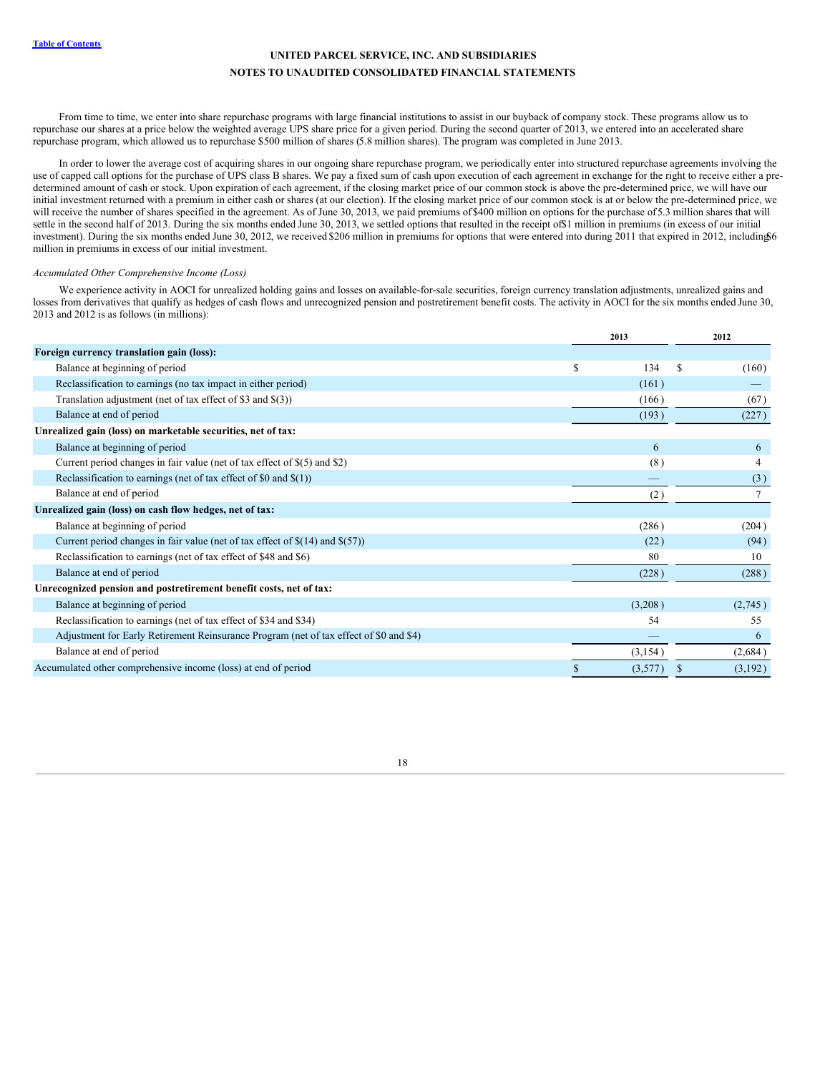From time to time, we enter into share repurchase programs with large financial institutions to assist in our buyback of company stock. These programs allow us to repurchase our shares at a price below the weighted average UPS share price for a given period. During the second quarter of 2013, we entered into an accelerated share repurchase program, which allowed us to repurchase \$500 million of shares (5.8 million shares). The program was completed in June 2013.

In order to lower the average cost of acquiring shares in our ongoing share repurchase program, we periodically enter into structured repurchase agreements involving the use of capped call options for the purchase of UPS class B shares. We pay a fixed sum of cash upon execution of each agreement in exchange for the right to receive either a predetermined amount of cash or stock. Upon expiration of each agreement, if the closing market price of our common stock is above the pre-determined price, we will have our initial investment returned with a premium in either cash or shares (at our election). If the closing market price of our common stock is at or below the pre-determined price, we will receive the number of shares specified in the agreement. As of June 30, 2013, we paid premiums of \$400 million on options for the purchase of 5.3 million shares that will settle in the second half of 2013. During the six months ended June 30, 2013, we settled options that resulted in the receipt of \$1 million in premiums (in excess of our initial investment). During the six months ended June 30, 2012, we received \$206 million in premiums for options that were entered into during 2011 that expired in 2012, including 6 million in premiums in excess of our initial investment.

#### *Accumulated Other Comprehensive Income (Loss)*

We experience activity in AOCI for unrealized holding gains and losses on available-for-sale securities, foreign currency translation adjustments, unrealized gains and losses from derivatives that qualify as hedges of cash flows and unrecognized pension and postretirement benefit costs. The activity in AOCI for the six months ended June 30, 2013 and 2012 is as follows (in millions):

|                                                                                        | 2013 |         | 2012 |         |
|----------------------------------------------------------------------------------------|------|---------|------|---------|
| Foreign currency translation gain (loss):                                              |      |         |      |         |
| Balance at beginning of period                                                         | S    | 134     | \$.  | (160)   |
| Reclassification to earnings (no tax impact in either period)                          |      | (161)   |      |         |
| Translation adjustment (net of tax effect of \$3 and $(\frac{1}{3})$ )                 |      | (166)   |      | (67)    |
| Balance at end of period                                                               |      | (193)   |      | (227)   |
| Unrealized gain (loss) on marketable securities, net of tax:                           |      |         |      |         |
| Balance at beginning of period                                                         |      | 6       |      | 6       |
| Current period changes in fair value (net of tax effect of $\S(5)$ and $\S2)$ )        |      | (8)     |      | 4       |
| Reclassification to earnings (net of tax effect of \$0 and $$(1))$ )                   |      |         |      | (3)     |
| Balance at end of period                                                               |      | (2)     |      | 7       |
| Unrealized gain (loss) on cash flow hedges, net of tax:                                |      |         |      |         |
| Balance at beginning of period                                                         |      | (286)   |      | (204)   |
| Current period changes in fair value (net of tax effect of $$(14)$ and $$(57)$ )       |      | (22)    |      | (94)    |
| Reclassification to earnings (net of tax effect of \$48 and \$6)                       |      | 80      |      | 10      |
| Balance at end of period                                                               |      | (228)   |      | (288)   |
| Unrecognized pension and postretirement benefit costs, net of tax:                     |      |         |      |         |
| Balance at beginning of period                                                         |      | (3,208) |      | (2,745) |
| Reclassification to earnings (net of tax effect of \$34 and \$34)                      |      | 54      |      | 55      |
| Adjustment for Early Retirement Reinsurance Program (net of tax effect of \$0 and \$4) |      |         |      | 6       |
| Balance at end of period                                                               |      | (3,154) |      | (2,684) |
| Accumulated other comprehensive income (loss) at end of period                         | S    | (3,577) | -S   | (3,192) |

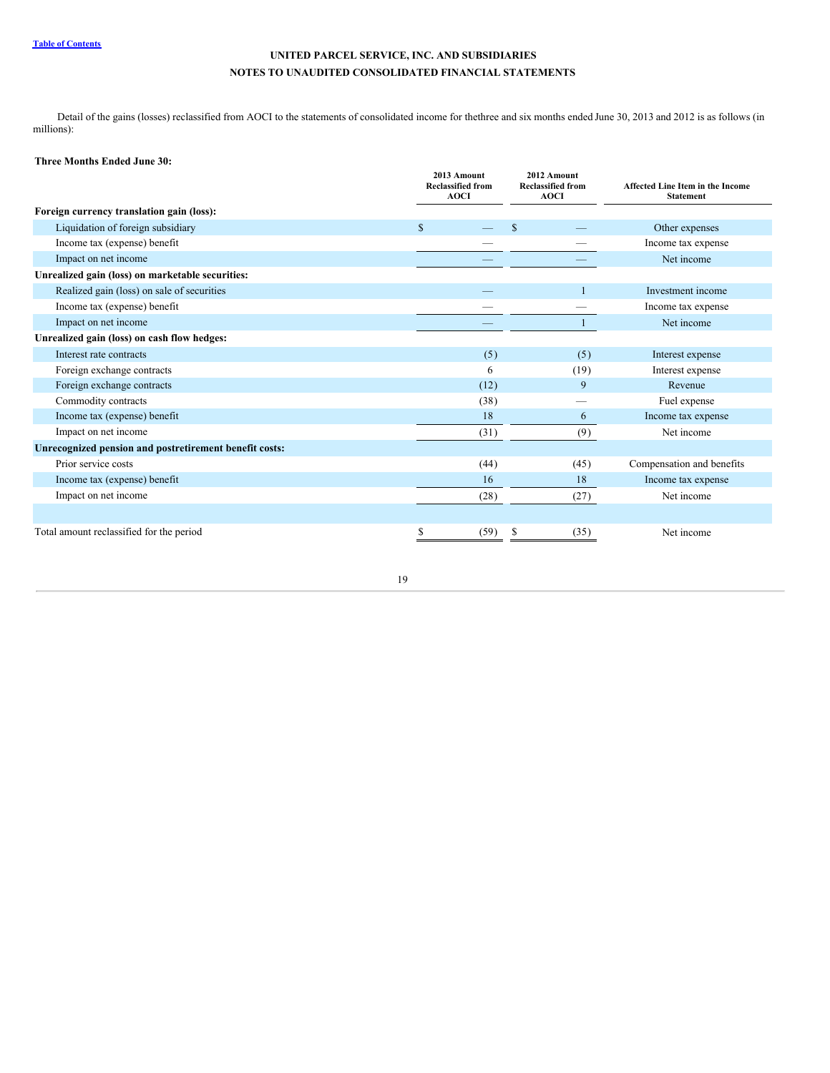Detail of the gains (losses) reclassified from AOCI to the statements of consolidated income for thethree and six months ended June 30, 2013 and 2012 is as follows (in millions):

## **Three Months Ended June 30:**

|                                                        | 2013 Amount<br><b>Reclassified from</b><br><b>AOCI</b> | 2012 Amount<br><b>Reclassified from</b><br><b>AOCI</b> | <b>Affected Line Item in the Income</b><br><b>Statement</b> |
|--------------------------------------------------------|--------------------------------------------------------|--------------------------------------------------------|-------------------------------------------------------------|
| Foreign currency translation gain (loss):              |                                                        |                                                        |                                                             |
| Liquidation of foreign subsidiary                      | \$                                                     | S                                                      | Other expenses                                              |
| Income tax (expense) benefit                           |                                                        |                                                        | Income tax expense                                          |
| Impact on net income                                   |                                                        |                                                        | Net income                                                  |
| Unrealized gain (loss) on marketable securities:       |                                                        |                                                        |                                                             |
| Realized gain (loss) on sale of securities             |                                                        |                                                        | Investment income                                           |
| Income tax (expense) benefit                           |                                                        |                                                        | Income tax expense                                          |
| Impact on net income                                   |                                                        |                                                        | Net income                                                  |
| Unrealized gain (loss) on cash flow hedges:            |                                                        |                                                        |                                                             |
| Interest rate contracts                                | (5)                                                    | (5)                                                    | Interest expense                                            |
| Foreign exchange contracts                             | 6                                                      | (19)                                                   | Interest expense                                            |
| Foreign exchange contracts                             | (12)                                                   | 9                                                      | Revenue                                                     |
| Commodity contracts                                    | (38)                                                   |                                                        | Fuel expense                                                |
| Income tax (expense) benefit                           | 18                                                     | 6                                                      | Income tax expense                                          |
| Impact on net income                                   | (31)                                                   | (9)                                                    | Net income                                                  |
| Unrecognized pension and postretirement benefit costs: |                                                        |                                                        |                                                             |
| Prior service costs                                    | (44)                                                   | (45)                                                   | Compensation and benefits                                   |
| Income tax (expense) benefit                           | 16                                                     | 18                                                     | Income tax expense                                          |
| Impact on net income                                   | (28)                                                   | (27)                                                   | Net income                                                  |
|                                                        |                                                        |                                                        |                                                             |
| Total amount reclassified for the period               | (59)                                                   | (35)                                                   | Net income                                                  |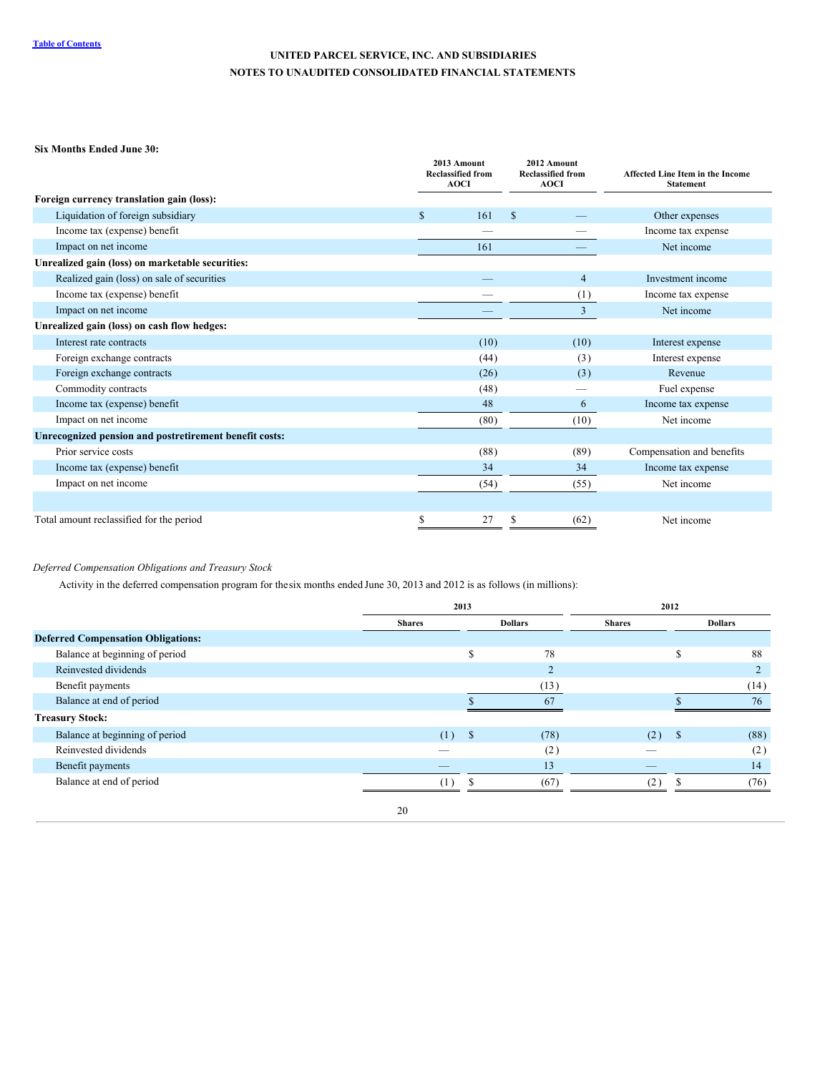# **Six Months Ended June 30:**

|                                                        |    | 2013 Amount<br><b>Reclassified from</b><br><b>AOCI</b> | 2012 Amount<br><b>Reclassified from</b><br><b>AOCI</b> | <b>Affected Line Item in the Income</b><br><b>Statement</b> |
|--------------------------------------------------------|----|--------------------------------------------------------|--------------------------------------------------------|-------------------------------------------------------------|
| Foreign currency translation gain (loss):              |    |                                                        |                                                        |                                                             |
| Liquidation of foreign subsidiary                      | \$ | 161                                                    | <sup>\$</sup>                                          | Other expenses                                              |
| Income tax (expense) benefit                           |    |                                                        |                                                        | Income tax expense                                          |
| Impact on net income                                   |    | 161                                                    |                                                        | Net income                                                  |
| Unrealized gain (loss) on marketable securities:       |    |                                                        |                                                        |                                                             |
| Realized gain (loss) on sale of securities             |    |                                                        | $\overline{4}$                                         | Investment income                                           |
| Income tax (expense) benefit                           |    |                                                        | (1)                                                    | Income tax expense                                          |
| Impact on net income                                   |    |                                                        | $\overline{3}$                                         | Net income                                                  |
| Unrealized gain (loss) on cash flow hedges:            |    |                                                        |                                                        |                                                             |
| Interest rate contracts                                |    | (10)                                                   | (10)                                                   | Interest expense                                            |
| Foreign exchange contracts                             |    | (44)                                                   | (3)                                                    | Interest expense                                            |
| Foreign exchange contracts                             |    | (26)                                                   | (3)                                                    | Revenue                                                     |
| Commodity contracts                                    |    | (48)                                                   |                                                        | Fuel expense                                                |
| Income tax (expense) benefit                           |    | 48                                                     | 6                                                      | Income tax expense                                          |
| Impact on net income                                   |    | (80)                                                   | (10)                                                   | Net income                                                  |
| Unrecognized pension and postretirement benefit costs: |    |                                                        |                                                        |                                                             |
| Prior service costs                                    |    | (88)                                                   | (89)                                                   | Compensation and benefits                                   |
| Income tax (expense) benefit                           |    | 34                                                     | 34                                                     | Income tax expense                                          |
| Impact on net income                                   |    | (54)                                                   | (55)                                                   | Net income                                                  |
|                                                        |    |                                                        |                                                        |                                                             |
| Total amount reclassified for the period               | S  | 27                                                     | (62)<br>S                                              | Net income                                                  |

# *Deferred Compensation Obligations and Treasury Stock*

Activity in the deferred compensation program for thesix months ended June 30, 2013 and 2012 is as follows (in millions):

|                                           | 2013                          |               |                | 2012          |               |                |  |
|-------------------------------------------|-------------------------------|---------------|----------------|---------------|---------------|----------------|--|
|                                           | <b>Shares</b>                 |               | <b>Dollars</b> | <b>Shares</b> |               | <b>Dollars</b> |  |
| <b>Deferred Compensation Obligations:</b> |                               |               |                |               |               |                |  |
| Balance at beginning of period            |                               | ¢<br>ъ        | 78             |               | $\sigma$<br>ъ | 88             |  |
| Reinvested dividends                      |                               |               | $\overline{2}$ |               |               | $\overline{2}$ |  |
| Benefit payments                          |                               |               | (13)           |               |               | (14)           |  |
| Balance at end of period                  |                               |               | 67             |               |               | 76             |  |
| <b>Treasury Stock:</b>                    |                               |               |                |               |               |                |  |
| Balance at beginning of period            | (1)                           | <sup>\$</sup> | (78)           | (2)           | $\mathbb{S}$  | (88)           |  |
| Reinvested dividends                      |                               |               | (2)            |               |               | (2)            |  |
| Benefit payments                          |                               |               | 13             |               |               | 14             |  |
| Balance at end of period                  | $\left\langle 1\right\rangle$ |               | (67)           | (2)           |               | (76)           |  |
|                                           | 20                            |               |                |               |               |                |  |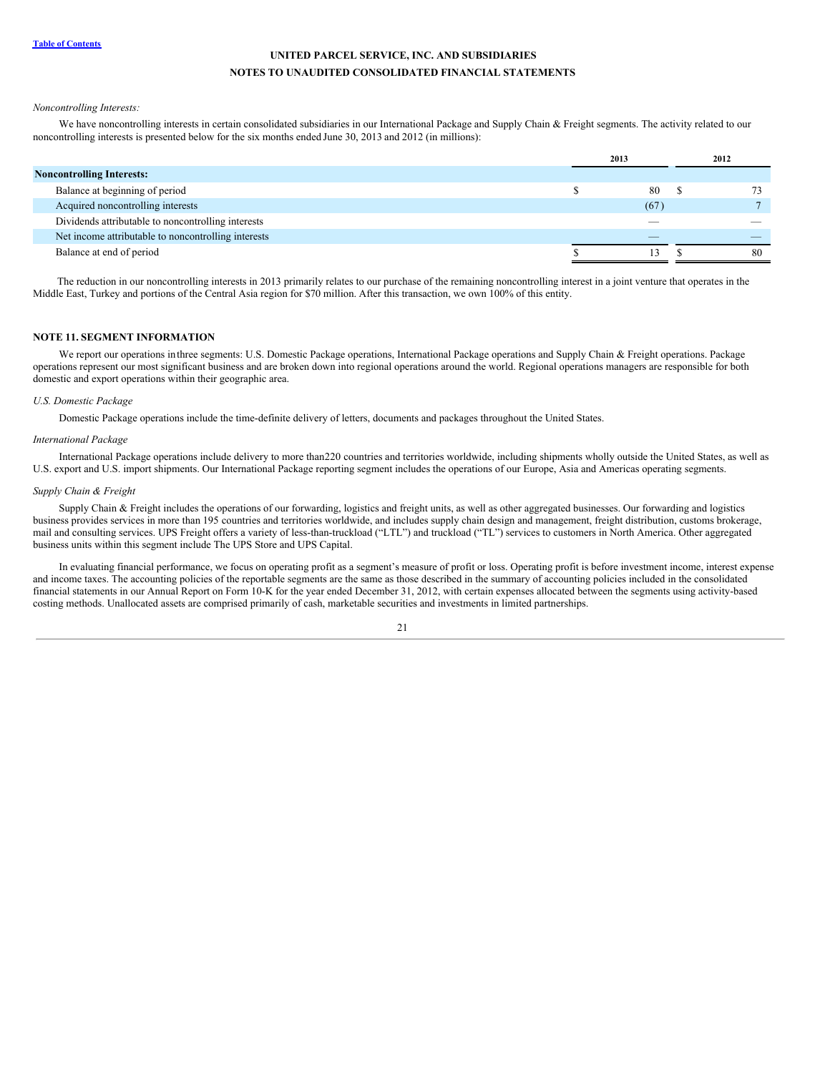### *Noncontrolling Interests:*

We have noncontrolling interests in certain consolidated subsidiaries in our International Package and Supply Chain & Freight segments. The activity related to our noncontrolling interests is presented below for the six months ended June 30, 2013 and 2012 (in millions):

|                                                     | 2013 | 2012 |
|-----------------------------------------------------|------|------|
| <b>Noncontrolling Interests:</b>                    |      |      |
| Balance at beginning of period                      | 80   |      |
| Acquired noncontrolling interests                   | (67) |      |
| Dividends attributable to noncontrolling interests  |      |      |
| Net income attributable to noncontrolling interests |      |      |
| Balance at end of period                            |      | 80   |

<span id="page-22-0"></span>The reduction in our noncontrolling interests in 2013 primarily relates to our purchase of the remaining noncontrolling interest in a joint venture that operates in the Middle East, Turkey and portions of the Central Asia region for \$70 million. After this transaction, we own 100% of this entity.

### **NOTE 11. SEGMENT INFORMATION**

We report our operations in three segments: U.S. Domestic Package operations, International Package operations and Supply Chain & Freight operations. Package operations represent our most significant business and are broken down into regional operations around the world. Regional operations managers are responsible for both domestic and export operations within their geographic area.

### *U.S. Domestic Package*

Domestic Package operations include the time-definite delivery of letters, documents and packages throughout the United States.

## *International Package*

International Package operations include delivery to more than220 countries and territories worldwide, including shipments wholly outside the United States, as well as U.S. export and U.S. import shipments. Our International Package reporting segment includes the operations of our Europe, Asia and Americas operating segments.

#### *Supply Chain & Freight*

Supply Chain & Freight includes the operations of our forwarding, logistics and freight units, as well as other aggregated businesses. Our forwarding and logistics business provides services in more than 195 countries and territories worldwide, and includes supply chain design and management, freight distribution, customs brokerage, mail and consulting services. UPS Freight offers a variety of less-than-truckload ("LTL") and truckload ("TL") services to customers in North America. Other aggregated business units within this segment include The UPS Store and UPS Capital.

In evaluating financial performance, we focus on operating profit as a segment's measure of profit or loss. Operating profit is before investment income, interest expense and income taxes. The accounting policies of the reportable segments are the same as those described in the summary of accounting policies included in the consolidated financial statements in our Annual Report on Form 10-K for the year ended December 31, 2012, with certain expenses allocated between the segments using activity-based costing methods. Unallocated assets are comprised primarily of cash, marketable securities and investments in limited partnerships.

<sup>21</sup>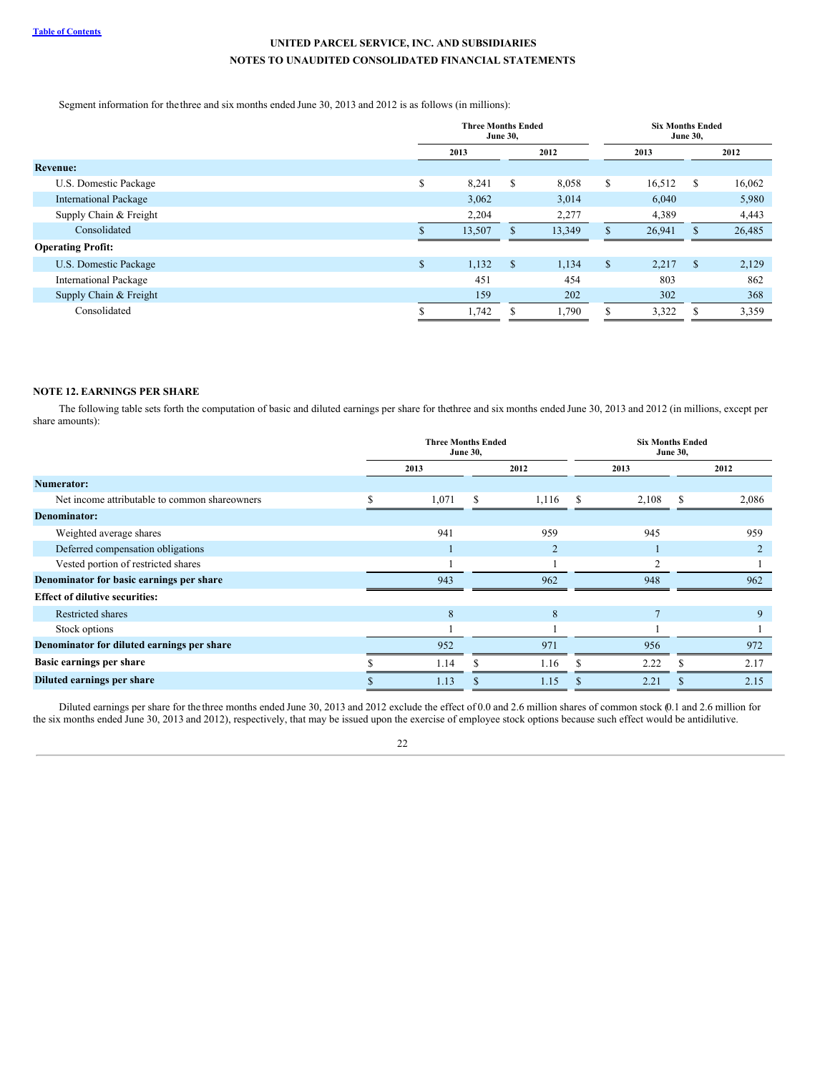Segment information for the three and six months ended June 30, 2013 and 2012 is as follows (in millions):

|                              | <b>Three Months Ended</b><br><b>June 30,</b> |        |              |        | <b>Six Months Ended</b><br><b>June 30,</b> |        |   |        |
|------------------------------|----------------------------------------------|--------|--------------|--------|--------------------------------------------|--------|---|--------|
|                              |                                              | 2013   |              | 2012   |                                            | 2013   |   | 2012   |
| <b>Revenue:</b>              |                                              |        |              |        |                                            |        |   |        |
| U.S. Domestic Package        | \$                                           | 8,241  | S            | 8,058  | \$                                         | 16,512 | S | 16,062 |
| <b>International Package</b> |                                              | 3,062  |              | 3,014  |                                            | 6,040  |   | 5,980  |
| Supply Chain & Freight       |                                              | 2,204  |              | 2,277  |                                            | 4,389  |   | 4,443  |
| Consolidated                 |                                              | 13,507 |              | 13,349 | ъ                                          | 26,941 |   | 26,485 |
| <b>Operating Profit:</b>     |                                              |        |              |        |                                            |        |   |        |
| U.S. Domestic Package        | \$                                           | 1,132  | <sup>S</sup> | 1,134  | $\mathbb{S}$                               | 2,217  | S | 2,129  |
| <b>International Package</b> |                                              | 451    |              | 454    |                                            | 803    |   | 862    |
| Supply Chain & Freight       |                                              | 159    |              | 202    |                                            | 302    |   | 368    |
| Consolidated                 |                                              | 1,742  |              | 1,790  |                                            | 3,322  |   | 3,359  |

## <span id="page-23-0"></span>**NOTE 12. EARNINGS PER SHARE**

The following table sets forth the computation of basic and diluted earnings per share for thethree and six months ended June 30, 2013 and 2012 (in millions, except per share amounts):

|                                               |   | <b>Three Months Ended</b><br><b>June 30,</b> |    | <b>Six Months Ended</b><br><b>June 30,</b> |      |                 |      |       |
|-----------------------------------------------|---|----------------------------------------------|----|--------------------------------------------|------|-----------------|------|-------|
|                                               |   | 2013                                         |    | 2012                                       | 2013 |                 | 2012 |       |
| <b>Numerator:</b>                             |   |                                              |    |                                            |      |                 |      |       |
| Net income attributable to common shareowners | S | 1,071                                        | S. | 1,116                                      | -S   | 2,108           | -S   | 2,086 |
| Denominator:                                  |   |                                              |    |                                            |      |                 |      |       |
| Weighted average shares                       |   | 941                                          |    | 959                                        |      | 945             |      | 959   |
| Deferred compensation obligations             |   |                                              |    |                                            |      |                 |      |       |
| Vested portion of restricted shares           |   |                                              |    |                                            |      |                 |      |       |
| Denominator for basic earnings per share      |   | 943                                          |    | 962                                        |      | 948             |      | 962   |
| <b>Effect of dilutive securities:</b>         |   |                                              |    |                                            |      |                 |      |       |
| <b>Restricted shares</b>                      |   | 8                                            |    | 8                                          |      | $7\phantom{.0}$ |      | 9     |
| Stock options                                 |   |                                              |    |                                            |      |                 |      |       |
| Denominator for diluted earnings per share    |   | 952                                          |    | 971                                        |      | 956             |      | 972   |
| Basic earnings per share                      |   | 1.14                                         |    | 1.16                                       |      | 2.22            |      | 2.17  |
| Diluted earnings per share                    | Ф | 1.13                                         |    | 1.15                                       |      | 2.21            |      | 2.15  |

Diluted earnings per share for the three months ended June 30, 2013 and 2012 exclude the effect of 0.0 and 2.6 million shares of common stock (0.1 and 2.6 million for the six months ended June 30, 2013 and 2012), respectively, that may be issued upon the exercise of employee stock options because such effect would be antidilutive.

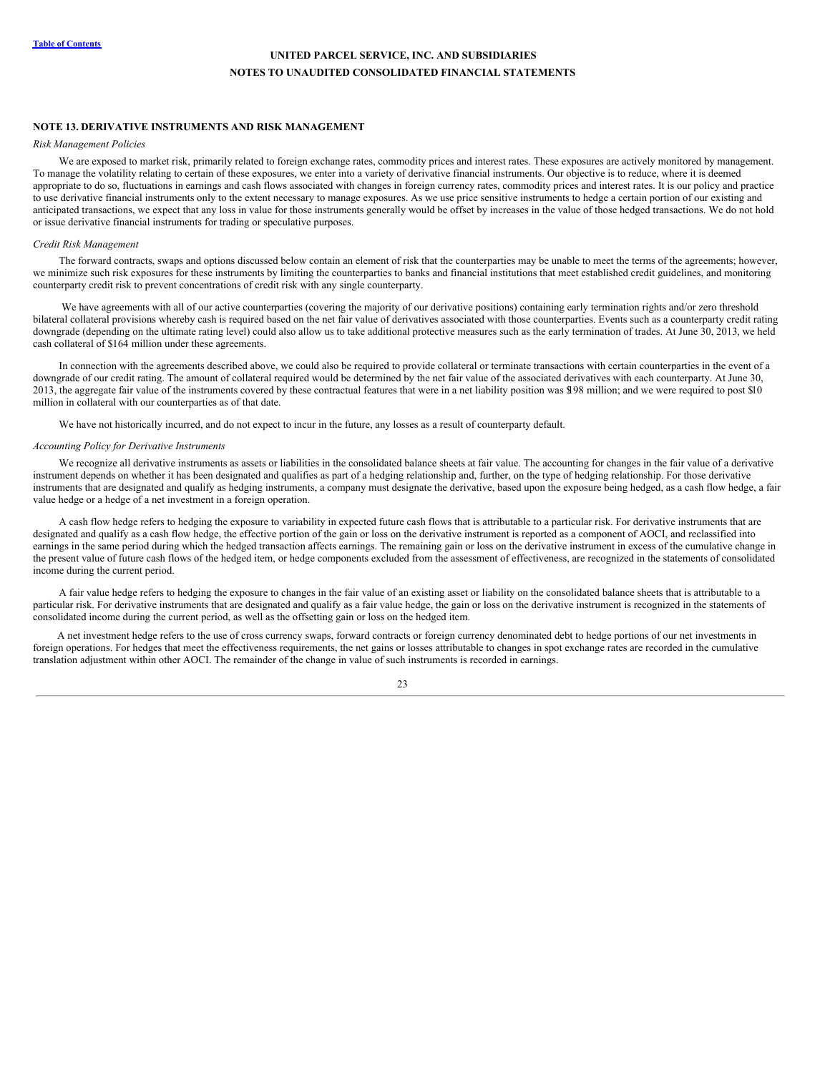## <span id="page-24-0"></span>**NOTE 13. DERIVATIVE INSTRUMENTS AND RISK MANAGEMENT**

### *Risk Management Policies*

We are exposed to market risk, primarily related to foreign exchange rates, commodity prices and interest rates. These exposures are actively monitored by management. To manage the volatility relating to certain of these exposures, we enter into a variety of derivative financial instruments. Our objective is to reduce, where it is deemed appropriate to do so, fluctuations in earnings and cash flows associated with changes in foreign currency rates, commodity prices and interest rates. It is our policy and practice to use derivative financial instruments only to the extent necessary to manage exposures. As we use price sensitive instruments to hedge a certain portion of our existing and anticipated transactions, we expect that any loss in value for those instruments generally would be offset by increases in the value of those hedged transactions. We do not hold or issue derivative financial instruments for trading or speculative purposes.

#### *Credit Risk Management*

The forward contracts, swaps and options discussed below contain an element of risk that the counterparties may be unable to meet the terms of the agreements; however, we minimize such risk exposures for these instruments by limiting the counterparties to banks and financial institutions that meet established credit guidelines, and monitoring counterparty credit risk to prevent concentrations of credit risk with any single counterparty.

We have agreements with all of our active counterparties (covering the majority of our derivative positions) containing early termination rights and/or zero threshold bilateral collateral provisions whereby cash is required based on the net fair value of derivatives associated with those counterparties. Events such as a counterparty credit rating downgrade (depending on the ultimate rating level) could also allow us to take additional protective measures such as the early termination of trades. At June 30, 2013, we held cash collateral of \$164 million under these agreements.

In connection with the agreements described above, we could also be required to provide collateral or terminate transactions with certain counterparties in the event of a downgrade of our credit rating. The amount of collateral required would be determined by the net fair value of the associated derivatives with each counterparty. At June 30, 2013, the aggregate fair value of the instruments covered by these contractual features that were in a net liability position was \$198 million; and we were required to post \$10 million in collateral with our counterparties as of that date.

We have not historically incurred, and do not expect to incur in the future, any losses as a result of counterparty default.

#### *Accounting Policy for Derivative Instruments*

We recognize all derivative instruments as assets or liabilities in the consolidated balance sheets at fair value. The accounting for changes in the fair value of a derivative instrument depends on whether it has been designated and qualifies as part of a hedging relationship and, further, on the type of hedging relationship. For those derivative instruments that are designated and qualify as hedging instruments, a company must designate the derivative, based upon the exposure being hedged, as a cash flow hedge, a fair value hedge or a hedge of a net investment in a foreign operation.

A cash flow hedge refers to hedging the exposure to variability in expected future cash flows that is attributable to a particular risk. For derivative instruments that are designated and qualify as a cash flow hedge, the effective portion of the gain or loss on the derivative instrument is reported as a component of AOCI, and reclassified into earnings in the same period during which the hedged transaction affects earnings. The remaining gain or loss on the derivative instrument in excess of the cumulative change in the present value of future cash flows of the hedged item, or hedge components excluded from the assessment of effectiveness, are recognized in the statements of consolidated income during the current period.

A fair value hedge refers to hedging the exposure to changes in the fair value of an existing asset or liability on the consolidated balance sheets that is attributable to a particular risk. For derivative instruments that are designated and qualify as a fair value hedge, the gain or loss on the derivative instrument is recognized in the statements of consolidated income during the current period, as well as the offsetting gain or loss on the hedged item.

A net investment hedge refers to the use of cross currency swaps, forward contracts or foreign currency denominated debt to hedge portions of our net investments in foreign operations. For hedges that meet the effectiveness requirements, the net gains or losses attributable to changes in spot exchange rates are recorded in the cumulative translation adjustment within other AOCI. The remainder of the change in value of such instruments is recorded in earnings.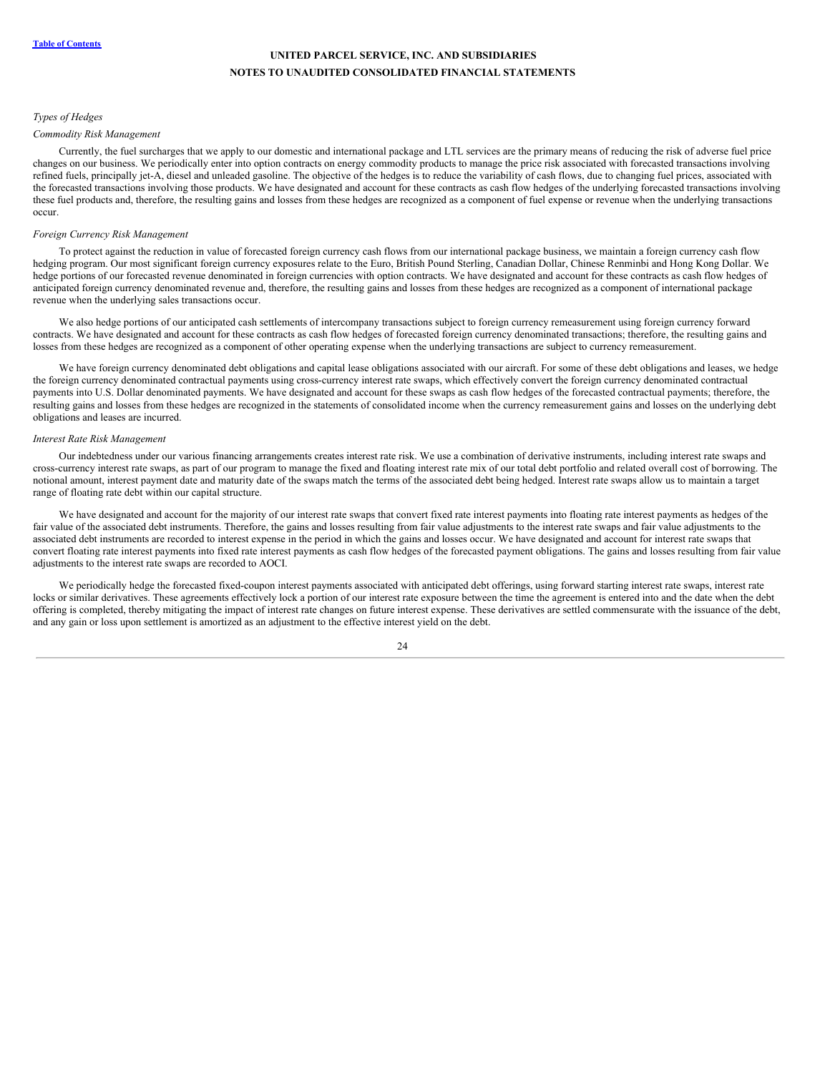## *Types of Hedges*

#### *Commodity Risk Management*

Currently, the fuel surcharges that we apply to our domestic and international package and LTL services are the primary means of reducing the risk of adverse fuel price changes on our business. We periodically enter into option contracts on energy commodity products to manage the price risk associated with forecasted transactions involving refined fuels, principally jet-A, diesel and unleaded gasoline. The objective of the hedges is to reduce the variability of cash flows, due to changing fuel prices, associated with the forecasted transactions involving those products. We have designated and account for these contracts as cash flow hedges of the underlying forecasted transactions involving these fuel products and, therefore, the resulting gains and losses from these hedges are recognized as a component of fuel expense or revenue when the underlying transactions occur.

#### *Foreign Currency Risk Management*

To protect against the reduction in value of forecasted foreign currency cash flows from our international package business, we maintain a foreign currency cash flow hedging program. Our most significant foreign currency exposures relate to the Euro, British Pound Sterling, Canadian Dollar, Chinese Renminbi and Hong Kong Dollar. We hedge portions of our forecasted revenue denominated in foreign currencies with option contracts. We have designated and account for these contracts as cash flow hedges of anticipated foreign currency denominated revenue and, therefore, the resulting gains and losses from these hedges are recognized as a component of international package revenue when the underlying sales transactions occur.

We also hedge portions of our anticipated cash settlements of intercompany transactions subject to foreign currency remeasurement using foreign currency forward contracts. We have designated and account for these contracts as cash flow hedges of forecasted foreign currency denominated transactions; therefore, the resulting gains and losses from these hedges are recognized as a component of other operating expense when the underlying transactions are subject to currency remeasurement.

We have foreign currency denominated debt obligations and capital lease obligations associated with our aircraft. For some of these debt obligations and leases, we hedge the foreign currency denominated contractual payments using cross-currency interest rate swaps, which effectively convert the foreign currency denominated contractual payments into U.S. Dollar denominated payments. We have designated and account for these swaps as cash flow hedges of the forecasted contractual payments; therefore, the resulting gains and losses from these hedges are recognized in the statements of consolidated income when the currency remeasurement gains and losses on the underlying debt obligations and leases are incurred.

### *Interest Rate Risk Management*

Our indebtedness under our various financing arrangements creates interest rate risk. We use a combination of derivative instruments, including interest rate swaps and cross-currency interest rate swaps, as part of our program to manage the fixed and floating interest rate mix of our total debt portfolio and related overall cost of borrowing. The notional amount, interest payment date and maturity date of the swaps match the terms of the associated debt being hedged. Interest rate swaps allow us to maintain a target range of floating rate debt within our capital structure.

We have designated and account for the majority of our interest rate swaps that convert fixed rate interest payments into floating rate interest payments as hedges of the fair value of the associated debt instruments. Therefore, the gains and losses resulting from fair value adjustments to the interest rate swaps and fair value adjustments to the associated debt instruments are recorded to interest expense in the period in which the gains and losses occur. We have designated and account for interest rate swaps that convert floating rate interest payments into fixed rate interest payments as cash flow hedges of the forecasted payment obligations. The gains and losses resulting from fair value adjustments to the interest rate swaps are recorded to AOCI.

We periodically hedge the forecasted fixed-coupon interest payments associated with anticipated debt offerings, using forward starting interest rate swaps, interest rate locks or similar derivatives. These agreements effectively lock a portion of our interest rate exposure between the time the agreement is entered into and the date when the debt offering is completed, thereby mitigating the impact of interest rate changes on future interest expense. These derivatives are settled commensurate with the issuance of the debt, and any gain or loss upon settlement is amortized as an adjustment to the effective interest yield on the debt.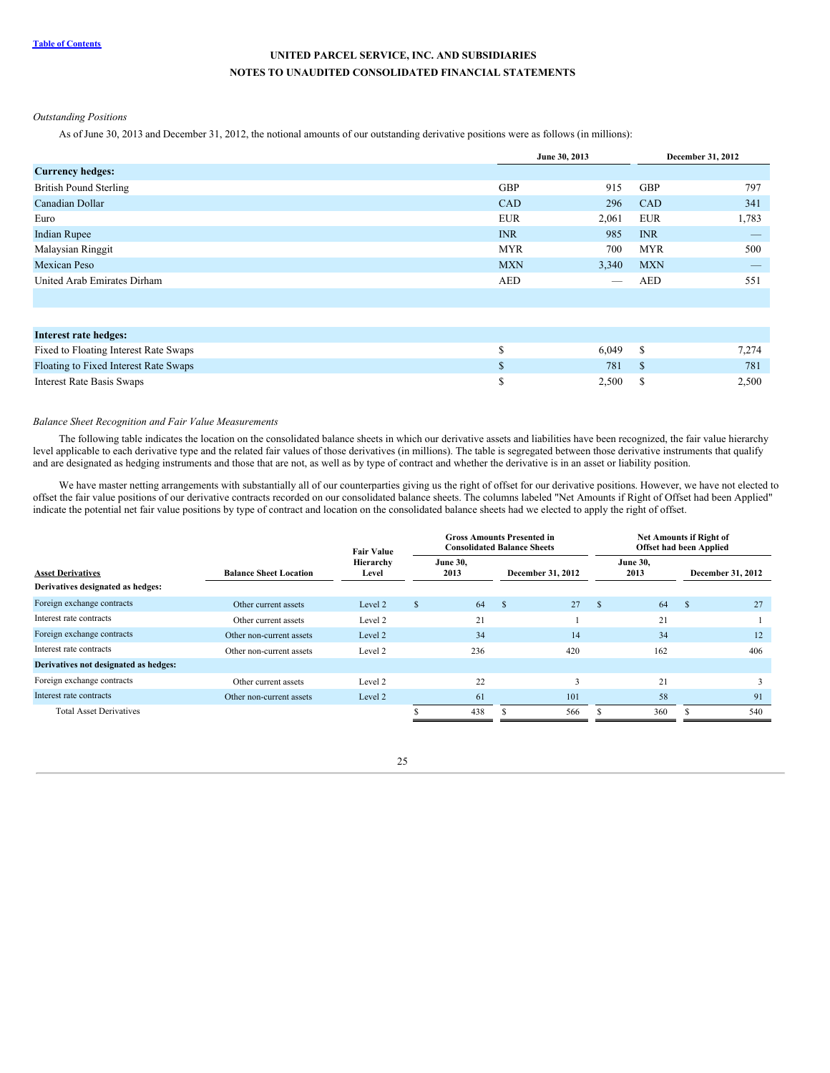### *Outstanding Positions*

As of June 30, 2013 and December 31, 2012, the notional amounts of our outstanding derivative positions were as follows (in millions):

|                               |            | June 30, 2013 | December 31, 2012 |       |  |
|-------------------------------|------------|---------------|-------------------|-------|--|
| <b>Currency hedges:</b>       |            |               |                   |       |  |
| <b>British Pound Sterling</b> | <b>GBP</b> | 915           | <b>GBP</b>        | 797   |  |
| Canadian Dollar               | CAD        | 296           | <b>CAD</b>        | 341   |  |
| Euro                          | <b>EUR</b> | 2,061         | EUR               | 1,783 |  |
| <b>Indian Rupee</b>           | <b>INR</b> | 985           | <b>INR</b>        |       |  |
| Malaysian Ringgit             | <b>MYR</b> | 700           | <b>MYR</b>        | 500   |  |
| Mexican Peso                  | <b>MXN</b> | 3,340         | <b>MXN</b>        | _     |  |
| United Arab Emirates Dirham   | AED        | _             | AED               | 551   |  |
|                               |            |               |                   |       |  |

| Interest rate hedges:                 |       |       |
|---------------------------------------|-------|-------|
| Fixed to Floating Interest Rate Swaps | 6.049 | 7,274 |
| Floating to Fixed Interest Rate Swaps | 781   | 781   |
| Interest Rate Basis Swaps             | 2.500 | 2,500 |

### *Balance Sheet Recognition and Fair Value Measurements*

The following table indicates the location on the consolidated balance sheets in which our derivative assets and liabilities have been recognized, the fair value hierarchy level applicable to each derivative type and the related fair values of those derivatives (in millions). The table is segregated between those derivative instruments that qualify and are designated as hedging instruments and those that are not, as well as by type of contract and whether the derivative is in an asset or liability position.

We have master netting arrangements with substantially all of our counterparties giving us the right of offset for our derivative positions. However, we have not elected to offset the fair value positions of our derivative contracts recorded on our consolidated balance sheets. The columns labeled "Net Amounts if Right of Offset had been Applied" indicate the potential net fair value positions by type of contract and location on the consolidated balance sheets had we elected to apply the right of offset.

|                                       | <b>Fair Value</b>             |                    | <b>Gross Amounts Presented in</b><br><b>Consolidated Balance Sheets</b> |     |                   | <b>Net Amounts if Right of</b><br><b>Offset had been Applied</b> |                         |     |                   |     |
|---------------------------------------|-------------------------------|--------------------|-------------------------------------------------------------------------|-----|-------------------|------------------------------------------------------------------|-------------------------|-----|-------------------|-----|
| <b>Asset Derivatives</b>              | <b>Balance Sheet Location</b> | Hierarchy<br>Level | <b>June 30,</b><br>2013                                                 |     | December 31, 2012 |                                                                  | <b>June 30,</b><br>2013 |     | December 31, 2012 |     |
| Derivatives designated as hedges:     |                               |                    |                                                                         |     |                   |                                                                  |                         |     |                   |     |
| Foreign exchange contracts            | Other current assets          | Level 2            | <sup>\$</sup>                                                           | 64  | $\mathbf{s}$      | 27                                                               | $\mathbf{s}$            | 64  | S                 | 27  |
| Interest rate contracts               | Other current assets          | Level 2            |                                                                         | 21  |                   |                                                                  |                         | 21  |                   |     |
| Foreign exchange contracts            | Other non-current assets      | Level 2            |                                                                         | 34  |                   | 14                                                               |                         | 34  |                   | 12  |
| Interest rate contracts               | Other non-current assets      | Level 2            |                                                                         | 236 |                   | 420                                                              |                         | 162 |                   | 406 |
| Derivatives not designated as hedges: |                               |                    |                                                                         |     |                   |                                                                  |                         |     |                   |     |
| Foreign exchange contracts            | Other current assets          | Level 2            |                                                                         | 22  |                   | 3                                                                |                         | 21  |                   |     |
| Interest rate contracts               | Other non-current assets      | Level 2            |                                                                         | 61  |                   | 101                                                              |                         | 58  |                   | 91  |
| <b>Total Asset Derivatives</b>        |                               |                    |                                                                         | 438 |                   | 566                                                              |                         | 360 |                   | 540 |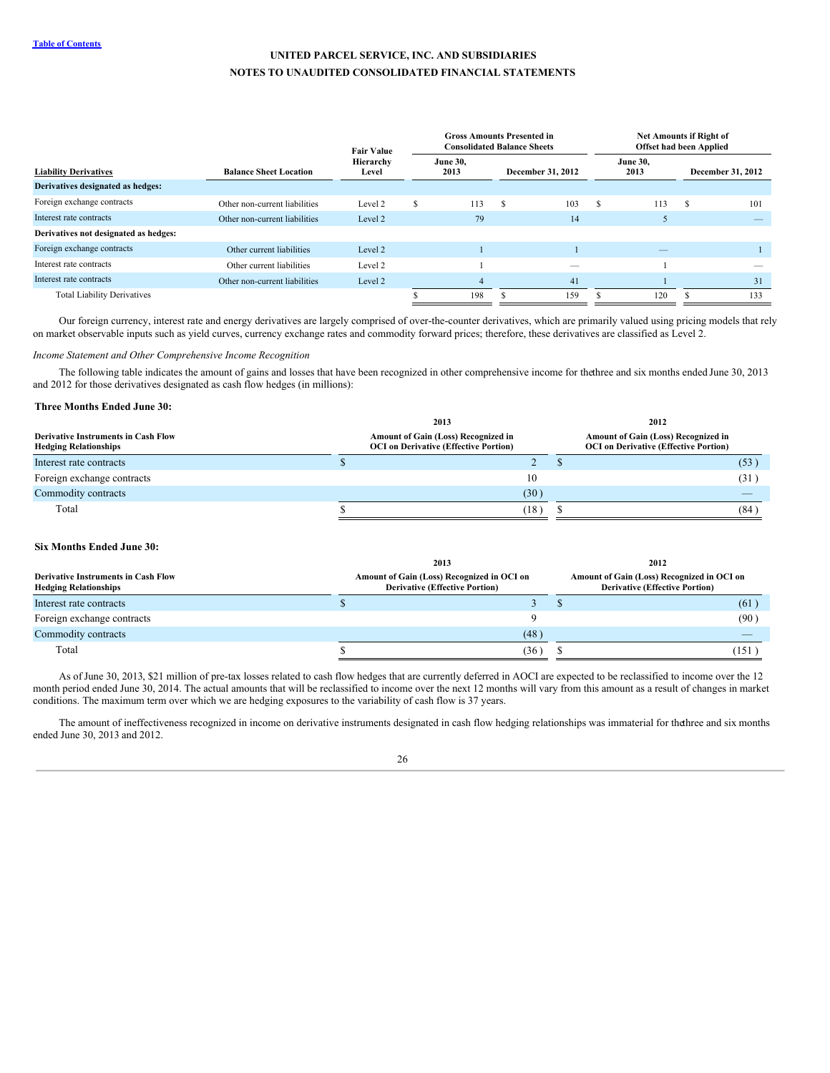|                                       |                                                     | <b>Fair Value</b> |   | <b>Gross Amounts Presented in</b><br><b>Consolidated Balance Sheets</b> |               | <b>Net Amounts if Right of</b><br><b>Offset had been Applied</b> |               |                         |   |                   |  |
|---------------------------------------|-----------------------------------------------------|-------------------|---|-------------------------------------------------------------------------|---------------|------------------------------------------------------------------|---------------|-------------------------|---|-------------------|--|
| <b>Liability Derivatives</b>          | Hierarchy<br><b>Balance Sheet Location</b><br>Level |                   |   | <b>June 30,</b><br>2013                                                 |               | December 31, 2012                                                |               | <b>June 30,</b><br>2013 |   | December 31, 2012 |  |
| Derivatives designated as hedges:     |                                                     |                   |   |                                                                         |               |                                                                  |               |                         |   |                   |  |
| Foreign exchange contracts            | Other non-current liabilities                       | Level 2           | S | 113                                                                     | <sup>\$</sup> | 103                                                              | <sup>\$</sup> | 113                     | S | 101               |  |
| Interest rate contracts               | Other non-current liabilities                       | Level 2           |   | 79                                                                      |               | 14                                                               |               |                         |   |                   |  |
| Derivatives not designated as hedges: |                                                     |                   |   |                                                                         |               |                                                                  |               |                         |   |                   |  |
| Foreign exchange contracts            | Other current liabilities                           | Level 2           |   |                                                                         |               |                                                                  |               |                         |   |                   |  |
| Interest rate contracts               | Other current liabilities                           | Level 2           |   |                                                                         |               | $\overline{\phantom{a}}$                                         |               |                         |   |                   |  |
| Interest rate contracts               | Other non-current liabilities                       | Level 2           |   | $\overline{4}$                                                          |               | 41                                                               |               |                         |   | 31                |  |
| <b>Total Liability Derivatives</b>    |                                                     |                   |   | 198                                                                     |               | 159                                                              |               | 120                     |   | 133               |  |

Our foreign currency, interest rate and energy derivatives are largely comprised of over-the-counter derivatives, which are primarily valued using pricing models that rely on market observable inputs such as yield curves, currency exchange rates and commodity forward prices; therefore, these derivatives are classified as Level 2.

*Income Statement and Other Comprehensive Income Recognition*

The following table indicates the amount of gains and losses that have been recognized in other comprehensive income for thethree and six months ended June 30, 2013 and 2012 for those derivatives designated as cash flow hedges (in millions):

#### **Three Months Ended June 30:**

|                                                                            | 2013                                                                                | 2012 |                                                                                     |      |  |
|----------------------------------------------------------------------------|-------------------------------------------------------------------------------------|------|-------------------------------------------------------------------------------------|------|--|
| <b>Derivative Instruments in Cash Flow</b><br><b>Hedging Relationships</b> | Amount of Gain (Loss) Recognized in<br><b>OCI</b> on Derivative (Effective Portion) |      | Amount of Gain (Loss) Recognized in<br><b>OCI</b> on Derivative (Effective Portion) |      |  |
| Interest rate contracts                                                    |                                                                                     |      |                                                                                     | (53) |  |
| Foreign exchange contracts                                                 |                                                                                     | 10   |                                                                                     | (31) |  |
| Commodity contracts                                                        |                                                                                     | (30) |                                                                                     |      |  |
| Total                                                                      |                                                                                     | 18   |                                                                                     | (84  |  |

### **Six Months Ended June 30:**

|                                                                            | 2013                                                                                | 2012                                                                                |
|----------------------------------------------------------------------------|-------------------------------------------------------------------------------------|-------------------------------------------------------------------------------------|
| <b>Derivative Instruments in Cash Flow</b><br><b>Hedging Relationships</b> | Amount of Gain (Loss) Recognized in OCI on<br><b>Derivative (Effective Portion)</b> | Amount of Gain (Loss) Recognized in OCI on<br><b>Derivative (Effective Portion)</b> |
| Interest rate contracts                                                    |                                                                                     | (61)                                                                                |
| Foreign exchange contracts                                                 |                                                                                     | (90)                                                                                |
| Commodity contracts                                                        | (48)                                                                                |                                                                                     |
| Total                                                                      | (36)                                                                                | (151                                                                                |

As of June 30, 2013, \$21 million of pre-tax losses related to cash flow hedges that are currently deferred in AOCI are expected to be reclassified to income over the 12 month period ended June 30, 2014. The actual amounts that will be reclassified to income over the next 12 months will vary from this amount as a result of changes in market conditions. The maximum term over which we are hedging exposures to the variability of cash flow is 37 years.

The amount of ineffectiveness recognized in income on derivative instruments designated in cash flow hedging relationships was immaterial for thethree and six months ended June 30, 2013 and 2012.

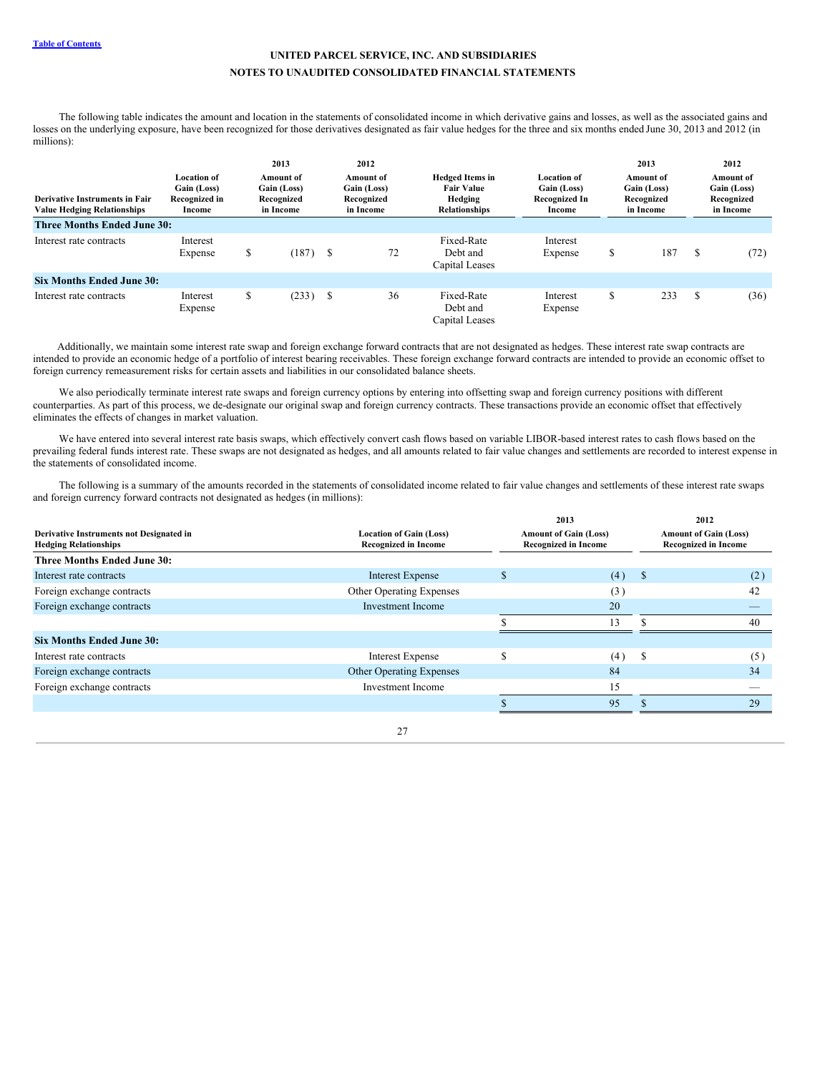The following table indicates the amount and location in the statements of consolidated income in which derivative gains and losses, as well as the associated gains and losses on the underlying exposure, have been recognized for those derivatives designated as fair value hedges for the three and six months ended June 30, 2013 and 2012 (in millions):

| Derivative Instruments in Fair<br><b>Value Hedging Relationships</b> | Location of<br>Gain (Loss)<br>Recognized in<br>Income |   | 2013<br><b>Amount</b> of<br>Gain (Loss)<br>Recognized<br>in Income |            | 2012<br><b>Amount</b> of<br>Gain (Loss)<br>Recognized<br>in Income | <b>Hedged Items in</b><br><b>Fair Value</b><br>Hedging<br><b>Relationships</b> | <b>Location of</b><br>Gain (Loss)<br><b>Recognized In</b><br>Income |   | 2013<br><b>Amount of</b><br>Gain (Loss)<br>Recognized<br>in Income |   | 2012<br><b>Amount</b> of<br>Gain (Loss)<br>Recognized<br>in Income |
|----------------------------------------------------------------------|-------------------------------------------------------|---|--------------------------------------------------------------------|------------|--------------------------------------------------------------------|--------------------------------------------------------------------------------|---------------------------------------------------------------------|---|--------------------------------------------------------------------|---|--------------------------------------------------------------------|
| <b>Three Months Ended June 30:</b>                                   |                                                       |   |                                                                    |            |                                                                    |                                                                                |                                                                     |   |                                                                    |   |                                                                    |
| Interest rate contracts                                              | Interest<br>Expense                                   | S | $(187)$ \$                                                         |            | 72                                                                 | Fixed-Rate<br>Debt and<br>Capital Leases                                       | Interest<br>Expense                                                 | S | 187                                                                | S | (72)                                                               |
| <b>Six Months Ended June 30:</b>                                     |                                                       |   |                                                                    |            |                                                                    |                                                                                |                                                                     |   |                                                                    |   |                                                                    |
| Interest rate contracts                                              | Interest<br>Expense                                   | S | (233)                                                              | $^{\circ}$ | 36                                                                 | Fixed-Rate<br>Debt and<br>Capital Leases                                       | Interest<br>Expense                                                 | S | 233                                                                | S | (36)                                                               |

Additionally, we maintain some interest rate swap and foreign exchange forward contracts that are not designated as hedges. These interest rate swap contracts are intended to provide an economic hedge of a portfolio of interest bearing receivables. These foreign exchange forward contracts are intended to provide an economic offset to foreign currency remeasurement risks for certain assets and liabilities in our consolidated balance sheets.

We also periodically terminate interest rate swaps and foreign currency options by entering into offsetting swap and foreign currency positions with different counterparties. As part of this process, we de-designate our original swap and foreign currency contracts. These transactions provide an economic offset that effectively eliminates the effects of changes in market valuation.

We have entered into several interest rate basis swaps, which effectively convert cash flows based on variable LIBOR-based interest rates to cash flows based on the prevailing federal funds interest rate. These swaps are not designated as hedges, and all amounts related to fair value changes and settlements are recorded to interest expense in the statements of consolidated income.

The following is a summary of the amounts recorded in the statements of consolidated income related to fair value changes and settlements of these interest rate swaps and foreign currency forward contracts not designated as hedges (in millions):

|                                                                          |                                                               |               | 2013                                                        |               | 2012                                                        |
|--------------------------------------------------------------------------|---------------------------------------------------------------|---------------|-------------------------------------------------------------|---------------|-------------------------------------------------------------|
| Derivative Instruments not Designated in<br><b>Hedging Relationships</b> | <b>Location of Gain (Loss)</b><br><b>Recognized in Income</b> |               | <b>Amount of Gain (Loss)</b><br><b>Recognized in Income</b> |               | <b>Amount of Gain (Loss)</b><br><b>Recognized in Income</b> |
| <b>Three Months Ended June 30:</b>                                       |                                                               |               |                                                             |               |                                                             |
| Interest rate contracts                                                  | Interest Expense                                              | <sup>\$</sup> | (4)                                                         | $\mathbf{s}$  | (2)                                                         |
| Foreign exchange contracts                                               | Other Operating Expenses                                      |               | (3)                                                         |               | 42                                                          |
| Foreign exchange contracts                                               | Investment Income                                             |               | 20                                                          |               |                                                             |
|                                                                          |                                                               |               | 13                                                          |               | 40                                                          |
| <b>Six Months Ended June 30:</b>                                         |                                                               |               |                                                             |               |                                                             |
| Interest rate contracts                                                  | <b>Interest Expense</b>                                       | \$.           | (4)                                                         | <sup>\$</sup> | (5)                                                         |
| Foreign exchange contracts                                               | <b>Other Operating Expenses</b>                               |               | 84                                                          |               | 34                                                          |
| Foreign exchange contracts                                               | Investment Income                                             |               | 15                                                          |               |                                                             |
|                                                                          |                                                               |               | 95                                                          |               | 29                                                          |
|                                                                          |                                                               |               |                                                             |               |                                                             |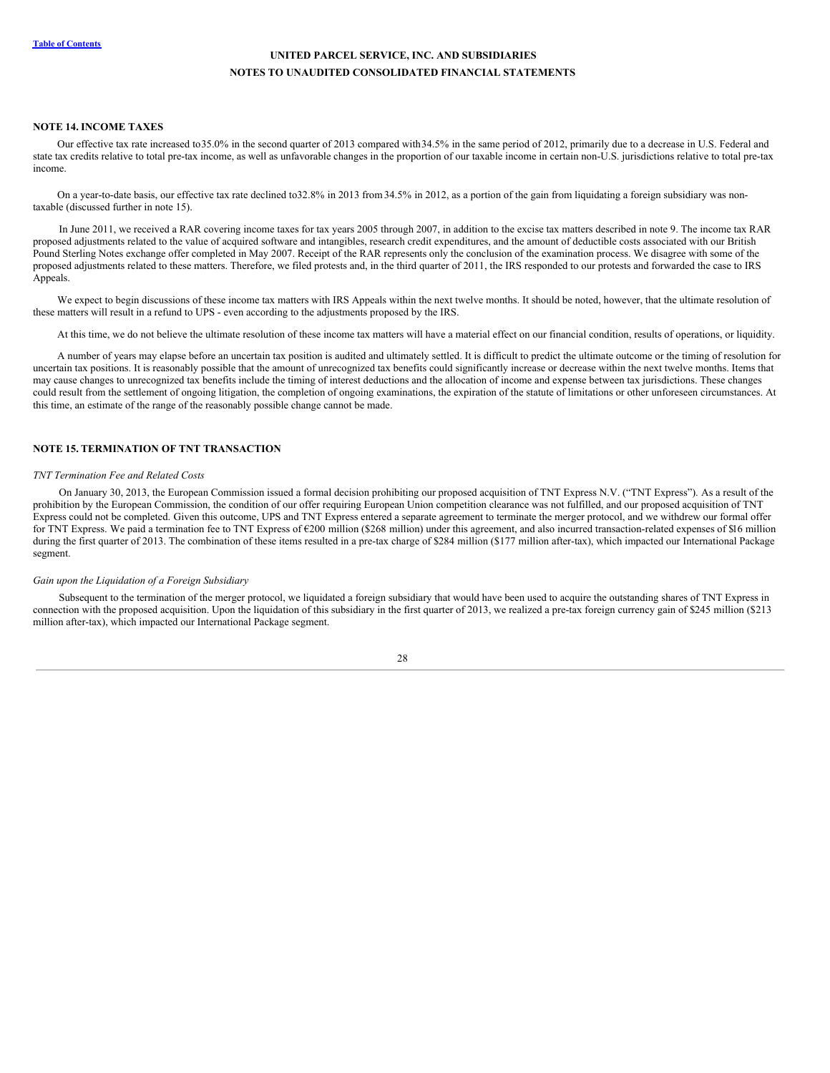## <span id="page-29-0"></span>**NOTE 14. INCOME TAXES**

Our effective tax rate increased to 35.0% in the second quarter of 2013 compared with 34.5% in the same period of 2012, primarily due to a decrease in U.S. Federal and state tax credits relative to total pre-tax income, as well as unfavorable changes in the proportion of our taxable income in certain non-U.S. jurisdictions relative to total pre-tax income.

On a year-to-date basis, our effective tax rate declined to32.8% in 2013 from34.5% in 2012, as a portion of the gain from liquidating a foreign subsidiary was nontaxable (discussed further in note 15).

In June 2011, we received a RAR covering income taxes for tax years 2005 through 2007, in addition to the excise tax matters described in note 9. The income tax RAR proposed adjustments related to the value of acquired software and intangibles, research credit expenditures, and the amount of deductible costs associated with our British Pound Sterling Notes exchange offer completed in May 2007. Receipt of the RAR represents only the conclusion of the examination process. We disagree with some of the proposed adjustments related to these matters. Therefore, we filed protests and, in the third quarter of 2011, the IRS responded to our protests and forwarded the case to IRS Appeals.

We expect to begin discussions of these income tax matters with IRS Appeals within the next twelve months. It should be noted, however, that the ultimate resolution of these matters will result in a refund to UPS - even according to the adjustments proposed by the IRS.

At this time, we do not believe the ultimate resolution of these income tax matters will have a material effect on our financial condition, results of operations, or liquidity.

A number of years may elapse before an uncertain tax position is audited and ultimately settled. It is difficult to predict the ultimate outcome or the timing of resolution for uncertain tax positions. It is reasonably possible that the amount of unrecognized tax benefits could significantly increase or decrease within the next twelve months. Items that may cause changes to unrecognized tax benefits include the timing of interest deductions and the allocation of income and expense between tax jurisdictions. These changes could result from the settlement of ongoing litigation, the completion of ongoing examinations, the expiration of the statute of limitations or other unforeseen circumstances. At this time, an estimate of the range of the reasonably possible change cannot be made.

# <span id="page-29-1"></span>**NOTE 15. TERMINATION OF TNT TRANSACTION**

### *TNT Termination Fee and Related Costs*

On January 30, 2013, the European Commission issued a formal decision prohibiting our proposed acquisition of TNT Express N.V. ("TNT Express"). As a result of the prohibition by the European Commission, the condition of our offer requiring European Union competition clearance was not fulfilled, and our proposed acquisition of TNT Express could not be completed. Given this outcome, UPS and TNT Express entered a separate agreement to terminate the merger protocol, and we withdrew our formal offer for TNT Express. We paid a termination fee to TNT Express of €200 million (\$268 million) under this agreement, and also incurred transaction-related expenses of \$16 million during the first quarter of 2013. The combination of these items resulted in a pre-tax charge of \$284 million (\$177 million after-tax), which impacted our International Package segment.

### *Gain upon the Liquidation of a Foreign Subsidiary*

Subsequent to the termination of the merger protocol, we liquidated a foreign subsidiary that would have been used to acquire the outstanding shares of TNT Express in connection with the proposed acquisition. Upon the liquidation of this subsidiary in the first quarter of 2013, we realized a pre-tax foreign currency gain of \$245 million (\$213 million after-tax), which impacted our International Package segment.

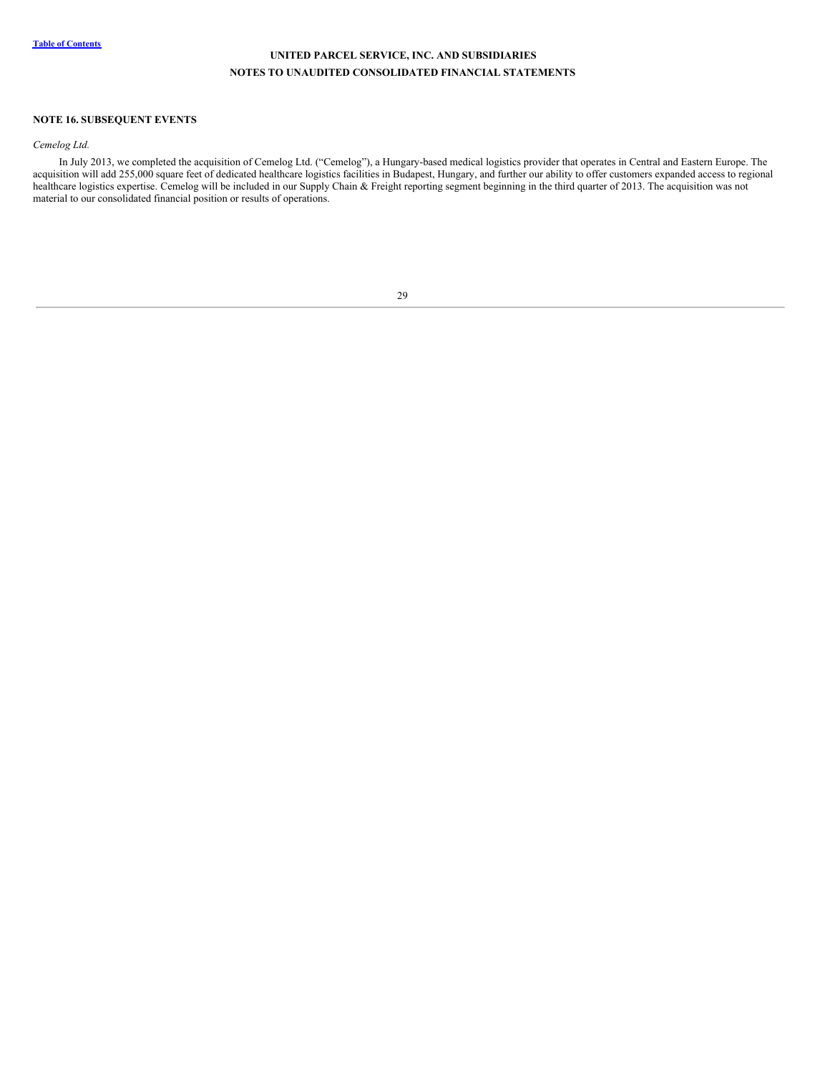# <span id="page-30-0"></span>**NOTE 16. SUBSEQUENT EVENTS**

## *Cemelog Ltd.*

In July 2013, we completed the acquisition of Cemelog Ltd. ("Cemelog"), a Hungary-based medical logistics provider that operates in Central and Eastern Europe. The acquisition will add 255,000 square feet of dedicated healthcare logistics facilities in Budapest, Hungary, and further our ability to offer customers expanded access to regional healthcare logistics expertise. Cemelog will be included in our Supply Chain & Freight reporting segment beginning in the third quarter of 2013. The acquisition was not material to our consolidated financial position or results of operations.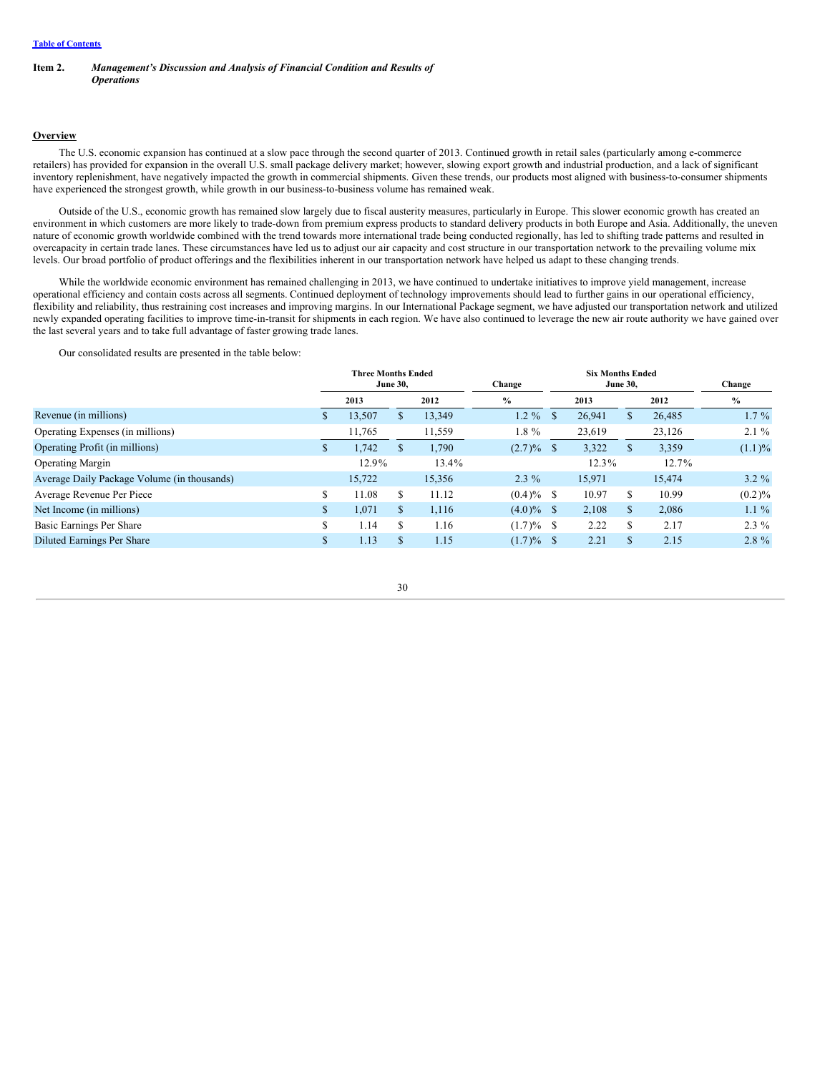<span id="page-31-0"></span>**Item 2.** *Management's Discussion and Analysis of Financial Condition and Results of Operations*

### <span id="page-31-1"></span>**Overview**

The U.S. economic expansion has continued at a slow pace through the second quarter of 2013. Continued growth in retail sales (particularly among e-commerce retailers) has provided for expansion in the overall U.S. small package delivery market; however, slowing export growth and industrial production, and a lack of significant inventory replenishment, have negatively impacted the growth in commercial shipments. Given these trends, our products most aligned with business-to-consumer shipments have experienced the strongest growth, while growth in our business-to-business volume has remained weak.

Outside of the U.S., economic growth has remained slow largely due to fiscal austerity measures, particularly in Europe. This slower economic growth has created an environment in which customers are more likely to trade-down from premium express products to standard delivery products in both Europe and Asia. Additionally, the uneven nature of economic growth worldwide combined with the trend towards more international trade being conducted regionally, has led to shifting trade patterns and resulted in overcapacity in certain trade lanes. These circumstances have led us to adjust our air capacity and cost structure in our transportation network to the prevailing volume mix levels. Our broad portfolio of product offerings and the flexibilities inherent in our transportation network have helped us adapt to these changing trends.

While the worldwide economic environment has remained challenging in 2013, we have continued to undertake initiatives to improve yield management, increase operational efficiency and contain costs across all segments. Continued deployment of technology improvements should lead to further gains in our operational efficiency, flexibility and reliability, thus restraining cost increases and improving margins. In our International Package segment, we have adjusted our transportation network and utilized newly expanded operating facilities to improve time-in-transit for shipments in each region. We have also continued to leverage the new air route authority we have gained over the last several years and to take full advantage of faster growing trade lanes.

Our consolidated results are presented in the table below:

| <b>Three Months Ended</b><br><b>June 30,</b> |        |      |          | <b>Six Months Ended</b><br><b>June 30,</b><br>Change |              |                                                                           |      |          | Change    |  |
|----------------------------------------------|--------|------|----------|------------------------------------------------------|--------------|---------------------------------------------------------------------------|------|----------|-----------|--|
| 2013                                         |        | 2012 |          | $\frac{0}{0}$                                        | 2013         |                                                                           | 2012 |          | $\%$      |  |
|                                              | 13,507 |      | 13,349   | $1.2 \%$                                             | \$.          | 26,941                                                                    | \$.  | 26,485   | $1.7\%$   |  |
|                                              | 11,765 |      | 11,559   | $1.8\%$                                              |              | 23,619                                                                    |      | 23,126   | $2.1\%$   |  |
|                                              | 1,742  |      | 1,790    |                                                      | <sup>S</sup> | 3,322                                                                     | \$   | 3,359    | $(1.1)\%$ |  |
|                                              |        |      | $13.4\%$ |                                                      |              |                                                                           |      | $12.7\%$ |           |  |
|                                              | 15,722 |      | 15,356   | $2.3\%$                                              |              | 15.971                                                                    |      | 15.474   | $3.2 \%$  |  |
| \$                                           | 11.08  | -S   | 11.12    |                                                      |              | 10.97                                                                     | \$.  | 10.99    | $(0.2)\%$ |  |
| \$                                           | 1,071  | S.   | 1,116    |                                                      |              | 2,108                                                                     | \$   | 2,086    | $1.1\%$   |  |
| \$                                           | 1.14   |      | 1.16     |                                                      |              | 2.22                                                                      | S    | 2.17     | $2.3\%$   |  |
| \$                                           | 1.13   | \$.  | 1.15     |                                                      |              | 2.21                                                                      | \$   | 2.15     | $2.8\%$   |  |
|                                              |        |      | 12.9%    |                                                      |              | $(2.7)\%$<br>$(0.4)\%$ \$<br>$(4.0)\%$ \$<br>$(1.7)\%$ \$<br>$(1.7)\%$ \$ |      | $12.3\%$ |           |  |

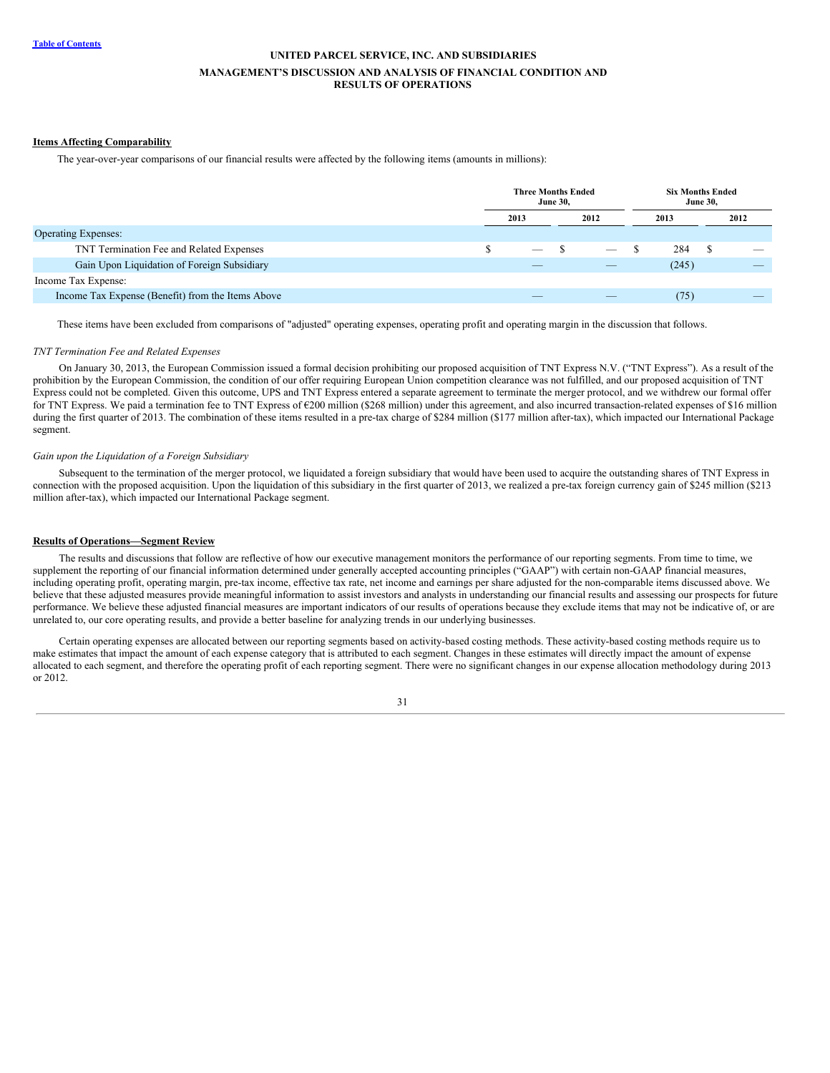## <span id="page-32-0"></span>**Items Affecting Comparability**

The year-over-year comparisons of our financial results were affected by the following items (amounts in millions):

|                                                   | <b>Three Months Ended</b><br><b>June 30.</b> |                                 |  |   |  | <b>Six Months Ended</b> | <b>June 30,</b> |   |  |
|---------------------------------------------------|----------------------------------------------|---------------------------------|--|---|--|-------------------------|-----------------|---|--|
|                                                   | 2013<br>2012                                 |                                 |  |   |  | 2013                    | 2012            |   |  |
| <b>Operating Expenses:</b>                        |                                              |                                 |  |   |  |                         |                 |   |  |
| TNT Termination Fee and Related Expenses          |                                              | $\hspace{0.1mm}-\hspace{0.1mm}$ |  |   |  | 284                     |                 | _ |  |
| Gain Upon Liquidation of Foreign Subsidiary       |                                              |                                 |  | _ |  | (245)                   |                 |   |  |
| Income Tax Expense:                               |                                              |                                 |  |   |  |                         |                 |   |  |
| Income Tax Expense (Benefit) from the Items Above |                                              |                                 |  |   |  | (75)                    |                 |   |  |

These items have been excluded from comparisons of "adjusted" operating expenses, operating profit and operating margin in the discussion that follows.

### *TNT Termination Fee and Related Expenses*

On January 30, 2013, the European Commission issued a formal decision prohibiting our proposed acquisition of TNT Express N.V. ("TNT Express"). As a result of the prohibition by the European Commission, the condition of our offer requiring European Union competition clearance was not fulfilled, and our proposed acquisition of TNT Express could not be completed. Given this outcome, UPS and TNT Express entered a separate agreement to terminate the merger protocol, and we withdrew our formal offer for TNT Express. We paid a termination fee to TNT Express of €200 million (\$268 million) under this agreement, and also incurred transaction-related expenses of \$16 million during the first quarter of 2013. The combination of these items resulted in a pre-tax charge of \$284 million (\$177 million after-tax), which impacted our International Package segment.

#### *Gain upon the Liquidation of a Foreign Subsidiary*

Subsequent to the termination of the merger protocol, we liquidated a foreign subsidiary that would have been used to acquire the outstanding shares of TNT Express in connection with the proposed acquisition. Upon the liquidation of this subsidiary in the first quarter of 2013, we realized a pre-tax foreign currency gain of \$245 million (\$213 million after-tax), which impacted our International Package segment.

### <span id="page-32-1"></span>**Results of Operations—Segment Review**

The results and discussions that follow are reflective of how our executive management monitors the performance of our reporting segments. From time to time, we supplement the reporting of our financial information determined under generally accepted accounting principles ("GAAP") with certain non-GAAP financial measures, including operating profit, operating margin, pre-tax income, effective tax rate, net income and earnings per share adjusted for the non-comparable items discussed above. We believe that these adjusted measures provide meaningful information to assist investors and analysts in understanding our financial results and assessing our prospects for future performance. We believe these adjusted financial measures are important indicators of our results of operations because they exclude items that may not be indicative of, or are unrelated to, our core operating results, and provide a better baseline for analyzing trends in our underlying businesses.

Certain operating expenses are allocated between our reporting segments based on activity-based costing methods. These activity-based costing methods require us to make estimates that impact the amount of each expense category that is attributed to each segment. Changes in these estimates will directly impact the amount of expense allocated to each segment, and therefore the operating profit of each reporting segment. There were no significant changes in our expense allocation methodology during 2013 or 2012.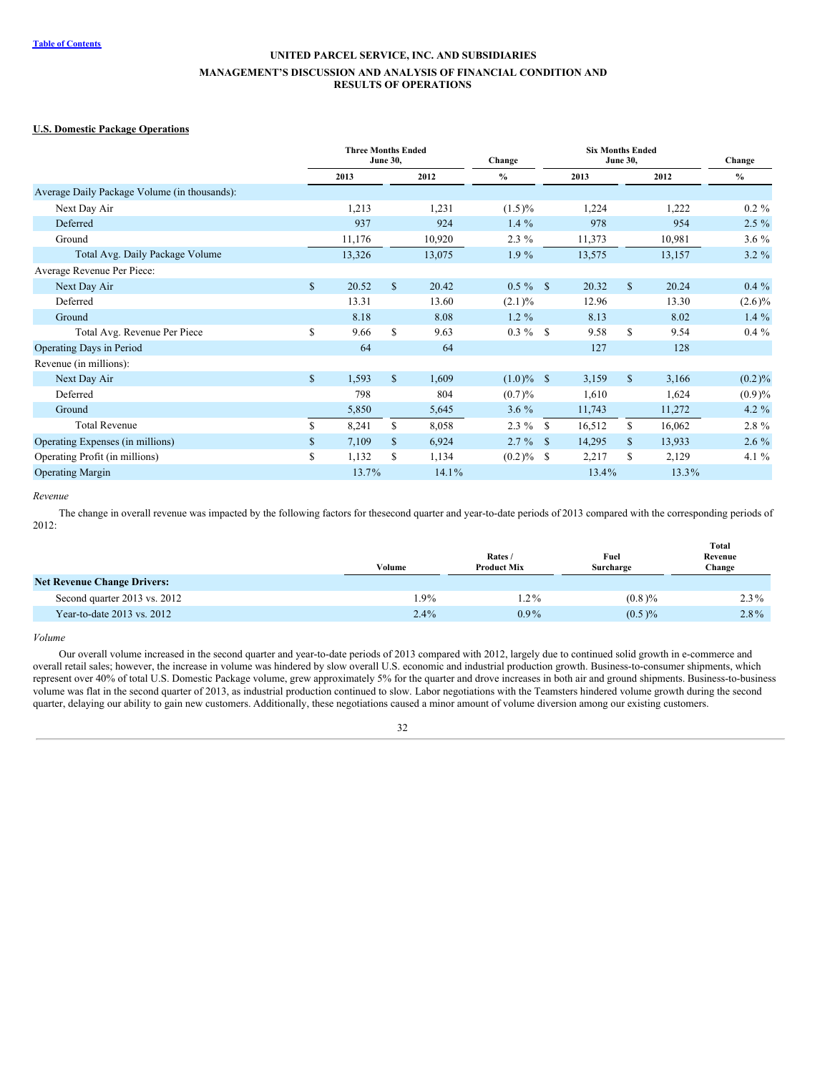# <span id="page-33-0"></span>**U.S. Domestic Package Operations**

|                                              |              | <b>Three Months Ended</b><br><b>June 30,</b> |               |        | Change        | <b>Six Months Ended</b> | <b>June 30,</b> |        | Change        |
|----------------------------------------------|--------------|----------------------------------------------|---------------|--------|---------------|-------------------------|-----------------|--------|---------------|
|                                              |              | 2013                                         |               | 2012   | $\frac{0}{0}$ | 2013                    |                 | 2012   | $\frac{0}{0}$ |
| Average Daily Package Volume (in thousands): |              |                                              |               |        |               |                         |                 |        |               |
| Next Day Air                                 |              | 1,213                                        |               | 1,231  | $(1.5)\%$     | 1,224                   |                 | 1,222  | $0.2\%$       |
| Deferred                                     |              | 937                                          |               | 924    | $1.4\%$       | 978                     |                 | 954    | $2.5\%$       |
| Ground                                       |              | 11,176                                       |               | 10,920 | $2.3\%$       | 11,373                  |                 | 10,981 | $3.6\%$       |
| Total Avg. Daily Package Volume              |              | 13,326                                       |               | 13,075 | $1.9\%$       | 13,575                  |                 | 13,157 | $3.2\%$       |
| Average Revenue Per Piece:                   |              |                                              |               |        |               |                         |                 |        |               |
| Next Day Air                                 | $\mathbb{S}$ | 20.52                                        | \$            | 20.42  | $0.5 \%$ \$   | 20.32                   | \$              | 20.24  | $0.4\%$       |
| Deferred                                     |              | 13.31                                        |               | 13.60  | $(2.1)\%$     | 12.96                   |                 | 13.30  | $(2.6)\%$     |
| Ground                                       |              | 8.18                                         |               | 8.08   | $1.2\%$       | 8.13                    |                 | 8.02   | $1.4\%$       |
| Total Avg. Revenue Per Piece                 | \$           | 9.66                                         | S.            | 9.63   | $0.3 \%$ \$   | 9.58                    | \$              | 9.54   | $0.4\%$       |
| Operating Days in Period                     |              | 64                                           |               | 64     |               | 127                     |                 | 128    |               |
| Revenue (in millions):                       |              |                                              |               |        |               |                         |                 |        |               |
| Next Day Air                                 | $\mathbb{S}$ | 1,593                                        | $\mathsf{\$}$ | 1,609  | $(1.0)\%$ \$  | 3,159                   | $\mathbb{S}$    | 3,166  | $(0.2)\%$     |
| Deferred                                     |              | 798                                          |               | 804    | (0.7)%        | 1,610                   |                 | 1,624  | $(0.9)\%$     |
| Ground                                       |              | 5,850                                        |               | 5,645  | $3.6\%$       | 11,743                  |                 | 11,272 | 4.2 $%$       |
| <b>Total Revenue</b>                         | \$           | 8,241                                        | \$            | 8,058  | $2.3 \%$ \$   | 16,512                  | \$              | 16,062 | $2.8\%$       |
| Operating Expenses (in millions)             | $\mathbb{S}$ | 7,109                                        | \$            | 6,924  | $2.7 \%$ \$   | 14,295                  | $\mathbb{S}$    | 13,933 | $2.6\%$       |
| Operating Profit (in millions)               | \$           | 1,132                                        | \$            | 1,134  | $(0.2)\%$ \$  | 2,217                   | \$              | 2,129  | 4.1 $%$       |
| <b>Operating Margin</b>                      |              | 13.7%                                        |               | 14.1%  |               | 13.4%                   |                 | 13.3%  |               |

#### *Revenue*

The change in overall revenue was impacted by the following factors for thesecond quarter and year-to-date periods of 2013 compared with the corresponding periods of 2012:

|                                    | Volume  | Rates/<br><b>Product Mix</b> | Fuel<br>Surcharge | Total<br>Revenue<br>Change |
|------------------------------------|---------|------------------------------|-------------------|----------------------------|
| <b>Net Revenue Change Drivers:</b> |         |                              |                   |                            |
| Second quarter 2013 vs. 2012       | $.9\%$  | $1.2\%$                      | $(0.8)$ %         | $2.3\%$                    |
| Year-to-date $2013$ vs. $2012$     | $2.4\%$ | $0.9\%$                      | $(0.5) \%$        | $2.8\%$                    |

### *Volume*

Our overall volume increased in the second quarter and year-to-date periods of 2013 compared with 2012, largely due to continued solid growth in e-commerce and overall retail sales; however, the increase in volume was hindered by slow overall U.S. economic and industrial production growth. Business-to-consumer shipments, which represent over 40% of total U.S. Domestic Package volume, grew approximately 5% for the quarter and drove increases in both air and ground shipments. Business-to-business volume was flat in the second quarter of 2013, as industrial production continued to slow. Labor negotiations with the Teamsters hindered volume growth during the second quarter, delaying our ability to gain new customers. Additionally, these negotiations caused a minor amount of volume diversion among our existing customers.

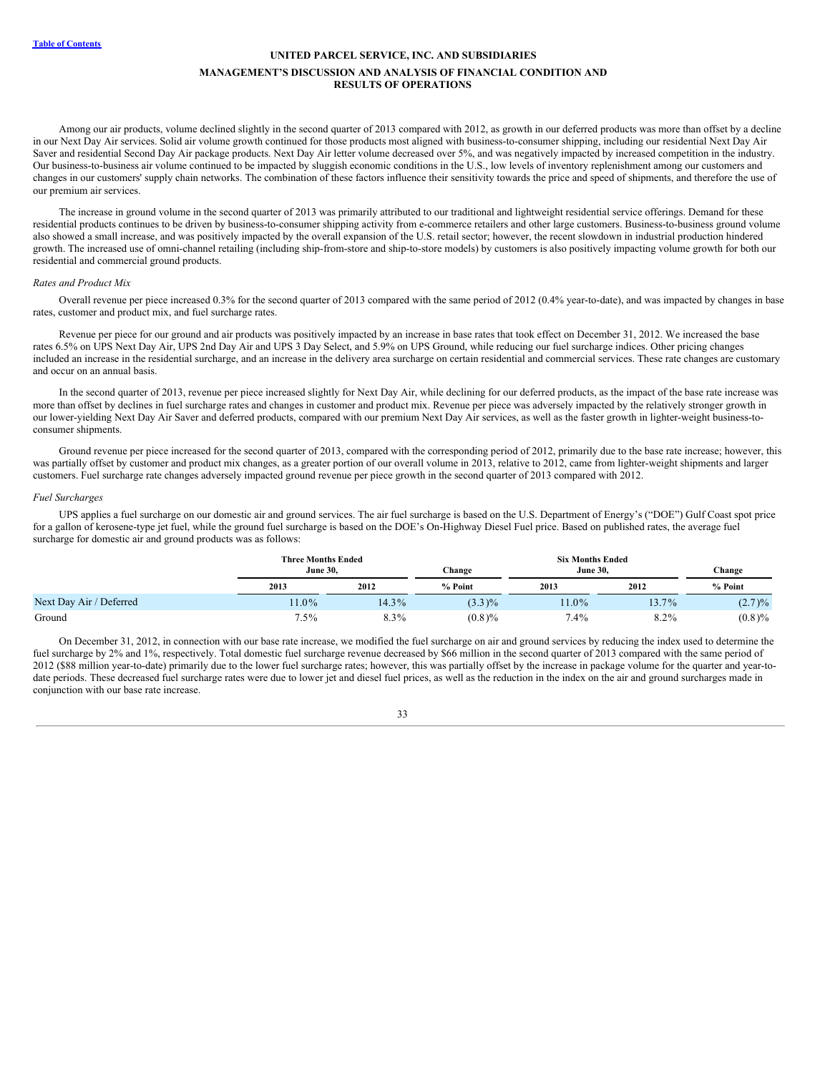### **UNITED PARCEL SERVICE, INC. AND SUBSIDIARIES**

### **MANAGEMENT'S DISCUSSION AND ANALYSIS OF FINANCIAL CONDITION AND RESULTS OF OPERATIONS**

Among our air products, volume declined slightly in the second quarter of 2013 compared with 2012, as growth in our deferred products was more than offset by a decline in our Next Day Air services. Solid air volume growth continued for those products most aligned with business-to-consumer shipping, including our residential Next Day Air Saver and residential Second Day Air package products. Next Day Air letter volume decreased over 5%, and was negatively impacted by increased competition in the industry. Our business-to-business air volume continued to be impacted by sluggish economic conditions in the U.S., low levels of inventory replenishment among our customers and changes in our customers' supply chain networks. The combination of these factors influence their sensitivity towards the price and speed of shipments, and therefore the use of our premium air services.

The increase in ground volume in the second quarter of 2013 was primarily attributed to our traditional and lightweight residential service offerings. Demand for these residential products continues to be driven by business-to-consumer shipping activity from e-commerce retailers and other large customers. Business-to-business ground volume also showed a small increase, and was positively impacted by the overall expansion of the U.S. retail sector; however, the recent slowdown in industrial production hindered growth. The increased use of omni-channel retailing (including ship-from-store and ship-to-store models) by customers is also positively impacting volume growth for both our residential and commercial ground products.

### *Rates and Product Mix*

Overall revenue per piece increased 0.3% for the second quarter of 2013 compared with the same period of 2012 (0.4% year-to-date), and was impacted by changes in base rates, customer and product mix, and fuel surcharge rates.

Revenue per piece for our ground and air products was positively impacted by an increase in base rates that took effect on December 31, 2012. We increased the base rates 6.5% on UPS Next Day Air, UPS 2nd Day Air and UPS 3 Day Select, and 5.9% on UPS Ground, while reducing our fuel surcharge indices. Other pricing changes included an increase in the residential surcharge, and an increase in the delivery area surcharge on certain residential and commercial services. These rate changes are customary and occur on an annual basis.

In the second quarter of 2013, revenue per piece increased slightly for Next Day Air, while declining for our deferred products, as the impact of the base rate increase was more than offset by declines in fuel surcharge rates and changes in customer and product mix. Revenue per piece was adversely impacted by the relatively stronger growth in our lower-yielding Next Day Air Saver and deferred products, compared with our premium Next Day Air services, as well as the faster growth in lighter-weight business-toconsumer shipments.

Ground revenue per piece increased for the second quarter of 2013, compared with the corresponding period of 2012, primarily due to the base rate increase; however, this was partially offset by customer and product mix changes, as a greater portion of our overall volume in 2013, relative to 2012, came from lighter-weight shipments and larger customers. Fuel surcharge rate changes adversely impacted ground revenue per piece growth in the second quarter of 2013 compared with 2012.

### *Fuel Surcharges*

UPS applies a fuel surcharge on our domestic air and ground services. The air fuel surcharge is based on the U.S. Department of Energy's ("DOE") Gulf Coast spot price for a gallon of kerosene-type jet fuel, while the ground fuel surcharge is based on the DOE's On-Highway Diesel Fuel price. Based on published rates, the average fuel surcharge for domestic air and ground products was as follows:

|                         | <b>Three Months Ended</b> |       |           | <b>Six Months Ended</b> |         |           |  |  |
|-------------------------|---------------------------|-------|-----------|-------------------------|---------|-----------|--|--|
|                         | <b>June 30,</b>           |       | Change    | <b>June 30,</b>         |         | Change    |  |  |
|                         | 2013<br>2012              |       | % Point   | 2013                    | 2012    | % Point   |  |  |
| Next Day Air / Deferred | $1.0\%$                   | 14.3% | $(3.3)\%$ | $11.0\%$                | 13.7%   | $(2.7)\%$ |  |  |
| Ground                  | $7.5\%$                   | 8.3%  | $(0.8)\%$ | $7.4\%$                 | $8.2\%$ | $(0.8)\%$ |  |  |

On December 31, 2012, in connection with our base rate increase, we modified the fuel surcharge on air and ground services by reducing the index used to determine the fuel surcharge by 2% and 1%, respectively. Total domestic fuel surcharge revenue decreased by \$66 million in the second quarter of 2013 compared with the same period of 2012 (\$88 million year-to-date) primarily due to the lower fuel surcharge rates; however, this was partially offset by the increase in package volume for the quarter and year-todate periods. These decreased fuel surcharge rates were due to lower jet and diesel fuel prices, as well as the reduction in the index on the air and ground surcharges made in conjunction with our base rate increase.

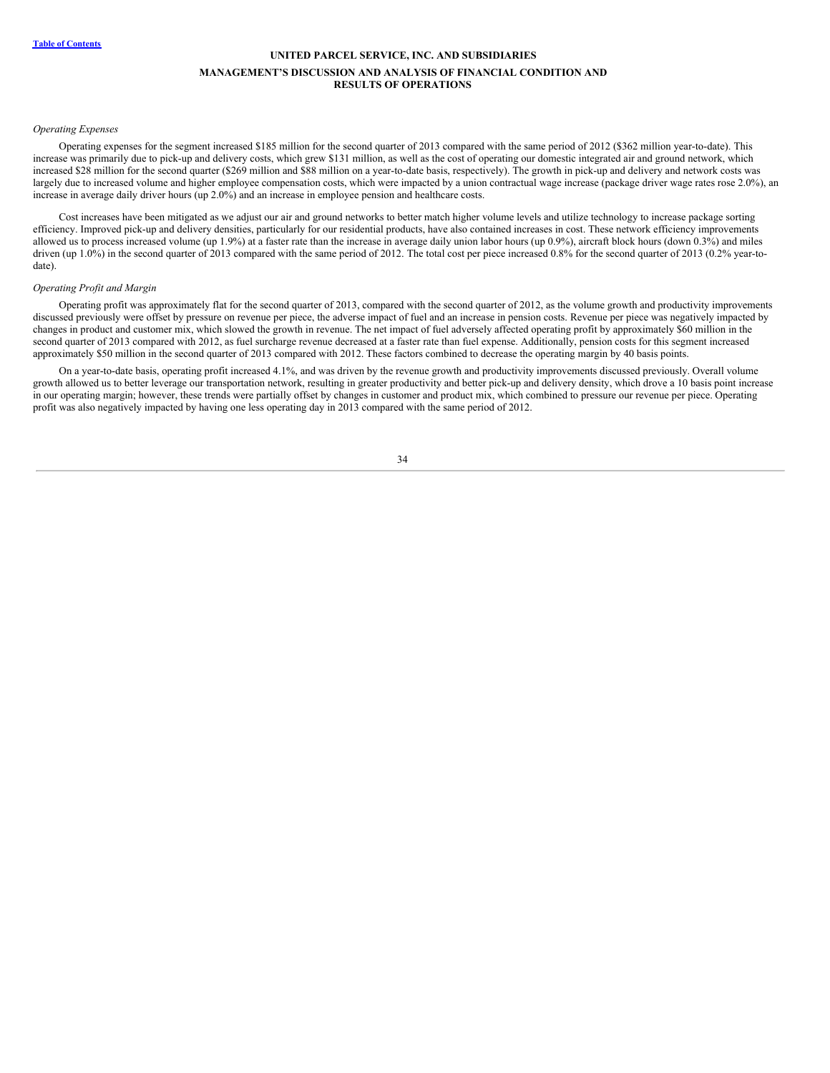### *Operating Expenses*

Operating expenses for the segment increased \$185 million for the second quarter of 2013 compared with the same period of 2012 (\$362 million year-to-date). This increase was primarily due to pick-up and delivery costs, which grew \$131 million, as well as the cost of operating our domestic integrated air and ground network, which increased \$28 million for the second quarter (\$269 million and \$88 million on a year-to-date basis, respectively). The growth in pick-up and delivery and network costs was largely due to increased volume and higher employee compensation costs, which were impacted by a union contractual wage increase (package driver wage rates rose 2.0%), an increase in average daily driver hours (up 2.0%) and an increase in employee pension and healthcare costs.

Cost increases have been mitigated as we adjust our air and ground networks to better match higher volume levels and utilize technology to increase package sorting efficiency. Improved pick-up and delivery densities, particularly for our residential products, have also contained increases in cost. These network efficiency improvements allowed us to process increased volume (up 1.9%) at a faster rate than the increase in average daily union labor hours (up 0.9%), aircraft block hours (down 0.3%) and miles driven (up 1.0%) in the second quarter of 2013 compared with the same period of 2012. The total cost per piece increased 0.8% for the second quarter of 2013 (0.2% year-todate).

#### *Operating Profit and Margin*

Operating profit was approximately flat for the second quarter of 2013, compared with the second quarter of 2012, as the volume growth and productivity improvements discussed previously were offset by pressure on revenue per piece, the adverse impact of fuel and an increase in pension costs. Revenue per piece was negatively impacted by changes in product and customer mix, which slowed the growth in revenue. The net impact of fuel adversely affected operating profit by approximately \$60 million in the second quarter of 2013 compared with 2012, as fuel surcharge revenue decreased at a faster rate than fuel expense. Additionally, pension costs for this segment increased approximately \$50 million in the second quarter of 2013 compared with 2012. These factors combined to decrease the operating margin by 40 basis points.

On a year-to-date basis, operating profit increased 4.1%, and was driven by the revenue growth and productivity improvements discussed previously. Overall volume growth allowed us to better leverage our transportation network, resulting in greater productivity and better pick-up and delivery density, which drove a 10 basis point increase in our operating margin; however, these trends were partially offset by changes in customer and product mix, which combined to pressure our revenue per piece. Operating profit was also negatively impacted by having one less operating day in 2013 compared with the same period of 2012.

|                   | I |
|-------------------|---|
|                   |   |
| ۰,<br>I<br>$\sim$ |   |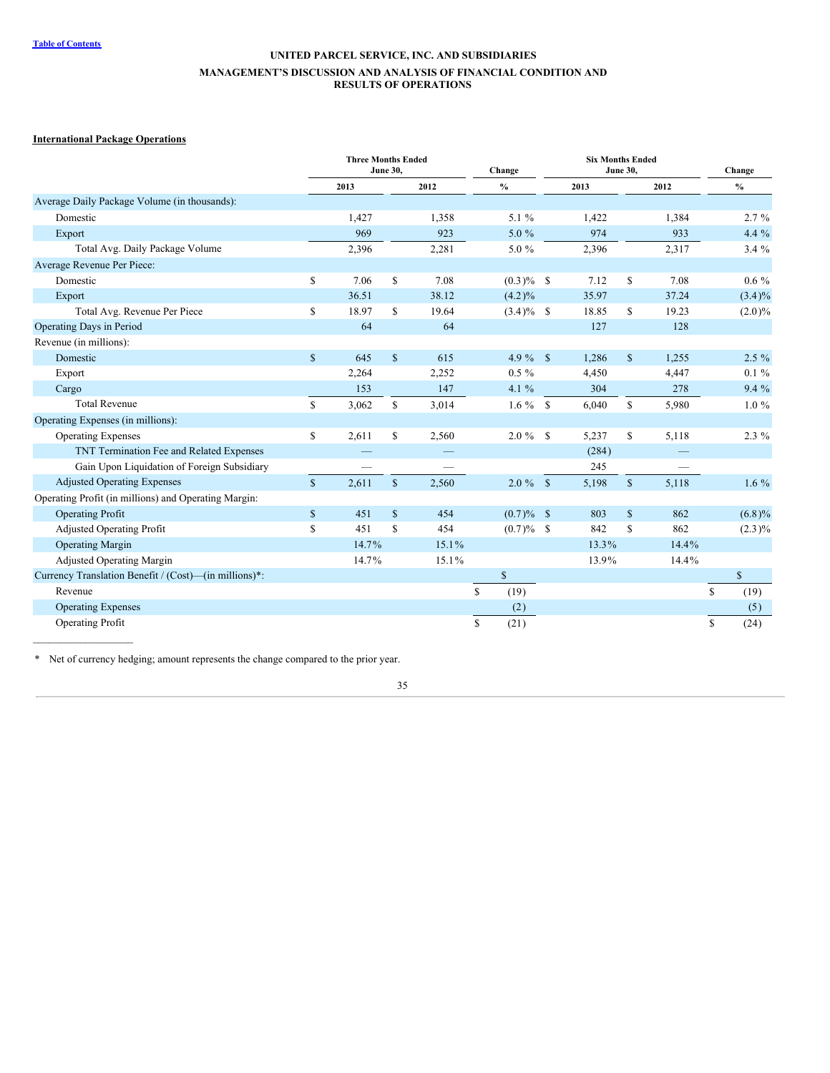# <span id="page-36-0"></span>**International Package Operations**

|                                                       | <b>Three Months Ended</b><br><b>June 30,</b> |       |              |          | Change       | <b>Six Months Ended</b><br><b>June 30,</b> |  |       |              |       | Change      |           |
|-------------------------------------------------------|----------------------------------------------|-------|--------------|----------|--------------|--------------------------------------------|--|-------|--------------|-------|-------------|-----------|
|                                                       |                                              | 2013  |              | 2012     |              | $\%$                                       |  | 2013  |              | 2012  |             | $\%$      |
| Average Daily Package Volume (in thousands):          |                                              |       |              |          |              |                                            |  |       |              |       |             |           |
| Domestic                                              |                                              | 1,427 |              | 1,358    |              | 5.1 $%$                                    |  | 1,422 |              | 1,384 |             | $2.7\%$   |
| Export                                                |                                              | 969   |              | 923      |              | 5.0 $%$                                    |  | 974   |              | 933   |             | 4.4 $%$   |
| Total Avg. Daily Package Volume                       |                                              | 2,396 |              | 2,281    |              | 5.0 %                                      |  | 2,396 |              | 2,317 |             | 3.4%      |
| Average Revenue Per Piece:                            |                                              |       |              |          |              |                                            |  |       |              |       |             |           |
| Domestic                                              | \$                                           | 7.06  | \$           | 7.08     |              | $(0.3)\%$ \$                               |  | 7.12  | \$           | 7.08  |             | $0.6\%$   |
| Export                                                |                                              | 36.51 |              | 38.12    |              | $(4.2)\%$                                  |  | 35.97 |              | 37.24 |             | $(3.4)\%$ |
| Total Avg. Revenue Per Piece                          | \$                                           | 18.97 | \$           | 19.64    |              | $(3.4)\%$ \$                               |  | 18.85 | \$           | 19.23 |             | $(2.0)\%$ |
| Operating Days in Period                              |                                              | 64    |              | 64       |              |                                            |  | 127   |              | 128   |             |           |
| Revenue (in millions):                                |                                              |       |              |          |              |                                            |  |       |              |       |             |           |
| Domestic                                              | $\mathsf{\$}$                                | 645   | $\mathbb{S}$ | 615      |              | 4.9 $%$ \$                                 |  | 1,286 | $\mathbb{S}$ | 1,255 |             | $2.5\%$   |
| Export                                                |                                              | 2,264 |              | 2,252    |              | $0.5\%$                                    |  | 4,450 |              | 4,447 |             | $0.1\%$   |
| Cargo                                                 |                                              | 153   |              | 147      |              | 4.1 $%$                                    |  | 304   |              | 278   |             | $9.4\%$   |
| <b>Total Revenue</b>                                  | $\mathbb{S}$                                 | 3,062 | \$           | 3,014    |              | $1.6 \%$ \$                                |  | 6,040 | \$           | 5,980 |             | $1.0\%$   |
| Operating Expenses (in millions):                     |                                              |       |              |          |              |                                            |  |       |              |       |             |           |
| <b>Operating Expenses</b>                             | \$                                           | 2,611 | \$           | 2,560    |              | $2.0 \%$ \$                                |  | 5,237 | \$           | 5,118 |             | $2.3\%$   |
| TNT Termination Fee and Related Expenses              |                                              |       |              |          |              |                                            |  | (284) |              |       |             |           |
| Gain Upon Liquidation of Foreign Subsidiary           |                                              |       |              |          |              |                                            |  | 245   |              |       |             |           |
| <b>Adjusted Operating Expenses</b>                    | $\mathbb{S}$                                 | 2,611 | $\mathbb S$  | 2,560    |              | $2.0 \%$ \$                                |  | 5,198 | $\mathbb{S}$ | 5,118 |             | $1.6\%$   |
| Operating Profit (in millions) and Operating Margin:  |                                              |       |              |          |              |                                            |  |       |              |       |             |           |
| <b>Operating Profit</b>                               | $\mathsf{\$}$                                | 451   | $\mathbb{S}$ | 454      |              | $(0.7)\%$ \$                               |  | 803   | \$           | 862   |             | $(6.8)\%$ |
| <b>Adjusted Operating Profit</b>                      | \$                                           | 451   | \$           | 454      |              | $(0.7)\%$ \$                               |  | 842   | \$           | 862   |             | $(2.3)\%$ |
| <b>Operating Margin</b>                               |                                              | 14.7% |              | $15.1\%$ |              |                                            |  | 13.3% |              | 14.4% |             |           |
| <b>Adjusted Operating Margin</b>                      |                                              | 14.7% |              | $15.1\%$ |              |                                            |  | 13.9% |              | 14.4% |             |           |
| Currency Translation Benefit / (Cost)—(in millions)*: |                                              |       |              |          |              | $\mathsf{\$}$                              |  |       |              |       |             | \$        |
| Revenue                                               |                                              |       |              |          | $\mathbb{S}$ | (19)                                       |  |       |              |       | $\mathbf S$ | (19)      |
| <b>Operating Expenses</b>                             |                                              |       |              |          |              | (2)                                        |  |       |              |       |             | (5)       |
| <b>Operating Profit</b>                               |                                              |       |              |          | \$           | (21)                                       |  |       |              |       | \$          | (24)      |

\* Net of currency hedging; amount represents the change compared to the prior year.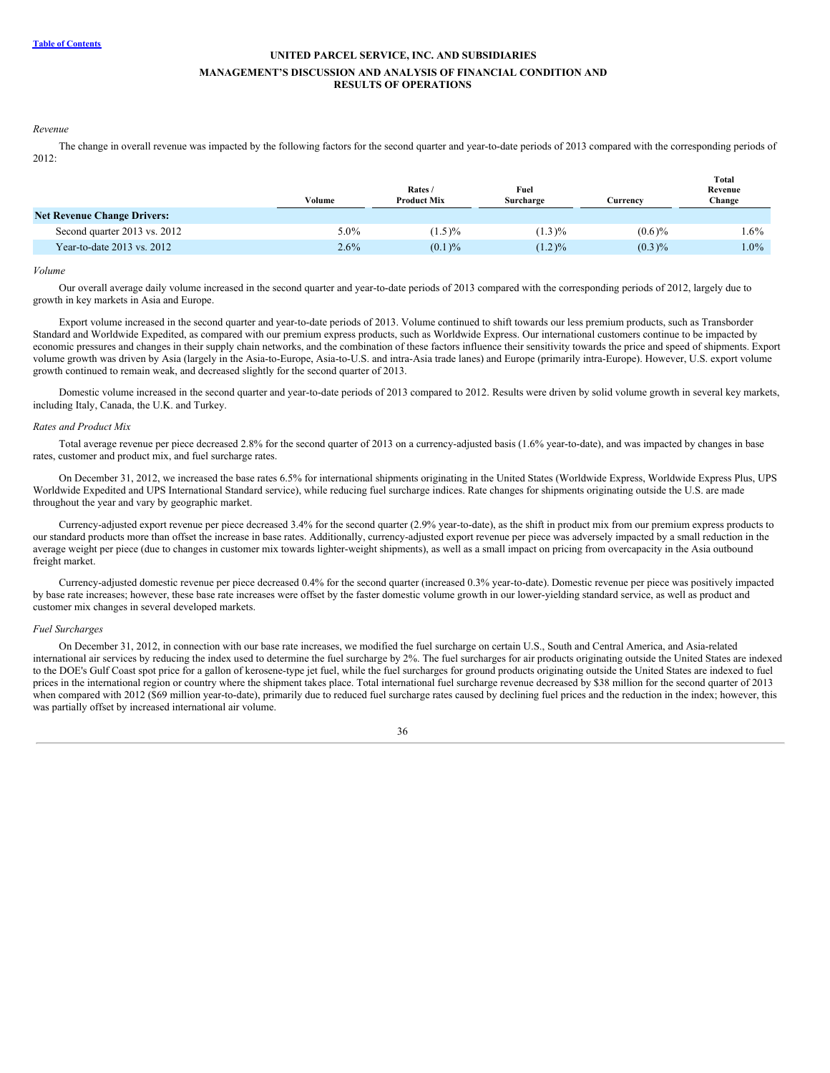#### *Revenue*

The change in overall revenue was impacted by the following factors for the second quarter and year-to-date periods of 2013 compared with the corresponding periods of 2012:

|                                    | Volume  | Rates<br><b>Product Mix</b> | Fuel<br>Surcharge | Currencv  | Total<br>Revenue<br>Change |
|------------------------------------|---------|-----------------------------|-------------------|-----------|----------------------------|
| <b>Net Revenue Change Drivers:</b> |         |                             |                   |           |                            |
| Second quarter 2013 vs. 2012       | $5.0\%$ | $(1.5)\%$                   | $(1.3)\%$         | $(0.6)\%$ | . 6%                       |
| Year-to-date $2013$ vs. $2012$     | $2.6\%$ | $(0.1)\%$                   | $(1.2)\%$         | $(0.3)\%$ | $1.0\%$                    |

#### *Volume*

Our overall average daily volume increased in the second quarter and year-to-date periods of 2013 compared with the corresponding periods of 2012, largely due to growth in key markets in Asia and Europe.

Export volume increased in the second quarter and year-to-date periods of 2013. Volume continued to shift towards our less premium products, such as Transborder Standard and Worldwide Expedited, as compared with our premium express products, such as Worldwide Express. Our international customers continue to be impacted by economic pressures and changes in their supply chain networks, and the combination of these factors influence their sensitivity towards the price and speed of shipments. Export volume growth was driven by Asia (largely in the Asia-to-Europe, Asia-to-U.S. and intra-Asia trade lanes) and Europe (primarily intra-Europe). However, U.S. export volume growth continued to remain weak, and decreased slightly for the second quarter of 2013.

Domestic volume increased in the second quarter and year-to-date periods of 2013 compared to 2012. Results were driven by solid volume growth in several key markets, including Italy, Canada, the U.K. and Turkey.

#### *Rates and Product Mix*

Total average revenue per piece decreased 2.8% for the second quarter of 2013 on a currency-adjusted basis (1.6% year-to-date), and was impacted by changes in base rates, customer and product mix, and fuel surcharge rates.

On December 31, 2012, we increased the base rates 6.5% for international shipments originating in the United States (Worldwide Express, Worldwide Express Plus, UPS Worldwide Expedited and UPS International Standard service), while reducing fuel surcharge indices. Rate changes for shipments originating outside the U.S. are made throughout the year and vary by geographic market.

Currency-adjusted export revenue per piece decreased 3.4% for the second quarter (2.9% year-to-date), as the shift in product mix from our premium express products to our standard products more than offset the increase in base rates. Additionally, currency-adjusted export revenue per piece was adversely impacted by a small reduction in the average weight per piece (due to changes in customer mix towards lighter-weight shipments), as well as a small impact on pricing from overcapacity in the Asia outbound freight market.

Currency-adjusted domestic revenue per piece decreased 0.4% for the second quarter (increased 0.3% year-to-date). Domestic revenue per piece was positively impacted by base rate increases; however, these base rate increases were offset by the faster domestic volume growth in our lower-yielding standard service, as well as product and customer mix changes in several developed markets.

### *Fuel Surcharges*

On December 31, 2012, in connection with our base rate increases, we modified the fuel surcharge on certain U.S., South and Central America, and Asia-related international air services by reducing the index used to determine the fuel surcharge by 2%. The fuel surcharges for air products originating outside the United States are indexed to the DOE's Gulf Coast spot price for a gallon of kerosene-type jet fuel, while the fuel surcharges for ground products originating outside the United States are indexed to fuel prices in the international region or country where the shipment takes place. Total international fuel surcharge revenue decreased by \$38 million for the second quarter of 2013 when compared with 2012 (\$69 million year-to-date), primarily due to reduced fuel surcharge rates caused by declining fuel prices and the reduction in the index; however, this was partially offset by increased international air volume.

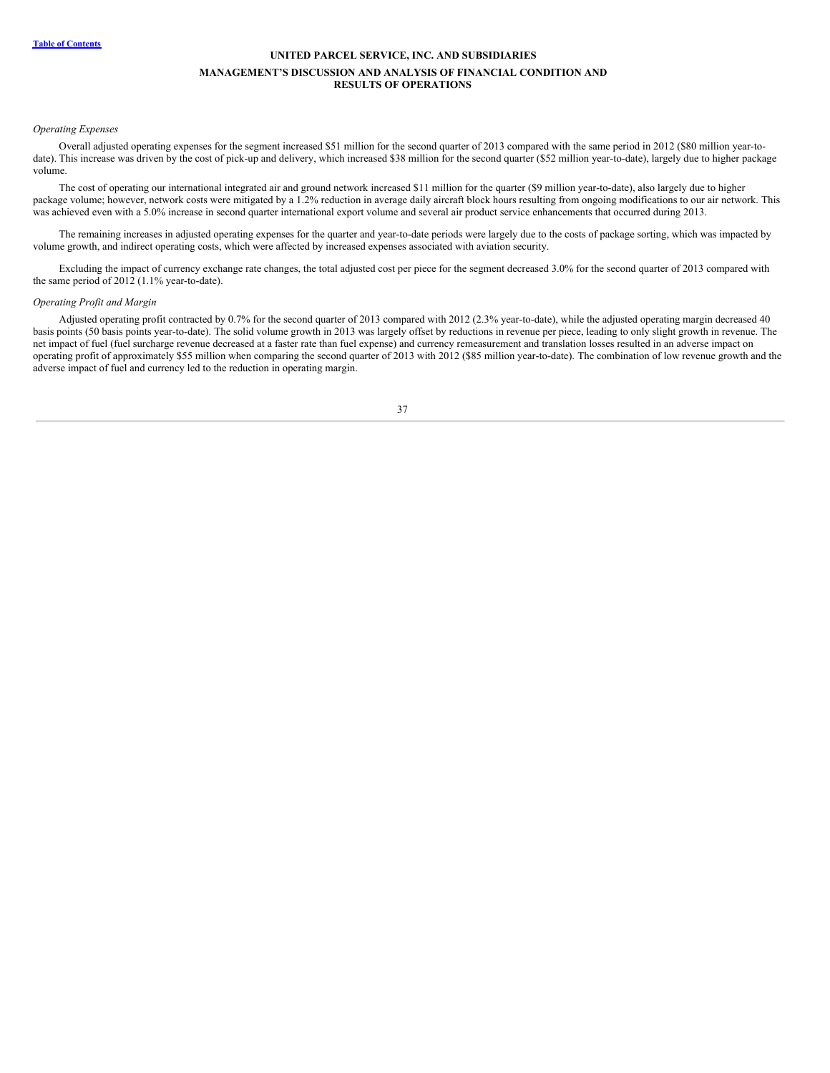### **UNITED PARCEL SERVICE, INC. AND SUBSIDIARIES**

### **MANAGEMENT'S DISCUSSION AND ANALYSIS OF FINANCIAL CONDITION AND RESULTS OF OPERATIONS**

### *Operating Expenses*

Overall adjusted operating expenses for the segment increased \$51 million for the second quarter of 2013 compared with the same period in 2012 (\$80 million year-todate). This increase was driven by the cost of pick-up and delivery, which increased \$38 million for the second quarter (\$52 million year-to-date), largely due to higher package volume.

The cost of operating our international integrated air and ground network increased \$11 million for the quarter (\$9 million year-to-date), also largely due to higher package volume; however, network costs were mitigated by a 1.2% reduction in average daily aircraft block hours resulting from ongoing modifications to our air network. This was achieved even with a 5.0% increase in second quarter international export volume and several air product service enhancements that occurred during 2013.

The remaining increases in adjusted operating expenses for the quarter and year-to-date periods were largely due to the costs of package sorting, which was impacted by volume growth, and indirect operating costs, which were affected by increased expenses associated with aviation security.

Excluding the impact of currency exchange rate changes, the total adjusted cost per piece for the segment decreased 3.0% for the second quarter of 2013 compared with the same period of 2012 (1.1% year-to-date).

#### *Operating Profit and Margin*

Adjusted operating profit contracted by 0.7% for the second quarter of 2013 compared with 2012 (2.3% year-to-date), while the adjusted operating margin decreased 40 basis points (50 basis points year-to-date). The solid volume growth in 2013 was largely offset by reductions in revenue per piece, leading to only slight growth in revenue. The net impact of fuel (fuel surcharge revenue decreased at a faster rate than fuel expense) and currency remeasurement and translation losses resulted in an adverse impact on operating profit of approximately \$55 million when comparing the second quarter of 2013 with 2012 (\$85 million year-to-date). The combination of low revenue growth and the adverse impact of fuel and currency led to the reduction in operating margin.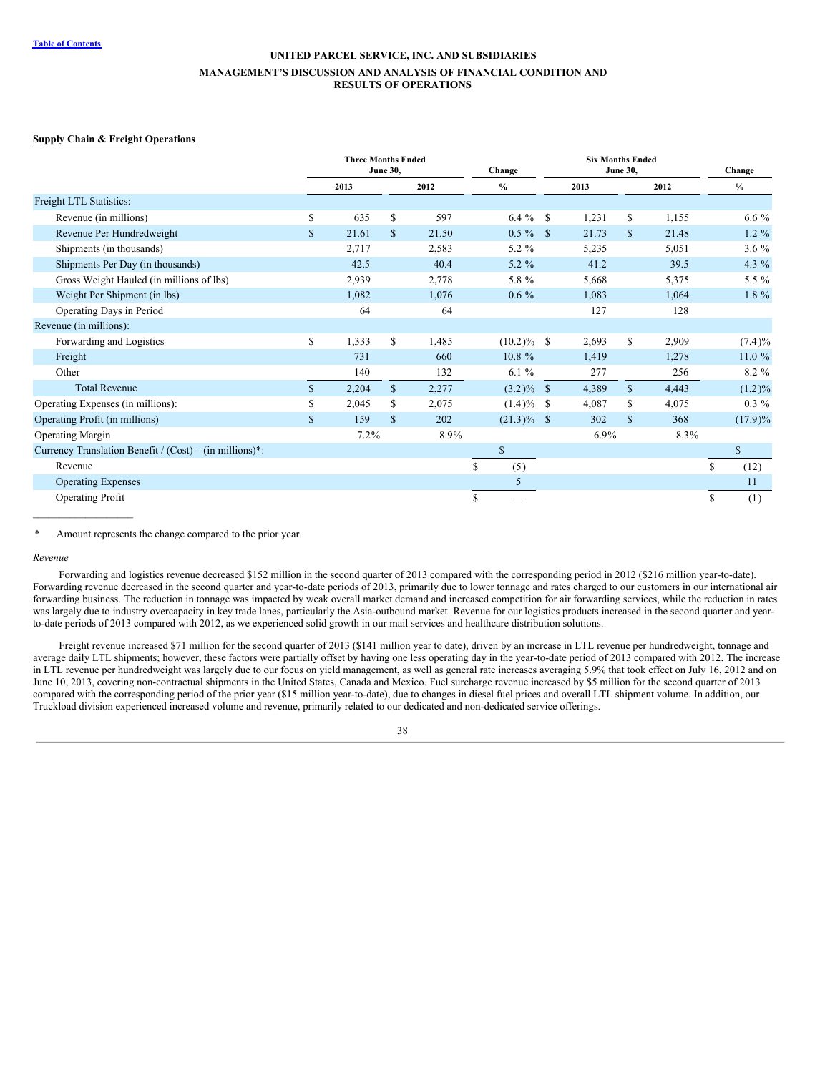## <span id="page-39-0"></span>**Supply Chain & Freight Operations**

|                                                           | <b>Three Months Ended</b><br><b>June 30.</b> |       |              |       | Change | <b>Six Months Ended</b><br><b>June 30.</b> |  |         |              |       | Change |              |
|-----------------------------------------------------------|----------------------------------------------|-------|--------------|-------|--------|--------------------------------------------|--|---------|--------------|-------|--------|--------------|
|                                                           |                                              | 2013  |              | 2012  |        | $\frac{0}{0}$                              |  | 2013    |              | 2012  | $\%$   |              |
| Freight LTL Statistics:                                   |                                              |       |              |       |        |                                            |  |         |              |       |        |              |
| Revenue (in millions)                                     | S.                                           | 635   | \$           | 597   |        | $6.4 \%$ \$                                |  | 1,231   | \$           | 1,155 |        | 6.6 $%$      |
| Revenue Per Hundredweight                                 | $\mathbb{S}$                                 | 21.61 | $\mathbb{S}$ | 21.50 |        | $0.5 \%$ \$                                |  | 21.73   | \$           | 21.48 |        | $1.2 \%$     |
| Shipments (in thousands)                                  |                                              | 2,717 |              | 2,583 |        | 5.2 %                                      |  | 5,235   |              | 5,051 |        | $3.6\%$      |
| Shipments Per Day (in thousands)                          |                                              | 42.5  |              | 40.4  |        | 5.2 %                                      |  | 41.2    |              | 39.5  |        | 4.3 $%$      |
| Gross Weight Hauled (in millions of lbs)                  |                                              | 2,939 |              | 2,778 |        | 5.8 %                                      |  | 5,668   |              | 5,375 |        | 5.5 $%$      |
| Weight Per Shipment (in lbs)                              |                                              | 1,082 |              | 1,076 |        | $0.6\%$                                    |  | 1,083   |              | 1,064 |        | $1.8\%$      |
| Operating Days in Period                                  |                                              | 64    |              | 64    |        |                                            |  | 127     |              | 128   |        |              |
| Revenue (in millions):                                    |                                              |       |              |       |        |                                            |  |         |              |       |        |              |
| Forwarding and Logistics                                  | \$                                           | 1,333 | \$           | 1,485 |        | $(10.2)\%$ \$                              |  | 2,693   | \$           | 2,909 |        | $(7.4)\%$    |
| Freight                                                   |                                              | 731   |              | 660   |        | 10.8 %                                     |  | 1,419   |              | 1,278 |        | 11.0 %       |
| Other                                                     |                                              | 140   |              | 132   |        | 6.1 $%$                                    |  | 277     |              | 256   |        | 8.2 %        |
| <b>Total Revenue</b>                                      | $\mathbb{S}$                                 | 2,204 | $\mathbb{S}$ | 2,277 |        | $(3.2)\%$ \$                               |  | 4,389   | \$           | 4,443 |        | $(1.2)\%$    |
| Operating Expenses (in millions):                         | \$                                           | 2,045 | \$           | 2,075 |        | $(1.4)\%$ \$                               |  | 4,087   | \$           | 4,075 |        | $0.3\%$      |
| Operating Profit (in millions)                            | $\mathbb{S}$                                 | 159   | $\mathbb{S}$ | 202   |        | $(21.3)\%$ \$                              |  | 302     | $\mathbb{S}$ | 368   |        | $(17.9)\%$   |
| <b>Operating Margin</b>                                   |                                              | 7.2%  |              | 8.9%  |        |                                            |  | $6.9\%$ |              | 8.3%  |        |              |
| Currency Translation Benefit / $(Cost) - (in$ millions)*: |                                              |       |              |       |        | $\mathbf S$                                |  |         |              |       |        | $\mathbb{S}$ |
| Revenue                                                   |                                              |       |              |       | S      | (5)                                        |  |         |              |       | \$     | (12)         |
| <b>Operating Expenses</b>                                 |                                              |       |              |       |        | 5                                          |  |         |              |       |        | 11           |
| <b>Operating Profit</b>                                   |                                              |       |              |       | \$     |                                            |  |         |              |       | \$     | (1)          |

Amount represents the change compared to the prior year.

*Revenue*

Forwarding and logistics revenue decreased \$152 million in the second quarter of 2013 compared with the corresponding period in 2012 (\$216 million year-to-date). Forwarding revenue decreased in the second quarter and year-to-date periods of 2013, primarily due to lower tonnage and rates charged to our customers in our international air forwarding business. The reduction in tonnage was impacted by weak overall market demand and increased competition for air forwarding services, while the reduction in rates was largely due to industry overcapacity in key trade lanes, particularly the Asia-outbound market. Revenue for our logistics products increased in the second quarter and yearto-date periods of 2013 compared with 2012, as we experienced solid growth in our mail services and healthcare distribution solutions.

Freight revenue increased \$71 million for the second quarter of 2013 (\$141 million year to date), driven by an increase in LTL revenue per hundredweight, tonnage and average daily LTL shipments; however, these factors were partially offset by having one less operating day in the year-to-date period of 2013 compared with 2012. The increase in LTL revenue per hundredweight was largely due to our focus on yield management, as well as general rate increases averaging 5.9% that took effect on July 16, 2012 and on June 10, 2013, covering non-contractual shipments in the United States, Canada and Mexico. Fuel surcharge revenue increased by \$5 million for the second quarter of 2013 compared with the corresponding period of the prior year (\$15 million year-to-date), due to changes in diesel fuel prices and overall LTL shipment volume. In addition, our Truckload division experienced increased volume and revenue, primarily related to our dedicated and non-dedicated service offerings.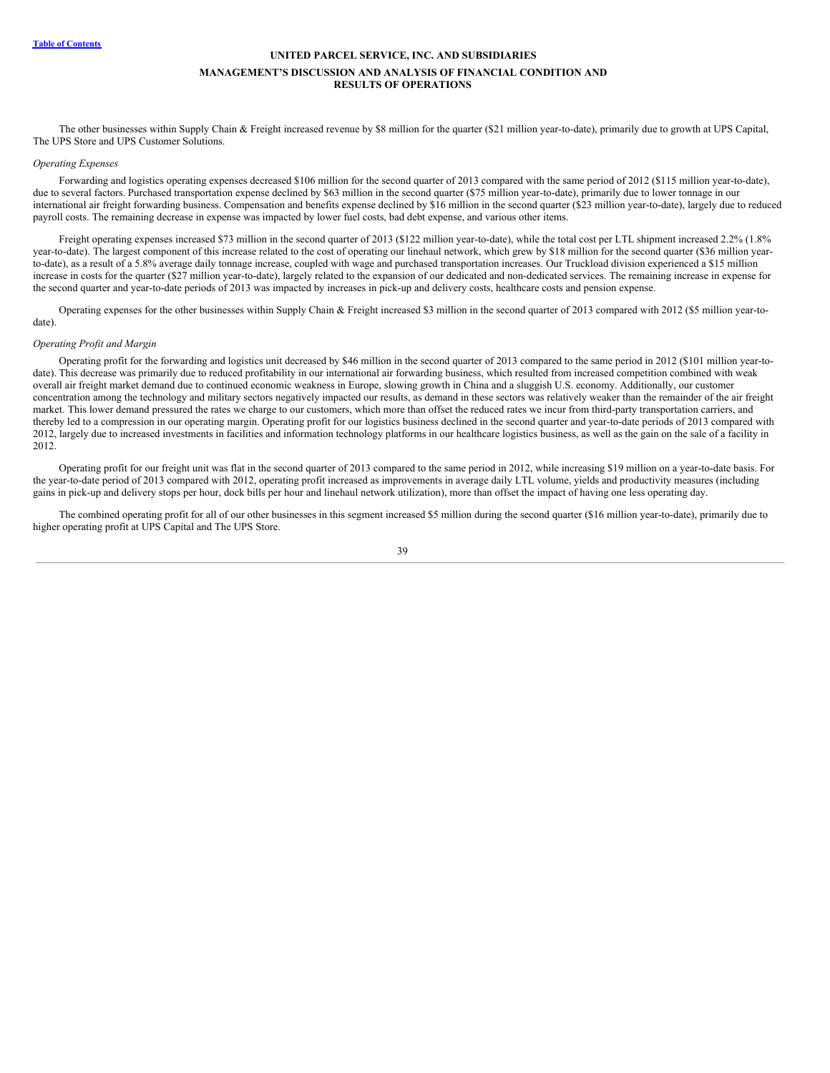### **UNITED PARCEL SERVICE, INC. AND SUBSIDIARIES**

### **MANAGEMENT'S DISCUSSION AND ANALYSIS OF FINANCIAL CONDITION AND RESULTS OF OPERATIONS**

The other businesses within Supply Chain & Freight increased revenue by \$8 million for the quarter (\$21 million year-to-date), primarily due to growth at UPS Capital, The UPS Store and UPS Customer Solutions.

### *Operating Expenses*

Forwarding and logistics operating expenses decreased \$106 million for the second quarter of 2013 compared with the same period of 2012 (\$115 million year-to-date), due to several factors. Purchased transportation expense declined by \$63 million in the second quarter (\$75 million year-to-date), primarily due to lower tonnage in our international air freight forwarding business. Compensation and benefits expense declined by \$16 million in the second quarter (\$23 million year-to-date), largely due to reduced payroll costs. The remaining decrease in expense was impacted by lower fuel costs, bad debt expense, and various other items.

Freight operating expenses increased \$73 million in the second quarter of 2013 (\$122 million year-to-date), while the total cost per LTL shipment increased 2.2% (1.8%) year-to-date). The largest component of this increase related to the cost of operating our linehaul network, which grew by \$18 million for the second quarter (\$36 million yearto-date), as a result of a 5.8% average daily tonnage increase, coupled with wage and purchased transportation increases. Our Truckload division experienced a \$15 million increase in costs for the quarter (\$27 million year-to-date), largely related to the expansion of our dedicated and non-dedicated services. The remaining increase in expense for the second quarter and year-to-date periods of 2013 was impacted by increases in pick-up and delivery costs, healthcare costs and pension expense.

Operating expenses for the other businesses within Supply Chain & Freight increased \$3 million in the second quarter of 2013 compared with 2012 (\$5 million year-todate).

## *Operating Profit and Margin*

Operating profit for the forwarding and logistics unit decreased by \$46 million in the second quarter of 2013 compared to the same period in 2012 (\$101 million year-todate). This decrease was primarily due to reduced profitability in our international air forwarding business, which resulted from increased competition combined with weak overall air freight market demand due to continued economic weakness in Europe, slowing growth in China and a sluggish U.S. economy. Additionally, our customer concentration among the technology and military sectors negatively impacted our results, as demand in these sectors was relatively weaker than the remainder of the air freight market. This lower demand pressured the rates we charge to our customers, which more than offset the reduced rates we incur from third-party transportation carriers, and thereby led to a compression in our operating margin. Operating profit for our logistics business declined in the second quarter and year-to-date periods of 2013 compared with 2012, largely due to increased investments in facilities and information technology platforms in our healthcare logistics business, as well as the gain on the sale of a facility in 2012.

Operating profit for our freight unit was flat in the second quarter of 2013 compared to the same period in 2012, while increasing \$19 million on a year-to-date basis. For the year-to-date period of 2013 compared with 2012, operating profit increased as improvements in average daily LTL volume, yields and productivity measures (including gains in pick-up and delivery stops per hour, dock bills per hour and linehaul network utilization), more than offset the impact of having one less operating day.

The combined operating profit for all of our other businesses in this segment increased \$5 million during the second quarter (\$16 million year-to-date), primarily due to higher operating profit at UPS Capital and The UPS Store.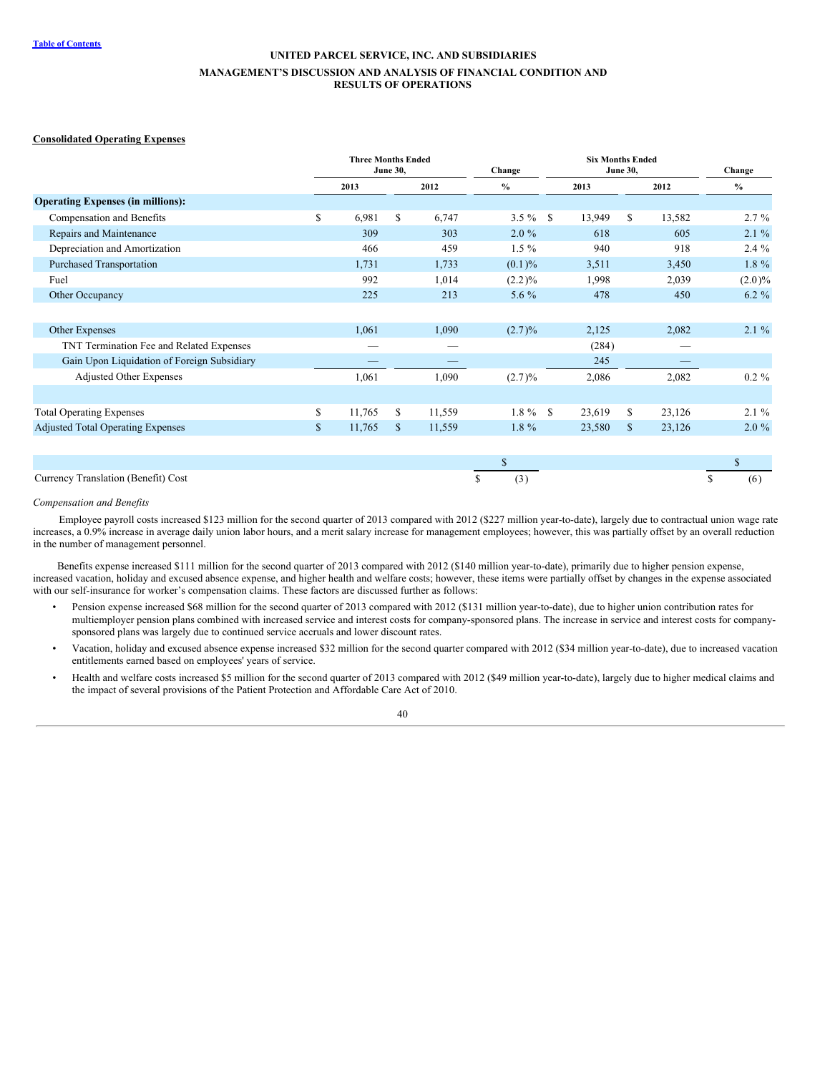# <span id="page-41-0"></span>**Consolidated Operating Expenses**

|                                             |              | <b>Three Months Ended</b><br><b>June 30,</b> |               |        | Change |               | <b>Six Months Ended</b><br><b>June 30,</b> | Change |      |        |           |
|---------------------------------------------|--------------|----------------------------------------------|---------------|--------|--------|---------------|--------------------------------------------|--------|------|--------|-----------|
|                                             |              | 2013                                         |               | 2012   |        | $\frac{0}{0}$ | 2013                                       |        | 2012 |        | $\%$      |
| <b>Operating Expenses (in millions):</b>    |              |                                              |               |        |        |               |                                            |        |      |        |           |
| Compensation and Benefits                   | $\mathbb{S}$ | 6,981                                        | <sup>\$</sup> | 6,747  |        | $3.5 \%$ \$   |                                            | 13,949 | \$   | 13,582 | $2.7\%$   |
| Repairs and Maintenance                     |              | 309                                          |               | 303    |        | $2.0\%$       |                                            | 618    |      | 605    | $2.1\%$   |
| Depreciation and Amortization               |              | 466                                          |               | 459    |        | $1.5\%$       |                                            | 940    |      | 918    | $2.4\%$   |
| <b>Purchased Transportation</b>             |              | 1,731                                        |               | 1,733  |        | $(0.1)\%$     |                                            | 3,511  |      | 3,450  | $1.8\%$   |
| Fuel                                        |              | 992                                          |               | 1,014  |        | $(2.2)\%$     |                                            | 1,998  |      | 2,039  | $(2.0)\%$ |
| Other Occupancy                             |              | 225                                          |               | 213    |        | 5.6 %         |                                            | 478    |      | 450    | 6.2 $%$   |
|                                             |              |                                              |               |        |        |               |                                            |        |      |        |           |
| Other Expenses                              |              | 1,061                                        |               | 1,090  |        | $(2.7)\%$     |                                            | 2,125  |      | 2,082  | $2.1\%$   |
| TNT Termination Fee and Related Expenses    |              | _                                            |               | -      |        |               |                                            | (284)  |      |        |           |
| Gain Upon Liquidation of Foreign Subsidiary |              |                                              |               |        |        |               |                                            | 245    |      |        |           |
| <b>Adjusted Other Expenses</b>              |              | 1,061                                        |               | 1,090  |        | (2.7)%        |                                            | 2,086  |      | 2,082  | $0.2 \%$  |
|                                             |              |                                              |               |        |        |               |                                            |        |      |        |           |
| <b>Total Operating Expenses</b>             | \$           | 11,765                                       | \$            | 11,559 |        | $1.8 \%$ \$   |                                            | 23,619 | \$   | 23,126 | $2.1\%$   |
| <b>Adjusted Total Operating Expenses</b>    | $\mathbb{S}$ | 11,765                                       | $\mathbb{S}$  | 11,559 |        | $1.8\%$       |                                            | 23,580 | \$   | 23,126 | $2.0\%$   |
|                                             |              |                                              |               |        |        |               |                                            |        |      |        |           |
|                                             |              |                                              |               |        |        | $\mathbb{S}$  |                                            |        |      |        | \$        |
| Currency Translation (Benefit) Cost         |              |                                              |               |        | S      | (3)           |                                            |        |      |        | \$<br>(6) |

### *Compensation and Benefits*

Employee payroll costs increased \$123 million for the second quarter of 2013 compared with 2012 (\$227 million year-to-date), largely due to contractual union wage rate increases, a 0.9% increase in average daily union labor hours, and a merit salary increase for management employees; however, this was partially offset by an overall reduction in the number of management personnel.

Benefits expense increased \$111 million for the second quarter of 2013 compared with 2012 (\$140 million year-to-date), primarily due to higher pension expense, increased vacation, holiday and excused absence expense, and higher health and welfare costs; however, these items were partially offset by changes in the expense associated with our self-insurance for worker's compensation claims. These factors are discussed further as follows:

- Pension expense increased \$68 million for the second quarter of 2013 compared with 2012 (\$131 million year-to-date), due to higher union contribution rates for multiemployer pension plans combined with increased service and interest costs for company-sponsored plans. The increase in service and interest costs for companysponsored plans was largely due to continued service accruals and lower discount rates.
- Vacation, holiday and excused absence expense increased \$32 million for the second quarter compared with 2012 (\$34 million year-to-date), due to increased vacation entitlements earned based on employees' years of service.
- Health and welfare costs increased \$5 million for the second quarter of 2013 compared with 2012 (\$49 million year-to-date), largely due to higher medical claims and the impact of several provisions of the Patient Protection and Affordable Care Act of 2010.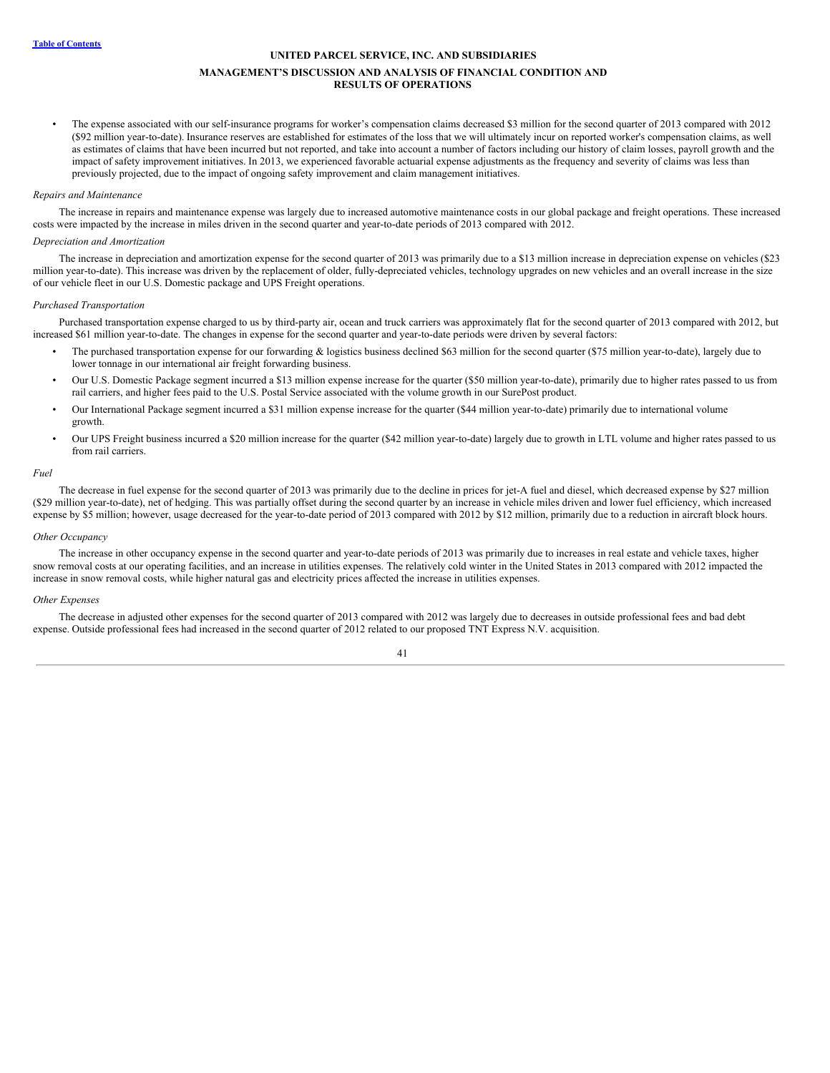### **UNITED PARCEL SERVICE, INC. AND SUBSIDIARIES**

### **MANAGEMENT'S DISCUSSION AND ANALYSIS OF FINANCIAL CONDITION AND RESULTS OF OPERATIONS**

• The expense associated with our self-insurance programs for worker's compensation claims decreased \$3 million for the second quarter of 2013 compared with 2012 (\$92 million year-to-date). Insurance reserves are established for estimates of the loss that we will ultimately incur on reported worker's compensation claims, as well as estimates of claims that have been incurred but not reported, and take into account a number of factors including our history of claim losses, payroll growth and the impact of safety improvement initiatives. In 2013, we experienced favorable actuarial expense adjustments as the frequency and severity of claims was less than previously projected, due to the impact of ongoing safety improvement and claim management initiatives.

### *Repairs and Maintenance*

The increase in repairs and maintenance expense was largely due to increased automotive maintenance costs in our global package and freight operations. These increased costs were impacted by the increase in miles driven in the second quarter and year-to-date periods of 2013 compared with 2012.

### *Depreciation and Amortization*

The increase in depreciation and amortization expense for the second quarter of 2013 was primarily due to a \$13 million increase in depreciation expense on vehicles (\$23 million year-to-date). This increase was driven by the replacement of older, fully-depreciated vehicles, technology upgrades on new vehicles and an overall increase in the size of our vehicle fleet in our U.S. Domestic package and UPS Freight operations.

### *Purchased Transportation*

Purchased transportation expense charged to us by third-party air, ocean and truck carriers was approximately flat for the second quarter of 2013 compared with 2012, but increased \$61 million year-to-date. The changes in expense for the second quarter and year-to-date periods were driven by several factors:

- The purchased transportation expense for our forwarding & logistics business declined \$63 million for the second quarter (\$75 million year-to-date), largely due to lower tonnage in our international air freight forwarding business.
- Our U.S. Domestic Package segment incurred a \$13 million expense increase for the quarter (\$50 million year-to-date), primarily due to higher rates passed to us from rail carriers, and higher fees paid to the U.S. Postal Service associated with the volume growth in our SurePost product.
- Our International Package segment incurred a \$31 million expense increase for the quarter (\$44 million year-to-date) primarily due to international volume growth.
- Our UPS Freight business incurred a \$20 million increase for the quarter (\$42 million year-to-date) largely due to growth in LTL volume and higher rates passed to us from rail carriers.

## *Fuel*

The decrease in fuel expense for the second quarter of 2013 was primarily due to the decline in prices for jet-A fuel and diesel, which decreased expense by \$27 million (\$29 million year-to-date), net of hedging. This was partially offset during the second quarter by an increase in vehicle miles driven and lower fuel efficiency, which increased expense by \$5 million; however, usage decreased for the year-to-date period of 2013 compared with 2012 by \$12 million, primarily due to a reduction in aircraft block hours.

#### *Other Occupancy*

The increase in other occupancy expense in the second quarter and year-to-date periods of 2013 was primarily due to increases in real estate and vehicle taxes, higher snow removal costs at our operating facilities, and an increase in utilities expenses. The relatively cold winter in the United States in 2013 compared with 2012 impacted the increase in snow removal costs, while higher natural gas and electricity prices affected the increase in utilities expenses.

#### *Other Expenses*

The decrease in adjusted other expenses for the second quarter of 2013 compared with 2012 was largely due to decreases in outside professional fees and bad debt expense. Outside professional fees had increased in the second quarter of 2012 related to our proposed TNT Express N.V. acquisition.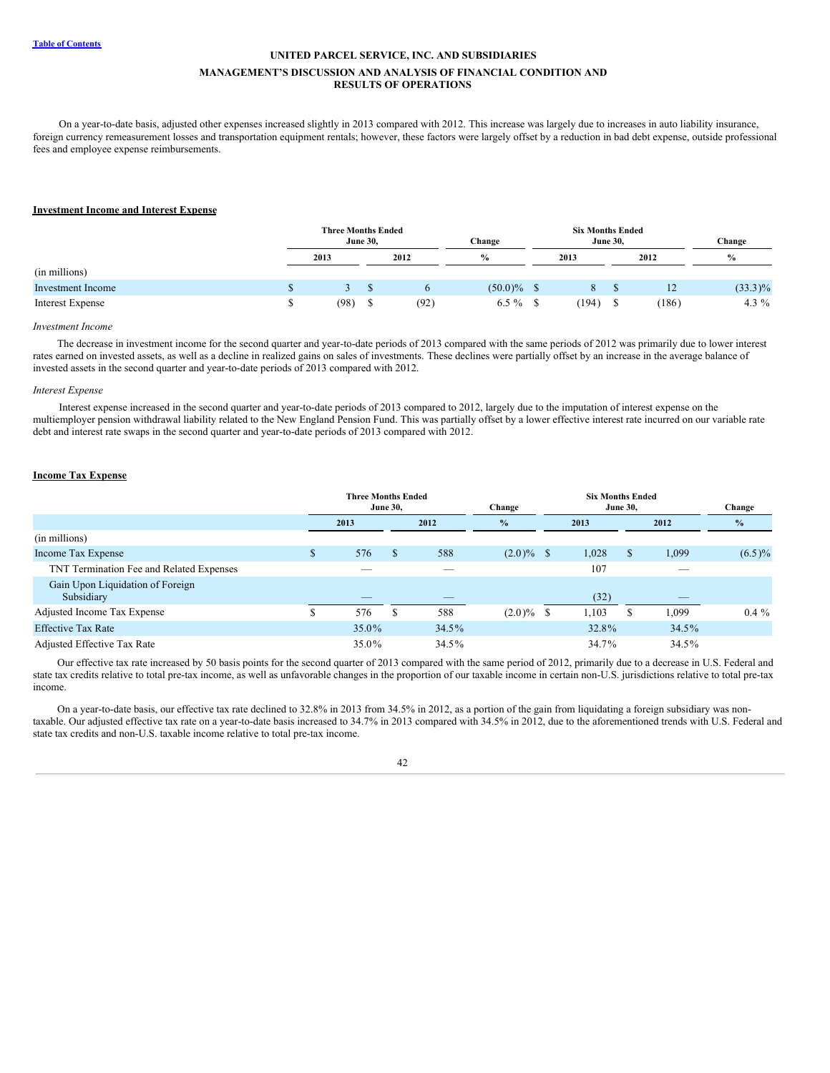On a year-to-date basis, adjusted other expenses increased slightly in 2013 compared with 2012. This increase was largely due to increases in auto liability insurance, foreign currency remeasurement losses and transportation equipment rentals; however, these factors were largely offset by a reduction in bad debt expense, outside professional fees and employee expense reimbursements.

### <span id="page-43-0"></span>**Investment Income and Interest Expense**

|                   |              | <b>Three Months Ended</b><br><b>June 30,</b> |               | Change        |  | <b>Six Months Ended</b><br><b>June 30,</b> | Change |               |            |
|-------------------|--------------|----------------------------------------------|---------------|---------------|--|--------------------------------------------|--------|---------------|------------|
|                   | 2013<br>2012 |                                              | $\frac{0}{0}$ |               |  |                                            | 2012   | $\frac{6}{9}$ |            |
| (in millions)     |              |                                              |               |               |  |                                            |        |               |            |
| Investment Income |              |                                              | $\sigma$      | $(50.0)\%$ \$ |  |                                            |        | 12            | $(33.3)\%$ |
| Interest Expense  |              | (98)                                         | (92)          | $6.5 \%$ \$   |  | (194)                                      |        | (186)         | 4.3 $%$    |

### *Investment Income*

The decrease in investment income for the second quarter and year-to-date periods of 2013 compared with the same periods of 2012 was primarily due to lower interest rates earned on invested assets, as well as a decline in realized gains on sales of investments. These declines were partially offset by an increase in the average balance of invested assets in the second quarter and year-to-date periods of 2013 compared with 2012.

#### *Interest Expense*

Interest expense increased in the second quarter and year-to-date periods of 2013 compared to 2012, largely due to the imputation of interest expense on the multiemployer pension withdrawal liability related to the New England Pension Fund. This was partially offset by a lower effective interest rate incurred on our variable rate debt and interest rate swaps in the second quarter and year-to-date periods of 2013 compared with 2012.

### <span id="page-43-1"></span>**Income Tax Expense**

|                                                |    | <b>Three Months Ended</b><br><b>June 30,</b> |   | <b>Six Months Ended</b><br><b>June 30,</b><br>Change |               |      |       |      | Change   |               |
|------------------------------------------------|----|----------------------------------------------|---|------------------------------------------------------|---------------|------|-------|------|----------|---------------|
|                                                |    | 2013                                         |   | 2012                                                 | $\frac{0}{0}$ | 2013 |       | 2012 |          | $\frac{0}{0}$ |
| (in millions)                                  |    |                                              |   |                                                      |               |      |       |      |          |               |
| Income Tax Expense                             | D. | 576                                          | S | 588                                                  | $(2.0)\%$ \$  |      | 1,028 | \$   | 1,099    | $(6.5)\%$     |
| TNT Termination Fee and Related Expenses       |    |                                              |   |                                                      |               |      | 107   |      |          |               |
| Gain Upon Liquidation of Foreign<br>Subsidiary |    |                                              |   |                                                      |               |      | (32)  |      |          |               |
| Adjusted Income Tax Expense                    |    | 576                                          | S | 588                                                  | $(2.0)\%$ \$  |      | 1,103 | ъ    | 1,099    | $0.4\%$       |
| <b>Effective Tax Rate</b>                      |    | 35.0%                                        |   | $34.5\%$                                             |               |      | 32.8% |      | $34.5\%$ |               |
| <b>Adjusted Effective Tax Rate</b>             |    | 35.0%                                        |   | 34.5%                                                |               |      | 34.7% |      | 34.5%    |               |

Our effective tax rate increased by 50 basis points for the second quarter of 2013 compared with the same period of 2012, primarily due to a decrease in U.S. Federal and state tax credits relative to total pre-tax income, as well as unfavorable changes in the proportion of our taxable income in certain non-U.S. jurisdictions relative to total pre-tax income.

On a year-to-date basis, our effective tax rate declined to 32.8% in 2013 from 34.5% in 2012, as a portion of the gain from liquidating a foreign subsidiary was nontaxable. Our adjusted effective tax rate on a year-to-date basis increased to 34.7% in 2013 compared with 34.5% in 2012, due to the aforementioned trends with U.S. Federal and state tax credits and non-U.S. taxable income relative to total pre-tax income.

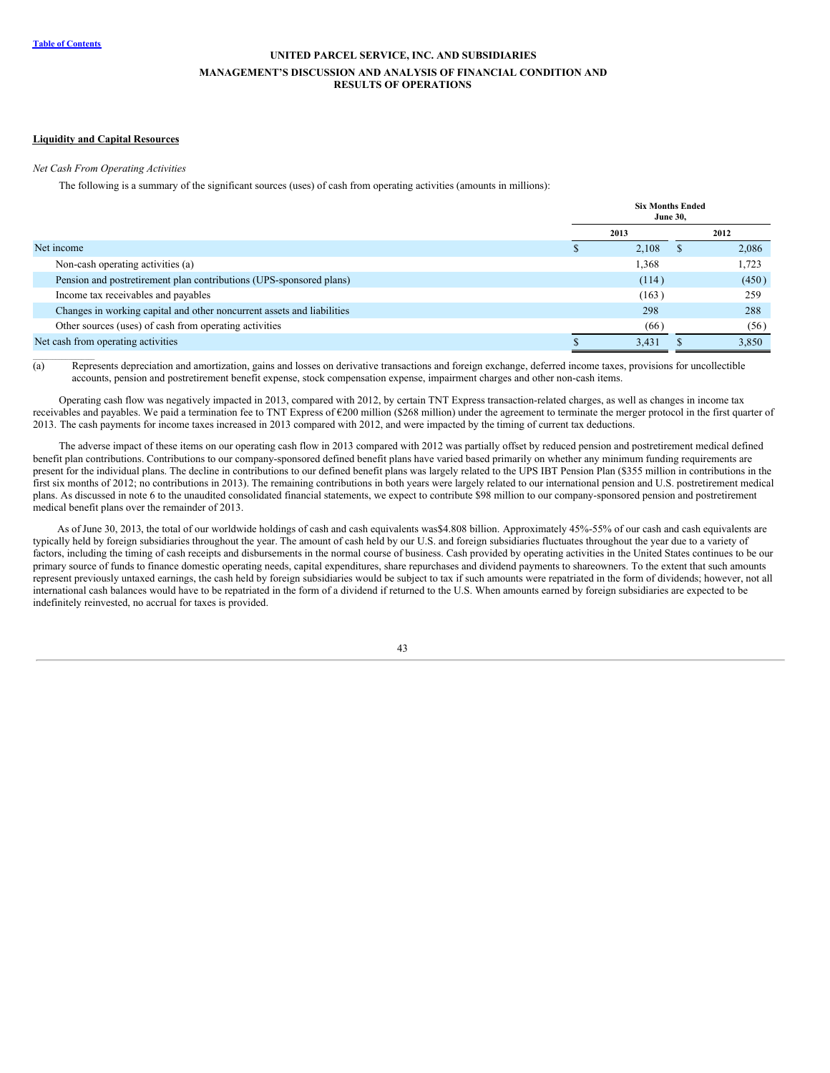### <span id="page-44-1"></span><span id="page-44-0"></span>**Liquidity and Capital Resources**

#### *Net Cash From Operating Activities*

The following is a summary of the significant sources (uses) of cash from operating activities (amounts in millions):

|                                                                        |  | <b>Six Months Ended</b><br><b>June 30,</b> |       |
|------------------------------------------------------------------------|--|--------------------------------------------|-------|
|                                                                        |  | 2013                                       | 2012  |
| Net income                                                             |  | 2,108<br>Ъ                                 | 2,086 |
| Non-cash operating activities (a)                                      |  | 1,368                                      | 1,723 |
| Pension and postretirement plan contributions (UPS-sponsored plans)    |  | (114)                                      | (450) |
| Income tax receivables and payables                                    |  | (163)                                      | 259   |
| Changes in working capital and other noncurrent assets and liabilities |  | 298                                        | 288   |
| Other sources (uses) of cash from operating activities                 |  | (66)                                       | (56)  |
| Net cash from operating activities                                     |  | 3,431                                      | 3,850 |

(a) Represents depreciation and amortization, gains and losses on derivative transactions and foreign exchange, deferred income taxes, provisions for uncollectible accounts, pension and postretirement benefit expense, stock compensation expense, impairment charges and other non-cash items.

Operating cash flow was negatively impacted in 2013, compared with 2012, by certain TNT Express transaction-related charges, as well as changes in income tax receivables and payables. We paid a termination fee to TNT Express of €200 million (\$268 million) under the agreement to terminate the merger protocol in the first quarter of 2013. The cash payments for income taxes increased in 2013 compared with 2012, and were impacted by the timing of current tax deductions.

The adverse impact of these items on our operating cash flow in 2013 compared with 2012 was partially offset by reduced pension and postretirement medical defined benefit plan contributions. Contributions to our company-sponsored defined benefit plans have varied based primarily on whether any minimum funding requirements are present for the individual plans. The decline in contributions to our defined benefit plans was largely related to the UPS IBT Pension Plan (\$355 million in contributions in the first six months of 2012; no contributions in 2013). The remaining contributions in both years were largely related to our international pension and U.S. postretirement medical plans. As discussed in note 6 to the unaudited consolidated financial statements, we expect to contribute \$98 million to our company-sponsored pension and postretirement medical benefit plans over the remainder of 2013.

As of June 30, 2013, the total of our worldwide holdings of cash and cash equivalents was\$4.808 billion. Approximately 45%-55% of our cash and cash equivalents are typically held by foreign subsidiaries throughout the year. The amount of cash held by our U.S. and foreign subsidiaries fluctuates throughout the year due to a variety of factors, including the timing of cash receipts and disbursements in the normal course of business. Cash provided by operating activities in the United States continues to be our primary source of funds to finance domestic operating needs, capital expenditures, share repurchases and dividend payments to shareowners. To the extent that such amounts represent previously untaxed earnings, the cash held by foreign subsidiaries would be subject to tax if such amounts were repatriated in the form of dividends; however, not all international cash balances would have to be repatriated in the form of a dividend if returned to the U.S. When amounts earned by foreign subsidiaries are expected to be indefinitely reinvested, no accrual for taxes is provided.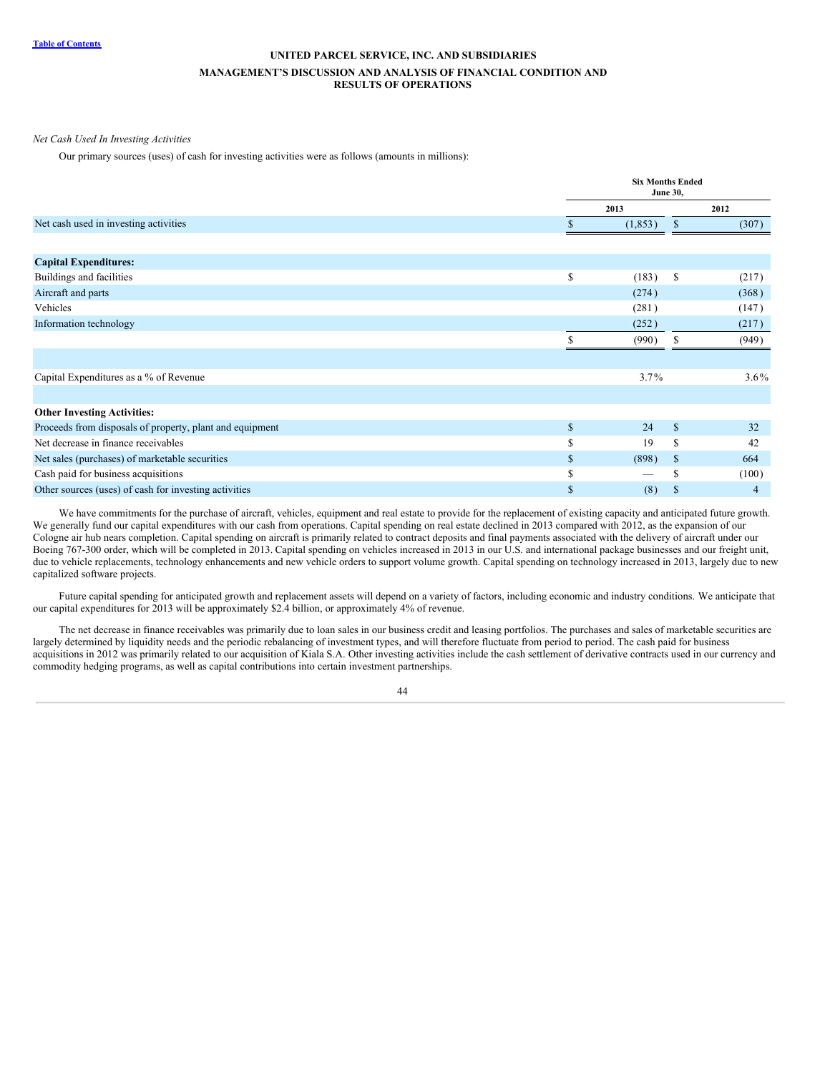### <span id="page-45-0"></span>*Net Cash Used In Investing Activities*

Our primary sources (uses) of cash for investing activities were as follows (amounts in millions):

|                                                          |               | <b>Six Months Ended</b><br><b>June 30,</b> |               |                |  |  |
|----------------------------------------------------------|---------------|--------------------------------------------|---------------|----------------|--|--|
|                                                          |               | 2013                                       |               | 2012           |  |  |
| Net cash used in investing activities                    |               | (1,853)                                    | <sup>\$</sup> | (307)          |  |  |
|                                                          |               |                                            |               |                |  |  |
| <b>Capital Expenditures:</b>                             |               |                                            |               |                |  |  |
| Buildings and facilities                                 | \$            | (183)                                      | \$            | (217)          |  |  |
| Aircraft and parts                                       |               | (274)                                      |               | (368)          |  |  |
| Vehicles                                                 |               | (281)                                      |               | (147)          |  |  |
| Information technology                                   |               | (252)                                      |               | (217)          |  |  |
|                                                          |               | (990)                                      |               | (949)          |  |  |
|                                                          |               |                                            |               |                |  |  |
| Capital Expenditures as a % of Revenue                   |               | $3.7\%$                                    |               | $3.6\%$        |  |  |
|                                                          |               |                                            |               |                |  |  |
| <b>Other Investing Activities:</b>                       |               |                                            |               |                |  |  |
| Proceeds from disposals of property, plant and equipment | $\mathsf{\$}$ | 24                                         | \$            | 32             |  |  |
| Net decrease in finance receivables                      | \$            | 19                                         | S             | 42             |  |  |
| Net sales (purchases) of marketable securities           | $\mathbb{S}$  | (898)                                      | \$            | 664            |  |  |
| Cash paid for business acquisitions                      | \$            | _                                          | S             | (100)          |  |  |
| Other sources (uses) of cash for investing activities    | \$            | (8)                                        | \$            | $\overline{4}$ |  |  |

We have commitments for the purchase of aircraft, vehicles, equipment and real estate to provide for the replacement of existing capacity and anticipated future growth. We generally fund our capital expenditures with our cash from operations. Capital spending on real estate declined in 2013 compared with 2012, as the expansion of our Cologne air hub nears completion. Capital spending on aircraft is primarily related to contract deposits and final payments associated with the delivery of aircraft under our Boeing 767-300 order, which will be completed in 2013. Capital spending on vehicles increased in 2013 in our U.S. and international package businesses and our freight unit, due to vehicle replacements, technology enhancements and new vehicle orders to support volume growth. Capital spending on technology increased in 2013, largely due to new capitalized software projects.

Future capital spending for anticipated growth and replacement assets will depend on a variety of factors, including economic and industry conditions. We anticipate that our capital expenditures for 2013 will be approximately \$2.4 billion, or approximately 4% of revenue.

The net decrease in finance receivables was primarily due to loan sales in our business credit and leasing portfolios. The purchases and sales of marketable securities are largely determined by liquidity needs and the periodic rebalancing of investment types, and will therefore fluctuate from period to period. The cash paid for business acquisitions in 2012 was primarily related to our acquisition of Kiala S.A. Other investing activities include the cash settlement of derivative contracts used in our currency and commodity hedging programs, as well as capital contributions into certain investment partnerships.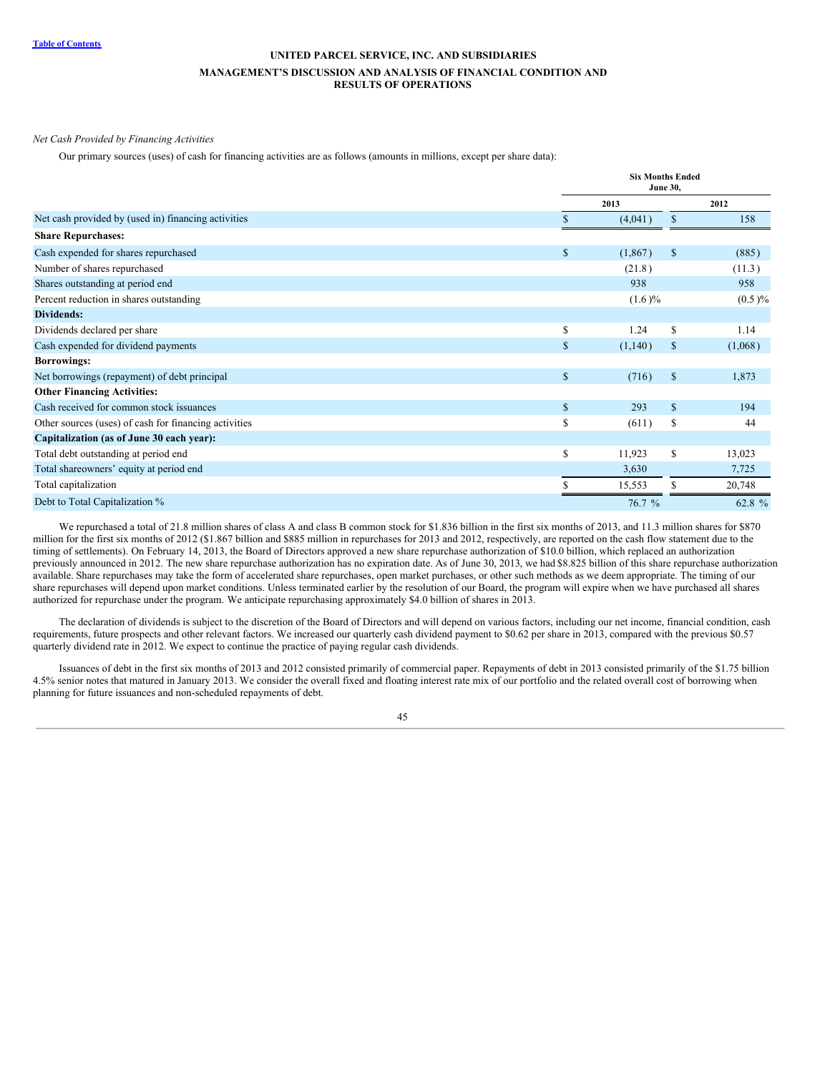# <span id="page-46-0"></span>*Net Cash Provided by Financing Activities*

Our primary sources (uses) of cash for financing activities are as follows (amounts in millions, except per share data):

|                                                       |               | <b>Six Months Ended</b><br><b>June 30,</b> |               |            |  |  |  |
|-------------------------------------------------------|---------------|--------------------------------------------|---------------|------------|--|--|--|
|                                                       |               | 2013                                       |               | 2012       |  |  |  |
| Net cash provided by (used in) financing activities   |               | (4,041)                                    | $\mathbb{S}$  | 158        |  |  |  |
| <b>Share Repurchases:</b>                             |               |                                            |               |            |  |  |  |
| Cash expended for shares repurchased                  | $\mathbb{S}$  | (1, 867)                                   | $\mathbb{S}$  | (885)      |  |  |  |
| Number of shares repurchased                          |               | (21.8)                                     |               | (11.3)     |  |  |  |
| Shares outstanding at period end                      |               | 938                                        |               | 958        |  |  |  |
| Percent reduction in shares outstanding               |               | $(1.6)\%$                                  |               | $(0.5) \%$ |  |  |  |
| <b>Dividends:</b>                                     |               |                                            |               |            |  |  |  |
| Dividends declared per share                          | S             | 1.24                                       | <sup>\$</sup> | 1.14       |  |  |  |
| Cash expended for dividend payments                   | <sup>\$</sup> | (1,140)                                    | \$            | (1,068)    |  |  |  |
| <b>Borrowings:</b>                                    |               |                                            |               |            |  |  |  |
| Net borrowings (repayment) of debt principal          | $\mathbb{S}$  | (716)                                      | <sup>\$</sup> | 1,873      |  |  |  |
| <b>Other Financing Activities:</b>                    |               |                                            |               |            |  |  |  |
| Cash received for common stock issuances              | $\mathbb{S}$  | 293                                        | $\mathbb{S}$  | 194        |  |  |  |
| Other sources (uses) of cash for financing activities | S             | (611)                                      | \$            | 44         |  |  |  |
| Capitalization (as of June 30 each year):             |               |                                            |               |            |  |  |  |
| Total debt outstanding at period end                  | S             | 11,923                                     | <sup>\$</sup> | 13,023     |  |  |  |
| Total shareowners' equity at period end               |               | 3,630                                      |               | 7,725      |  |  |  |
| Total capitalization                                  |               | 15,553                                     | S             | 20,748     |  |  |  |
| Debt to Total Capitalization %                        |               | 76.7 %                                     |               | 62.8 %     |  |  |  |

We repurchased a total of 21.8 million shares of class A and class B common stock for \$1.836 billion in the first six months of 2013, and 11.3 million shares for \$870 million for the first six months of 2012 (\$1.867 billion and \$885 million in repurchases for 2013 and 2012, respectively, are reported on the cash flow statement due to the timing of settlements). On February 14, 2013, the Board of Directors approved a new share repurchase authorization of \$10.0 billion, which replaced an authorization previously announced in 2012. The new share repurchase authorization has no expiration date. As of June 30, 2013, we had \$8.825 billion of this share repurchase authorization available. Share repurchases may take the form of accelerated share repurchases, open market purchases, or other such methods as we deem appropriate. The timing of our share repurchases will depend upon market conditions. Unless terminated earlier by the resolution of our Board, the program will expire when we have purchased all shares authorized for repurchase under the program. We anticipate repurchasing approximately \$4.0 billion of shares in 2013.

The declaration of dividends is subject to the discretion of the Board of Directors and will depend on various factors, including our net income, financial condition, cash requirements, future prospects and other relevant factors. We increased our quarterly cash dividend payment to \$0.62 per share in 2013, compared with the previous \$0.57 quarterly dividend rate in 2012. We expect to continue the practice of paying regular cash dividends.

Issuances of debt in the first six months of 2013 and 2012 consisted primarily of commercial paper. Repayments of debt in 2013 consisted primarily of the \$1.75 billion 4.5% senior notes that matured in January 2013. We consider the overall fixed and floating interest rate mix of our portfolio and the related overall cost of borrowing when planning for future issuances and non-scheduled repayments of debt.

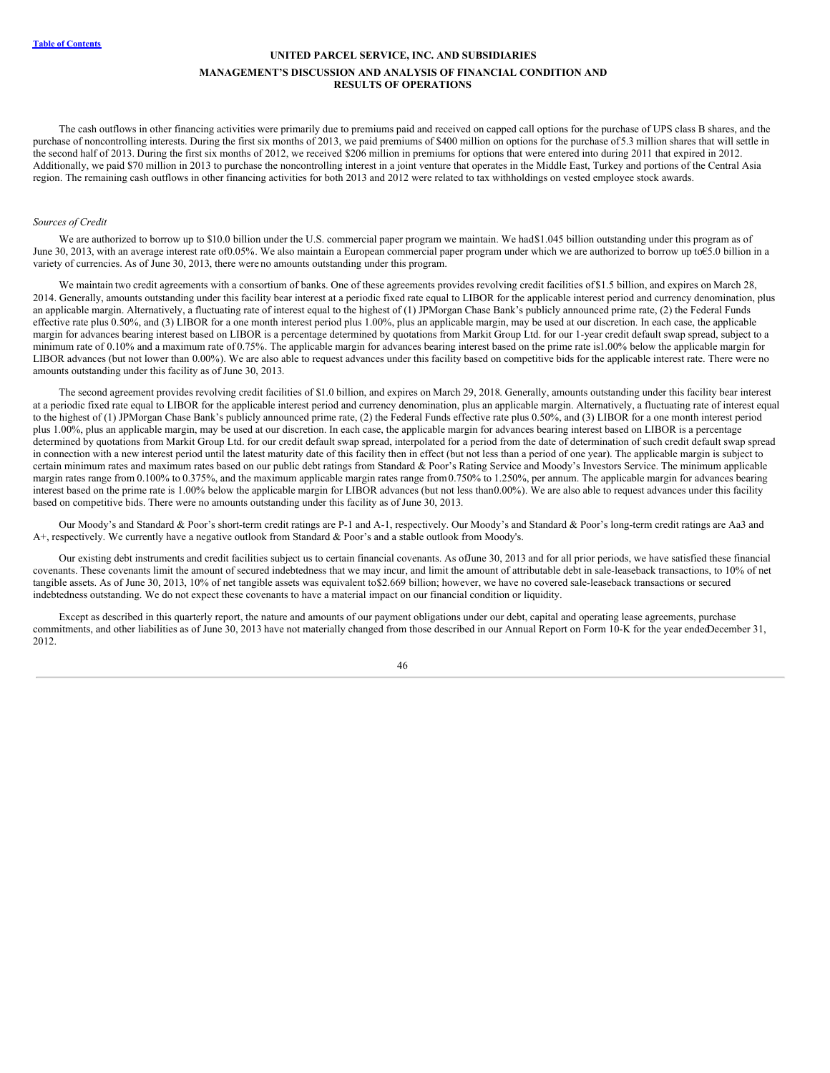The cash outflows in other financing activities were primarily due to premiums paid and received on capped call options for the purchase of UPS class B shares, and the purchase of noncontrolling interests. During the first six months of 2013, we paid premiums of \$400 million on options for the purchase of5.3 million shares that will settle in the second half of 2013. During the first six months of 2012, we received \$206 million in premiums for options that were entered into during 2011 that expired in 2012. Additionally, we paid \$70 million in 2013 to purchase the noncontrolling interest in a joint venture that operates in the Middle East, Turkey and portions of the Central Asia region. The remaining cash outflows in other financing activities for both 2013 and 2012 were related to tax withholdings on vested employee stock awards.

### <span id="page-47-0"></span>*Sources of Credit*

We are authorized to borrow up to \$10.0 billion under the U.S. commercial paper program we maintain. We had\$1.045 billion outstanding under this program as of June 30, 2013, with an average interest rate of0.05%. We also maintain a European commercial paper program under which we are authorized to borrow up to€5.0 billion in a variety of currencies. As of June 30, 2013, there were no amounts outstanding under this program.

We maintain two credit agreements with a consortium of banks. One of these agreements provides revolving credit facilities of \$1.5 billion, and expires on March 28, 2014. Generally, amounts outstanding under this facility bear interest at a periodic fixed rate equal to LIBOR for the applicable interest period and currency denomination, plus an applicable margin. Alternatively, a fluctuating rate of interest equal to the highest of (1) JPMorgan Chase Bank's publicly announced prime rate, (2) the Federal Funds effective rate plus 0.50%, and (3) LIBOR for a one month interest period plus 1.00%, plus an applicable margin, may be used at our discretion. In each case, the applicable margin for advances bearing interest based on LIBOR is a percentage determined by quotations from Markit Group Ltd. for our 1-year credit default swap spread, subject to a minimum rate of 0.10% and a maximum rate of 0.75%. The applicable margin for advances bearing interest based on the prime rate is1.00% below the applicable margin for LIBOR advances (but not lower than 0.00%). We are also able to request advances under this facility based on competitive bids for the applicable interest rate. There were no amounts outstanding under this facility as of June 30, 2013.

The second agreement provides revolving credit facilities of \$1.0 billion, and expires on March 29, 2018. Generally, amounts outstanding under this facility bear interest at a periodic fixed rate equal to LIBOR for the applicable interest period and currency denomination, plus an applicable margin. Alternatively, a fluctuating rate of interest equal to the highest of (1) JPMorgan Chase Bank's publicly announced prime rate, (2) the Federal Funds effective rate plus 0.50%, and (3) LIBOR for a one month interest period plus 1.00%, plus an applicable margin, may be used at our discretion. In each case, the applicable margin for advances bearing interest based on LIBOR is a percentage determined by quotations from Markit Group Ltd. for our credit default swap spread, interpolated for a period from the date of determination of such credit default swap spread in connection with a new interest period until the latest maturity date of this facility then in effect (but not less than a period of one year). The applicable margin is subject to certain minimum rates and maximum rates based on our public debt ratings from Standard & Poor's Rating Service and Moody's Investors Service. The minimum applicable margin rates range from 0.100% to 0.375%, and the maximum applicable margin rates range from0.750% to 1.250%, per annum. The applicable margin for advances bearing interest based on the prime rate is 1.00% below the applicable margin for LIBOR advances (but not less than0.00%). We are also able to request advances under this facility based on competitive bids. There were no amounts outstanding under this facility as of June 30, 2013.

Our Moody's and Standard & Poor's short-term credit ratings are P-1 and A-1, respectively. Our Moody's and Standard & Poor's long-term credit ratings are Aa3 and A+, respectively. We currently have a negative outlook from Standard & Poor's and a stable outlook from Moody's.

Our existing debt instruments and credit facilities subject us to certain financial covenants. As ofJune 30, 2013 and for all prior periods, we have satisfied these financial covenants. These covenants limit the amount of secured indebtedness that we may incur, and limit the amount of attributable debt in sale-leaseback transactions, to 10% of net tangible assets. As of June 30, 2013, 10% of net tangible assets was equivalent to\$2.669 billion; however, we have no covered sale-leaseback transactions or secured indebtedness outstanding. We do not expect these covenants to have a material impact on our financial condition or liquidity.

Except as described in this quarterly report, the nature and amounts of our payment obligations under our debt, capital and operating lease agreements, purchase commitments, and other liabilities as of June 30, 2013 have not materially changed from those described in our Annual Report on Form 10-K for the year endedDecember 31, 2012.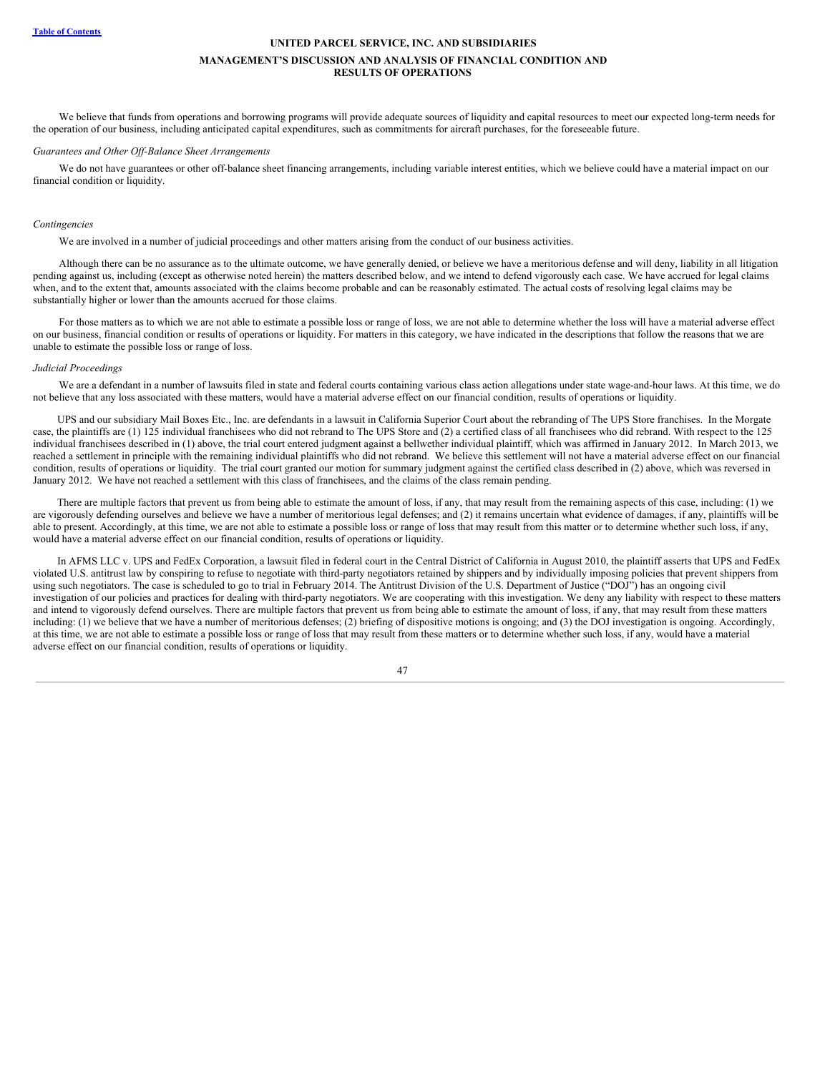### **UNITED PARCEL SERVICE, INC. AND SUBSIDIARIES**

### **MANAGEMENT'S DISCUSSION AND ANALYSIS OF FINANCIAL CONDITION AND RESULTS OF OPERATIONS**

We believe that funds from operations and borrowing programs will provide adequate sources of liquidity and capital resources to meet our expected long-term needs for the operation of our business, including anticipated capital expenditures, such as commitments for aircraft purchases, for the foreseeable future.

# *Guarantees and Other Of -Balance Sheet Arrangements*

<span id="page-48-0"></span>We do not have guarantees or other off-balance sheet financing arrangements, including variable interest entities, which we believe could have a material impact on our financial condition or liquidity.

#### *Contingencies*

We are involved in a number of judicial proceedings and other matters arising from the conduct of our business activities.

Although there can be no assurance as to the ultimate outcome, we have generally denied, or believe we have a meritorious defense and will deny, liability in all litigation pending against us, including (except as otherwise noted herein) the matters described below, and we intend to defend vigorously each case. We have accrued for legal claims when, and to the extent that, amounts associated with the claims become probable and can be reasonably estimated. The actual costs of resolving legal claims may be substantially higher or lower than the amounts accrued for those claims.

For those matters as to which we are not able to estimate a possible loss or range of loss, we are not able to determine whether the loss will have a material adverse effect on our business, financial condition or results of operations or liquidity. For matters in this category, we have indicated in the descriptions that follow the reasons that we are unable to estimate the possible loss or range of loss.

#### *Judicial Proceedings*

We are a defendant in a number of lawsuits filed in state and federal courts containing various class action allegations under state wage-and-hour laws. At this time, we do not believe that any loss associated with these matters, would have a material adverse effect on our financial condition, results of operations or liquidity.

UPS and our subsidiary Mail Boxes Etc., Inc. are defendants in a lawsuit in California Superior Court about the rebranding of The UPS Store franchises. In the Morgate case, the plaintiffs are (1) 125 individual franchisees who did not rebrand to The UPS Store and (2) a certified class of all franchisees who did rebrand. With respect to the 125 individual franchisees described in (1) above, the trial court entered judgment against a bellwether individual plaintiff, which was affirmed in January 2012. In March 2013, we reached a settlement in principle with the remaining individual plaintiffs who did not rebrand. We believe this settlement will not have a material adverse effect on our financial condition, results of operations or liquidity. The trial court granted our motion for summary judgment against the certified class described in (2) above, which was reversed in January 2012. We have not reached a settlement with this class of franchisees, and the claims of the class remain pending.

There are multiple factors that prevent us from being able to estimate the amount of loss, if any, that may result from the remaining aspects of this case, including: (1) we are vigorously defending ourselves and believe we have a number of meritorious legal defenses; and (2) it remains uncertain what evidence of damages, if any, plaintiffs will be able to present. Accordingly, at this time, we are not able to estimate a possible loss or range of loss that may result from this matter or to determine whether such loss, if any, would have a material adverse effect on our financial condition, results of operations or liquidity.

In AFMS LLC v. UPS and FedEx Corporation, a lawsuit filed in federal court in the Central District of California in August 2010, the plaintiff asserts that UPS and FedEx violated U.S. antitrust law by conspiring to refuse to negotiate with third-party negotiators retained by shippers and by individually imposing policies that prevent shippers from using such negotiators. The case is scheduled to go to trial in February 2014. The Antitrust Division of the U.S. Department of Justice ("DOJ") has an ongoing civil investigation of our policies and practices for dealing with third-party negotiators. We are cooperating with this investigation. We deny any liability with respect to these matters and intend to vigorously defend ourselves. There are multiple factors that prevent us from being able to estimate the amount of loss, if any, that may result from these matters including: (1) we believe that we have a number of meritorious defenses; (2) briefing of dispositive motions is ongoing; and (3) the DOJ investigation is ongoing. Accordingly, at this time, we are not able to estimate a possible loss or range of loss that may result from these matters or to determine whether such loss, if any, would have a material adverse effect on our financial condition, results of operations or liquidity.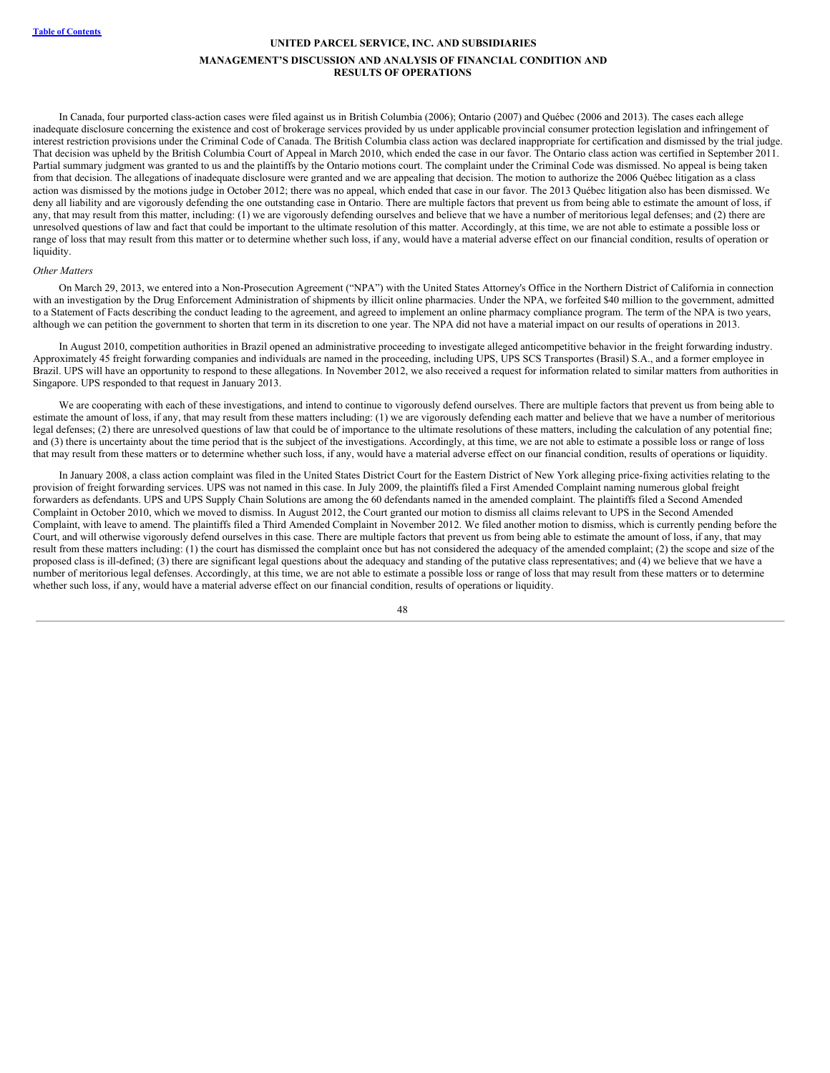In Canada, four purported class-action cases were filed against us in British Columbia (2006); Ontario (2007) and Québec (2006 and 2013). The cases each allege inadequate disclosure concerning the existence and cost of brokerage services provided by us under applicable provincial consumer protection legislation and infringement of interest restriction provisions under the Criminal Code of Canada. The British Columbia class action was declared inappropriate for certification and dismissed by the trial judge. That decision was upheld by the British Columbia Court of Appeal in March 2010, which ended the case in our favor. The Ontario class action was certified in September 2011. Partial summary judgment was granted to us and the plaintiffs by the Ontario motions court. The complaint under the Criminal Code was dismissed. No appeal is being taken from that decision. The allegations of inadequate disclosure were granted and we are appealing that decision. The motion to authorize the 2006 Québec litigation as a class action was dismissed by the motions judge in October 2012; there was no appeal, which ended that case in our favor. The 2013 Québec litigation also has been dismissed. We deny all liability and are vigorously defending the one outstanding case in Ontario. There are multiple factors that prevent us from being able to estimate the amount of loss, if any, that may result from this matter, including: (1) we are vigorously defending ourselves and believe that we have a number of meritorious legal defenses; and (2) there are unresolved questions of law and fact that could be important to the ultimate resolution of this matter. Accordingly, at this time, we are not able to estimate a possible loss or range of loss that may result from this matter or to determine whether such loss, if any, would have a material adverse effect on our financial condition, results of operation or liquidity.

#### *Other Matters*

On March 29, 2013, we entered into a Non-Prosecution Agreement ("NPA") with the United States Attorney's Office in the Northern District of California in connection with an investigation by the Drug Enforcement Administration of shipments by illicit online pharmacies. Under the NPA, we forfeited \$40 million to the government, admitted to a Statement of Facts describing the conduct leading to the agreement, and agreed to implement an online pharmacy compliance program. The term of the NPA is two years, although we can petition the government to shorten that term in its discretion to one year. The NPA did not have a material impact on our results of operations in 2013.

In August 2010, competition authorities in Brazil opened an administrative proceeding to investigate alleged anticompetitive behavior in the freight forwarding industry. Approximately 45 freight forwarding companies and individuals are named in the proceeding, including UPS, UPS SCS Transportes (Brasil) S.A., and a former employee in Brazil. UPS will have an opportunity to respond to these allegations. In November 2012, we also received a request for information related to similar matters from authorities in Singapore. UPS responded to that request in January 2013.

We are cooperating with each of these investigations, and intend to continue to vigorously defend ourselves. There are multiple factors that prevent us from being able to estimate the amount of loss, if any, that may result from these matters including: (1) we are vigorously defending each matter and believe that we have a number of meritorious legal defenses; (2) there are unresolved questions of law that could be of importance to the ultimate resolutions of these matters, including the calculation of any potential fine; and (3) there is uncertainty about the time period that is the subject of the investigations. Accordingly, at this time, we are not able to estimate a possible loss or range of loss that may result from these matters or to determine whether such loss, if any, would have a material adverse effect on our financial condition, results of operations or liquidity.

In January 2008, a class action complaint was filed in the United States District Court for the Eastern District of New York alleging price-fixing activities relating to the provision of freight forwarding services. UPS was not named in this case. In July 2009, the plaintiffs filed a First Amended Complaint naming numerous global freight forwarders as defendants. UPS and UPS Supply Chain Solutions are among the 60 defendants named in the amended complaint. The plaintiffs filed a Second Amended Complaint in October 2010, which we moved to dismiss. In August 2012, the Court granted our motion to dismiss all claims relevant to UPS in the Second Amended Complaint, with leave to amend. The plaintiffs filed a Third Amended Complaint in November 2012. We filed another motion to dismiss, which is currently pending before the Court, and will otherwise vigorously defend ourselves in this case. There are multiple factors that prevent us from being able to estimate the amount of loss, if any, that may result from these matters including: (1) the court has dismissed the complaint once but has not considered the adequacy of the amended complaint; (2) the scope and size of the proposed class is ill-defined; (3) there are significant legal questions about the adequacy and standing of the putative class representatives; and (4) we believe that we have a number of meritorious legal defenses. Accordingly, at this time, we are not able to estimate a possible loss or range of loss that may result from these matters or to determine whether such loss, if any, would have a material adverse effect on our financial condition, results of operations or liquidity.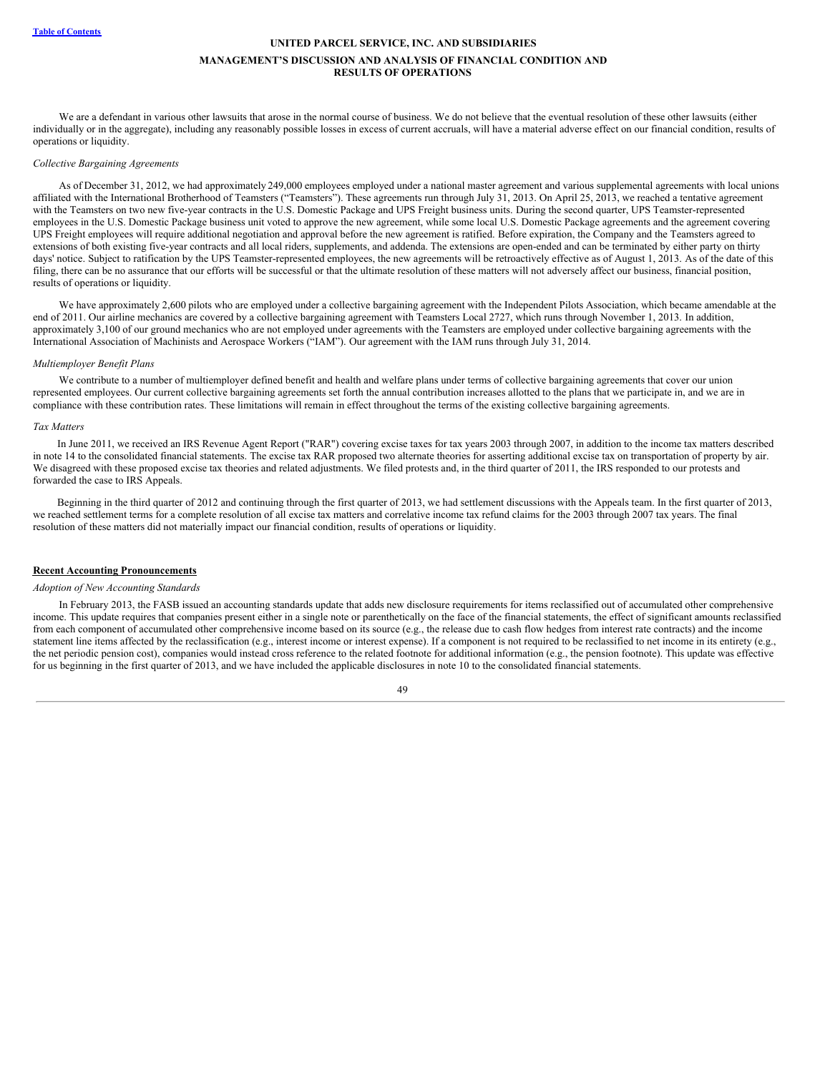### **UNITED PARCEL SERVICE, INC. AND SUBSIDIARIES**

### **MANAGEMENT'S DISCUSSION AND ANALYSIS OF FINANCIAL CONDITION AND RESULTS OF OPERATIONS**

We are a defendant in various other lawsuits that arose in the normal course of business. We do not believe that the eventual resolution of these other lawsuits (either individually or in the aggregate), including any reasonably possible losses in excess of current accruals, will have a material adverse effect on our financial condition, results of operations or liquidity.

#### *Collective Bargaining Agreements*

As of December 31, 2012, we had approximately 249,000 employees employed under a national master agreement and various supplemental agreements with local unions affiliated with the International Brotherhood of Teamsters ("Teamsters"). These agreements run through July 31, 2013. On April 25, 2013, we reached a tentative agreement with the Teamsters on two new five-year contracts in the U.S. Domestic Package and UPS Freight business units. During the second quarter, UPS Teamster-represented employees in the U.S. Domestic Package business unit voted to approve the new agreement, while some local U.S. Domestic Package agreements and the agreement covering UPS Freight employees will require additional negotiation and approval before the new agreement is ratified. Before expiration, the Company and the Teamsters agreed to extensions of both existing five-year contracts and all local riders, supplements, and addenda. The extensions are open-ended and can be terminated by either party on thirty days' notice. Subject to ratification by the UPS Teamster-represented employees, the new agreements will be retroactively effective as of August 1, 2013. As of the date of this filing, there can be no assurance that our efforts will be successful or that the ultimate resolution of these matters will not adversely affect our business, financial position, results of operations or liquidity.

We have approximately 2,600 pilots who are employed under a collective bargaining agreement with the Independent Pilots Association, which became amendable at the end of 2011. Our airline mechanics are covered by a collective bargaining agreement with Teamsters Local 2727, which runs through November 1, 2013. In addition, approximately 3,100 of our ground mechanics who are not employed under agreements with the Teamsters are employed under collective bargaining agreements with the International Association of Machinists and Aerospace Workers ("IAM"). Our agreement with the IAM runs through July 31, 2014.

### *Multiemployer Benefit Plans*

We contribute to a number of multiemployer defined benefit and health and welfare plans under terms of collective bargaining agreements that cover our union represented employees. Our current collective bargaining agreements set forth the annual contribution increases allotted to the plans that we participate in, and we are in compliance with these contribution rates. These limitations will remain in effect throughout the terms of the existing collective bargaining agreements.

#### *Tax Matters*

In June 2011, we received an IRS Revenue Agent Report ("RAR") covering excise taxes for tax years 2003 through 2007, in addition to the income tax matters described in note 14 to the consolidated financial statements. The excise tax RAR proposed two alternate theories for asserting additional excise tax on transportation of property by air. We disagreed with these proposed excise tax theories and related adjustments. We filed protests and, in the third quarter of 2011, the IRS responded to our protests and forwarded the case to IRS Appeals.

Beginning in the third quarter of 2012 and continuing through the first quarter of 2013, we had settlement discussions with the Appeals team. In the first quarter of 2013, we reached settlement terms for a complete resolution of all excise tax matters and correlative income tax refund claims for the 2003 through 2007 tax years. The final resolution of these matters did not materially impact our financial condition, results of operations or liquidity.

### <span id="page-50-0"></span>**Recent Accounting Pronouncements**

#### *Adoption of New Accounting Standards*

In February 2013, the FASB issued an accounting standards update that adds new disclosure requirements for items reclassified out of accumulated other comprehensive income. This update requires that companies present either in a single note or parenthetically on the face of the financial statements, the effect of significant amounts reclassified from each component of accumulated other comprehensive income based on its source (e.g., the release due to cash flow hedges from interest rate contracts) and the income statement line items affected by the reclassification (e.g., interest income or interest expense). If a component is not required to be reclassified to net income in its entirety (e.g., the net periodic pension cost), companies would instead cross reference to the related footnote for additional information (e.g., the pension footnote). This update was effective for us beginning in the first quarter of 2013, and we have included the applicable disclosures in note 10 to the consolidated financial statements.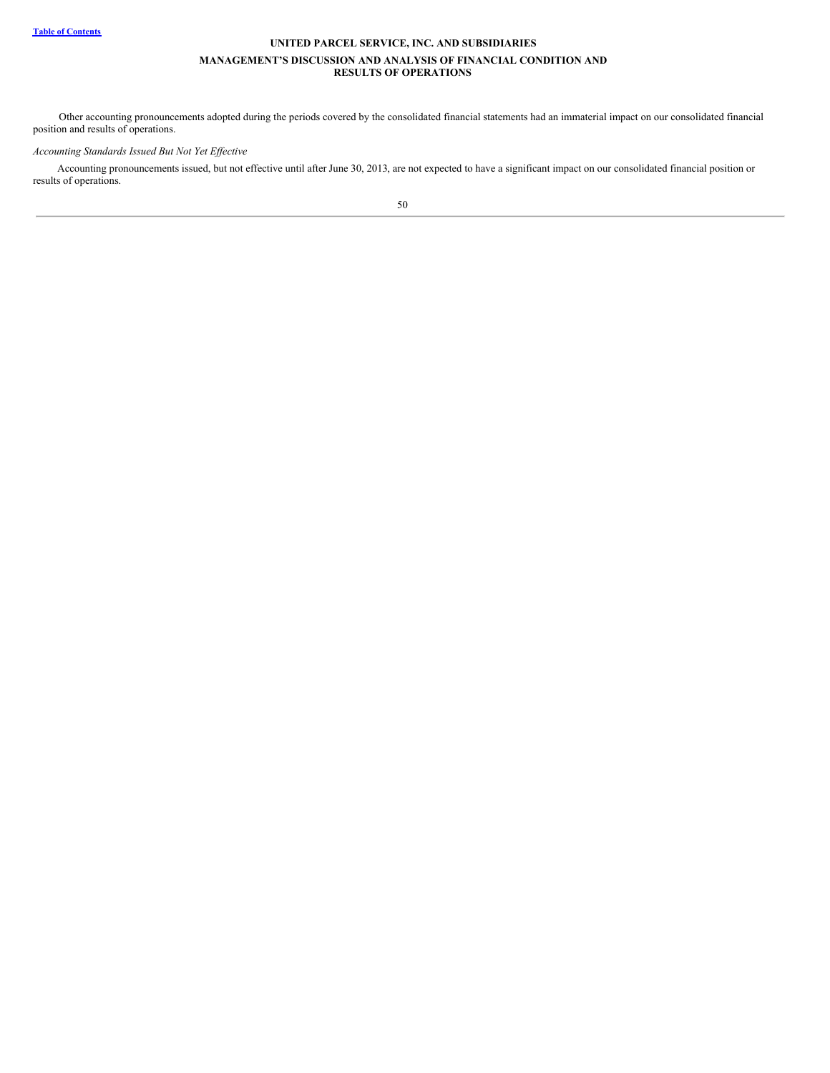## **UNITED PARCEL SERVICE, INC. AND SUBSIDIARIES**

## **MANAGEMENT'S DISCUSSION AND ANALYSIS OF FINANCIAL CONDITION AND RESULTS OF OPERATIONS**

Other accounting pronouncements adopted during the periods covered by the consolidated financial statements had an immaterial impact on our consolidated financial position and results of operations.

## *Accounting Standards Issued But Not Yet Ef ective*

Accounting pronouncements issued, but not effective until after June 30, 2013, are not expected to have a significant impact on our consolidated financial position or results of operations.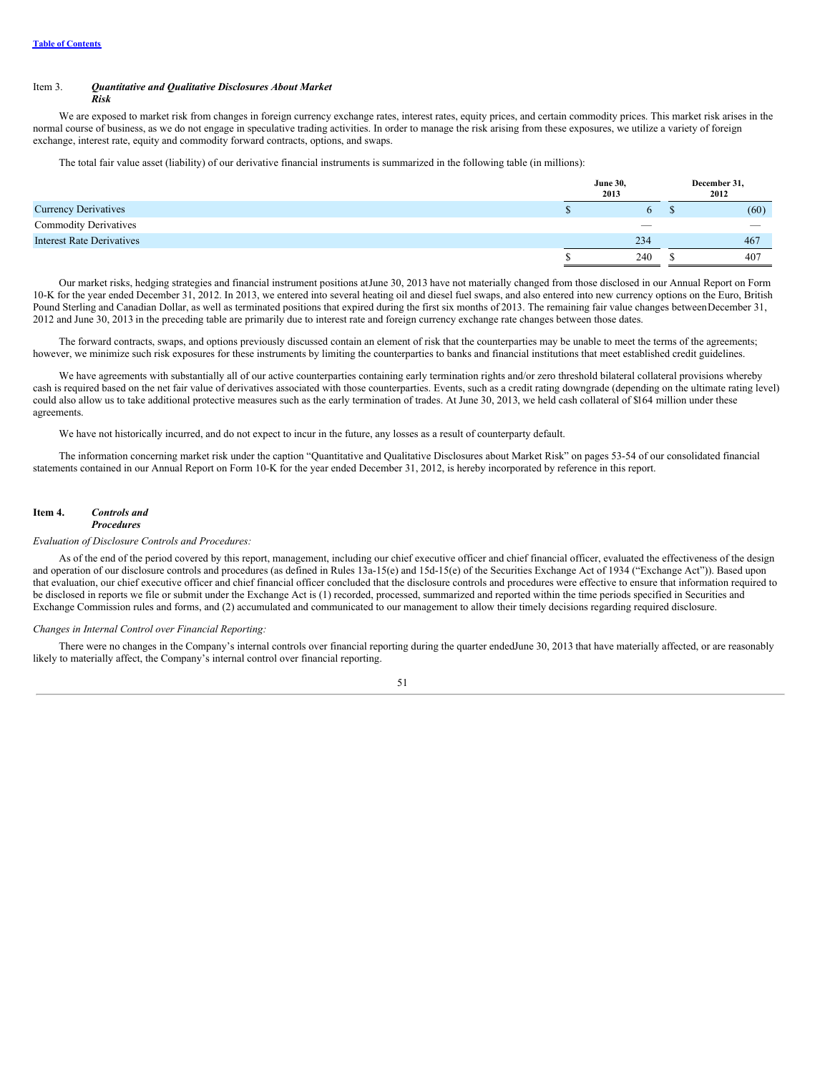#### <span id="page-52-0"></span>Item 3. *Quantitative and Qualitative Disclosures About Market Risk*

We are exposed to market risk from changes in foreign currency exchange rates, interest rates, equity prices, and certain commodity prices. This market risk arises in the normal course of business, as we do not engage in speculative trading activities. In order to manage the risk arising from these exposures, we utilize a variety of foreign exchange, interest rate, equity and commodity forward contracts, options, and swaps.

The total fair value asset (liability) of our derivative financial instruments is summarized in the following table (in millions):

|                                  |  | <b>June 30,</b><br>2013 | December 31,<br>2012 |      |  |
|----------------------------------|--|-------------------------|----------------------|------|--|
| <b>Currency Derivatives</b>      |  | <sub>0</sub>            |                      | (60) |  |
| <b>Commodity Derivatives</b>     |  |                         |                      |      |  |
| <b>Interest Rate Derivatives</b> |  | 234                     |                      | 467  |  |
|                                  |  | 240                     |                      | 407  |  |

Our market risks, hedging strategies and financial instrument positions atJune 30, 2013 have not materially changed from those disclosed in our Annual Report on Form 10-K for the year ended December 31, 2012. In 2013, we entered into several heating oil and diesel fuel swaps, and also entered into new currency options on the Euro, British Pound Sterling and Canadian Dollar, as well as terminated positions that expired during the first six months of 2013. The remaining fair value changes betweenDecember 31, 2012 and June 30, 2013 in the preceding table are primarily due to interest rate and foreign currency exchange rate changes between those dates.

The forward contracts, swaps, and options previously discussed contain an element of risk that the counterparties may be unable to meet the terms of the agreements; however, we minimize such risk exposures for these instruments by limiting the counterparties to banks and financial institutions that meet established credit guidelines.

We have agreements with substantially all of our active counterparties containing early termination rights and/or zero threshold bilateral collateral provisions whereby cash is required based on the net fair value of derivatives associated with those counterparties. Events, such as a credit rating downgrade (depending on the ultimate rating level) could also allow us to take additional protective measures such as the early termination of trades. At June 30, 2013, we held cash collateral of \$164 million under these agreements.

We have not historically incurred, and do not expect to incur in the future, any losses as a result of counterparty default.

<span id="page-52-1"></span>The information concerning market risk under the caption "Quantitative and Qualitative Disclosures about Market Risk" on pages 53-54 of our consolidated financial statements contained in our Annual Report on Form 10-K for the year ended December 31, 2012, is hereby incorporated by reference in this report.

### **Item 4.** *Controls and Procedures*

### *Evaluation of Disclosure Controls and Procedures:*

As of the end of the period covered by this report, management, including our chief executive officer and chief financial officer, evaluated the effectiveness of the design and operation of our disclosure controls and procedures (as defined in Rules 13a-15(e) and 15d-15(e) of the Securities Exchange Act of 1934 ("Exchange Act")). Based upon that evaluation, our chief executive officer and chief financial officer concluded that the disclosure controls and procedures were effective to ensure that information required to be disclosed in reports we file or submit under the Exchange Act is (1) recorded, processed, summarized and reported within the time periods specified in Securities and Exchange Commission rules and forms, and (2) accumulated and communicated to our management to allow their timely decisions regarding required disclosure.

#### *Changes in Internal Control over Financial Reporting:*

There were no changes in the Company's internal controls over financial reporting during the quarter endedJune 30, 2013 that have materially affected, or are reasonably likely to materially affect, the Company's internal control over financial reporting.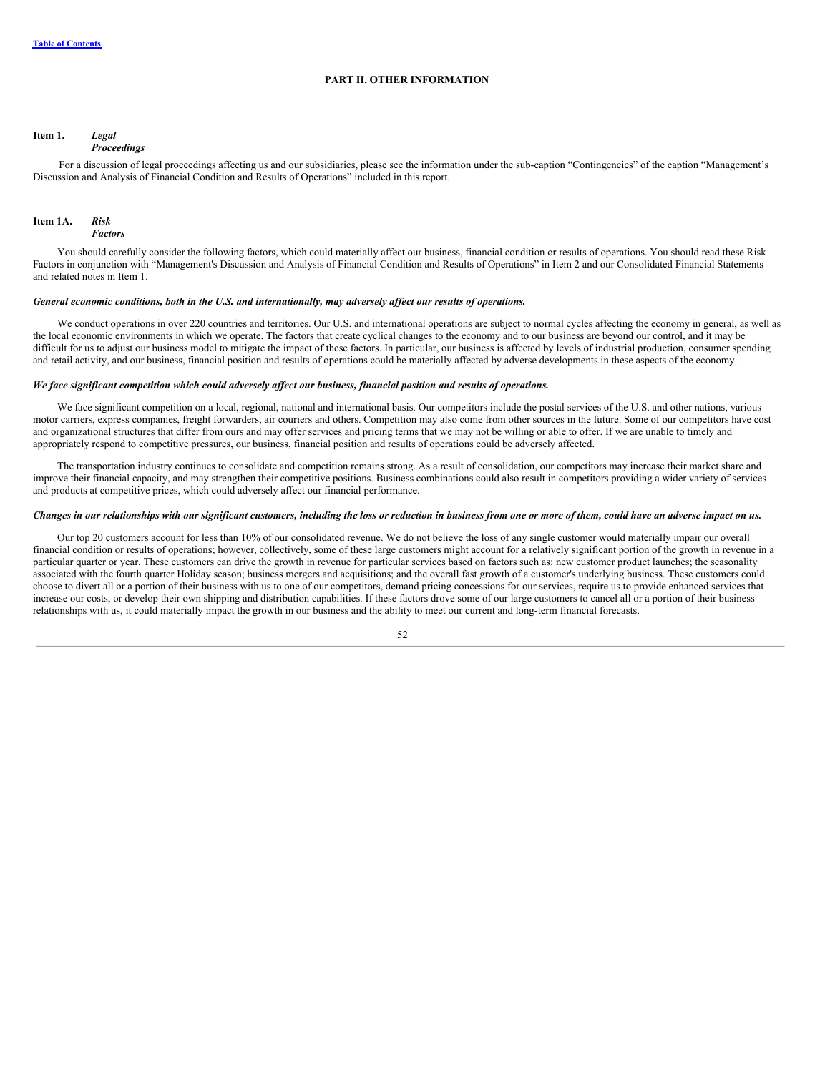### **PART II. OTHER INFORMATION**

# <span id="page-53-0"></span>**Item 1.** *Legal*

# *Proceedings*

<span id="page-53-1"></span>For a discussion of legal proceedings affecting us and our subsidiaries, please see the information under the sub-caption "Contingencies" of the caption "Management's Discussion and Analysis of Financial Condition and Results of Operations" included in this report.

### **Item 1A.** *Risk Factors*

You should carefully consider the following factors, which could materially affect our business, financial condition or results of operations. You should read these Risk Factors in conjunction with "Management's Discussion and Analysis of Financial Condition and Results of Operations" in Item 2 and our Consolidated Financial Statements and related notes in Item 1.

## General economic conditions, both in the U.S. and internationally, may adversely affect our results of operations.

We conduct operations in over 220 countries and territories. Our U.S. and international operations are subject to normal cycles affecting the economy in general, as well as the local economic environments in which we operate. The factors that create cyclical changes to the economy and to our business are beyond our control, and it may be difficult for us to adjust our business model to mitigate the impact of these factors. In particular, our business is affected by levels of industrial production, consumer spending and retail activity, and our business, financial position and results of operations could be materially affected by adverse developments in these aspects of the economy.

### We face significant competition which could adversely affect our business, financial position and results of operations.

We face significant competition on a local, regional, national and international basis. Our competitors include the postal services of the U.S. and other nations, various motor carriers, express companies, freight forwarders, air couriers and others. Competition may also come from other sources in the future. Some of our competitors have cost and organizational structures that differ from ours and may offer services and pricing terms that we may not be willing or able to offer. If we are unable to timely and appropriately respond to competitive pressures, our business, financial position and results of operations could be adversely affected.

The transportation industry continues to consolidate and competition remains strong. As a result of consolidation, our competitors may increase their market share and improve their financial capacity, and may strengthen their competitive positions. Business combinations could also result in competitors providing a wider variety of services and products at competitive prices, which could adversely affect our financial performance.

### Changes in our relationships with our significant customers, including the loss or reduction in business from one or more of them, could have an adverse impact on us.

Our top 20 customers account for less than 10% of our consolidated revenue. We do not believe the loss of any single customer would materially impair our overall financial condition or results of operations; however, collectively, some of these large customers might account for a relatively significant portion of the growth in revenue in a particular quarter or year. These customers can drive the growth in revenue for particular services based on factors such as: new customer product launches; the seasonality associated with the fourth quarter Holiday season; business mergers and acquisitions; and the overall fast growth of a customer's underlying business. These customers could choose to divert all or a portion of their business with us to one of our competitors, demand pricing concessions for our services, require us to provide enhanced services that increase our costs, or develop their own shipping and distribution capabilities. If these factors drove some of our large customers to cancel all or a portion of their business relationships with us, it could materially impact the growth in our business and the ability to meet our current and long-term financial forecasts.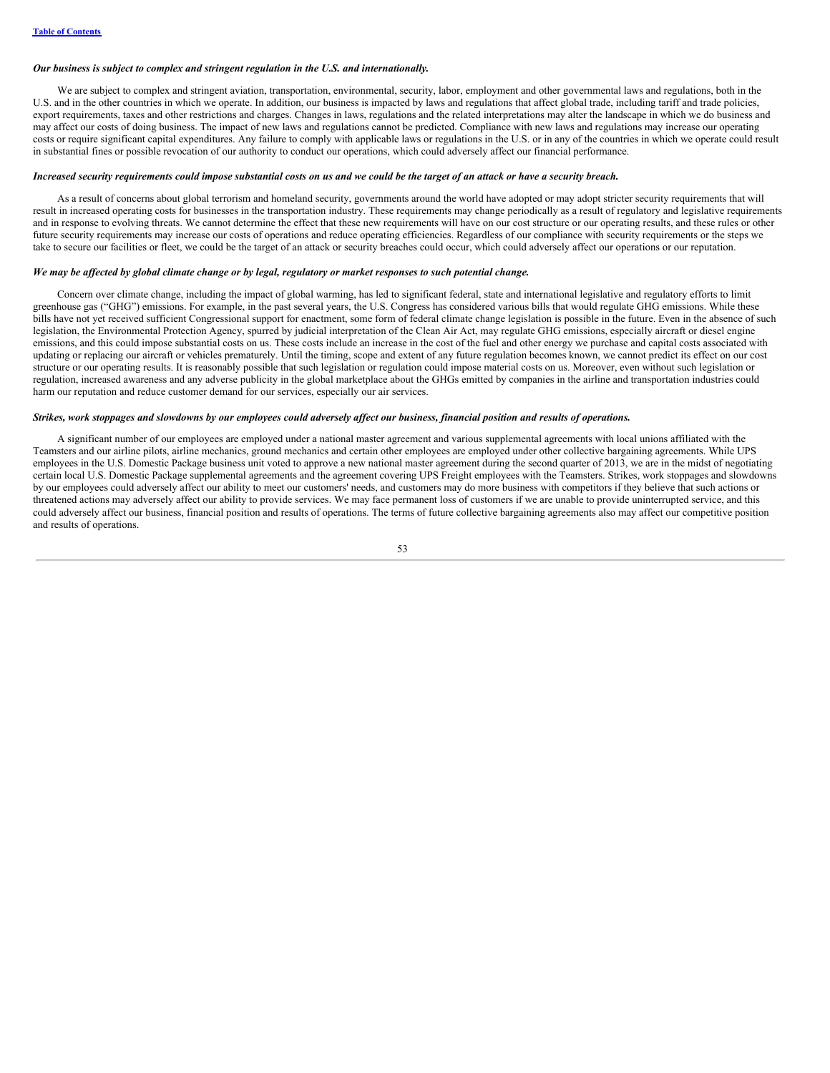### *Our business is subject to complex and stringent regulation in the U.S. and internationally.*

We are subject to complex and stringent aviation, transportation, environmental, security, labor, employment and other governmental laws and regulations, both in the U.S. and in the other countries in which we operate. In addition, our business is impacted by laws and regulations that affect global trade, including tariff and trade policies, export requirements, taxes and other restrictions and charges. Changes in laws, regulations and the related interpretations may alter the landscape in which we do business and may affect our costs of doing business. The impact of new laws and regulations cannot be predicted. Compliance with new laws and regulations may increase our operating costs or require significant capital expenditures. Any failure to comply with applicable laws or regulations in the U.S. or in any of the countries in which we operate could result in substantial fines or possible revocation of our authority to conduct our operations, which could adversely affect our financial performance.

### Increased security requirements could impose substantial costs on us and we could be the target of an attack or have a security breach.

As a result of concerns about global terrorism and homeland security, governments around the world have adopted or may adopt stricter security requirements that will result in increased operating costs for businesses in the transportation industry. These requirements may change periodically as a result of regulatory and legislative requirements and in response to evolving threats. We cannot determine the effect that these new requirements will have on our cost structure or our operating results, and these rules or other future security requirements may increase our costs of operations and reduce operating efficiencies. Regardless of our compliance with security requirements or the steps we take to secure our facilities or fleet, we could be the target of an attack or security breaches could occur, which could adversely affect our operations or our reputation.

#### We may be affected by global climate change or by legal, regulatory or market responses to such potential change.

Concern over climate change, including the impact of global warming, has led to significant federal, state and international legislative and regulatory efforts to limit greenhouse gas ("GHG") emissions. For example, in the past several years, the U.S. Congress has considered various bills that would regulate GHG emissions. While these bills have not yet received sufficient Congressional support for enactment, some form of federal climate change legislation is possible in the future. Even in the absence of such legislation, the Environmental Protection Agency, spurred by judicial interpretation of the Clean Air Act, may regulate GHG emissions, especially aircraft or diesel engine emissions, and this could impose substantial costs on us. These costs include an increase in the cost of the fuel and other energy we purchase and capital costs associated with updating or replacing our aircraft or vehicles prematurely. Until the timing, scope and extent of any future regulation becomes known, we cannot predict its effect on our cost structure or our operating results. It is reasonably possible that such legislation or regulation could impose material costs on us. Moreover, even without such legislation or regulation, increased awareness and any adverse publicity in the global marketplace about the GHGs emitted by companies in the airline and transportation industries could harm our reputation and reduce customer demand for our services, especially our air services.

### Strikes, work stoppages and slowdowns by our employees could adversely affect our business, financial position and results of operations.

A significant number of our employees are employed under a national master agreement and various supplemental agreements with local unions affiliated with the Teamsters and our airline pilots, airline mechanics, ground mechanics and certain other employees are employed under other collective bargaining agreements. While UPS employees in the U.S. Domestic Package business unit voted to approve a new national master agreement during the second quarter of 2013, we are in the midst of negotiating certain local U.S. Domestic Package supplemental agreements and the agreement covering UPS Freight employees with the Teamsters. Strikes, work stoppages and slowdowns by our employees could adversely affect our ability to meet our customers' needs, and customers may do more business with competitors if they believe that such actions or threatened actions may adversely affect our ability to provide services. We may face permanent loss of customers if we are unable to provide uninterrupted service, and this could adversely affect our business, financial position and results of operations. The terms of future collective bargaining agreements also may affect our competitive position and results of operations.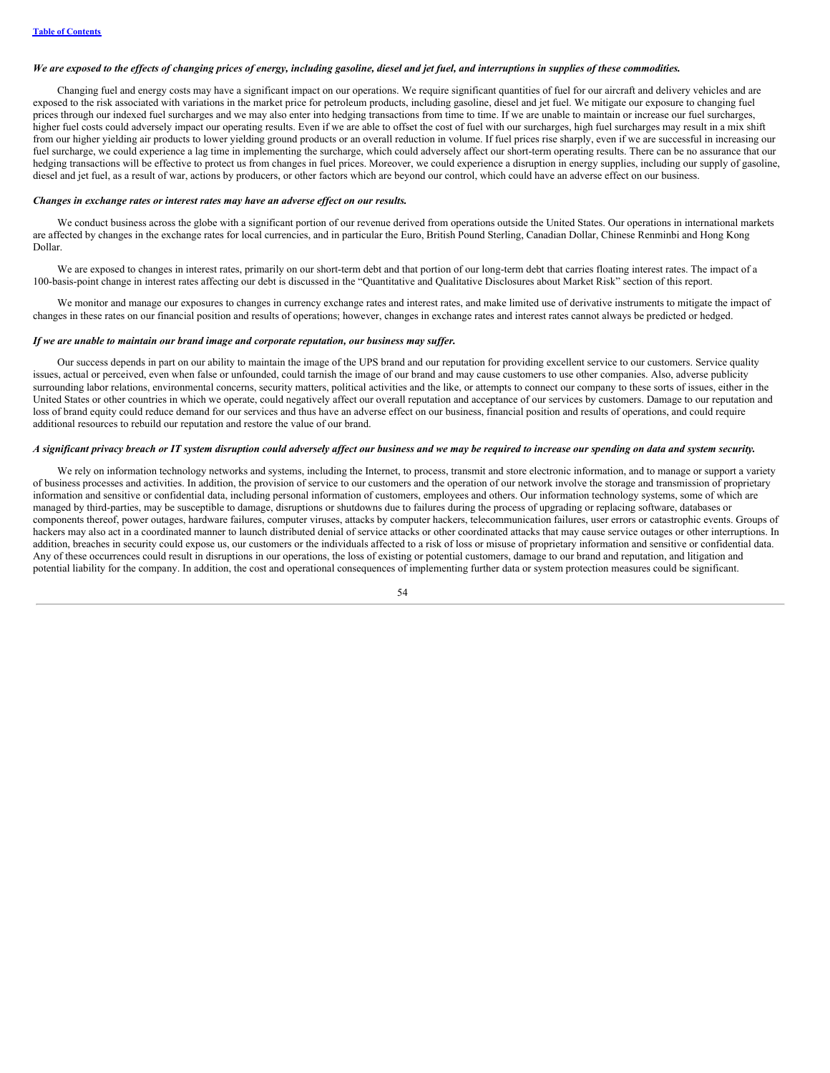### We are exposed to the effects of changing prices of energy, including gasoline, diesel and jet fuel, and interruptions in supplies of these commodities.

Changing fuel and energy costs may have a significant impact on our operations. We require significant quantities of fuel for our aircraft and delivery vehicles and are exposed to the risk associated with variations in the market price for petroleum products, including gasoline, diesel and jet fuel. We mitigate our exposure to changing fuel prices through our indexed fuel surcharges and we may also enter into hedging transactions from time to time. If we are unable to maintain or increase our fuel surcharges, higher fuel costs could adversely impact our operating results. Even if we are able to offset the cost of fuel with our surcharges, high fuel surcharges may result in a mix shift from our higher yielding air products to lower yielding ground products or an overall reduction in volume. If fuel prices rise sharply, even if we are successful in increasing our fuel surcharge, we could experience a lag time in implementing the surcharge, which could adversely affect our short-term operating results. There can be no assurance that our hedging transactions will be effective to protect us from changes in fuel prices. Moreover, we could experience a disruption in energy supplies, including our supply of gasoline, diesel and jet fuel, as a result of war, actions by producers, or other factors which are beyond our control, which could have an adverse effect on our business.

### *Changes in exchange rates or interest rates may have an adverse ef ect on our results.*

We conduct business across the globe with a significant portion of our revenue derived from operations outside the United States. Our operations in international markets are affected by changes in the exchange rates for local currencies, and in particular the Euro, British Pound Sterling, Canadian Dollar, Chinese Renminbi and Hong Kong Dollar.

We are exposed to changes in interest rates, primarily on our short-term debt and that portion of our long-term debt that carries floating interest rates. The impact of a 100-basis-point change in interest rates affecting our debt is discussed in the "Quantitative and Qualitative Disclosures about Market Risk" section of this report.

We monitor and manage our exposures to changes in currency exchange rates and interest rates, and make limited use of derivative instruments to mitigate the impact of changes in these rates on our financial position and results of operations; however, changes in exchange rates and interest rates cannot always be predicted or hedged.

### *If we are unable to maintain our brand image and corporate reputation, our business may suf er.*

Our success depends in part on our ability to maintain the image of the UPS brand and our reputation for providing excellent service to our customers. Service quality issues, actual or perceived, even when false or unfounded, could tarnish the image of our brand and may cause customers to use other companies. Also, adverse publicity surrounding labor relations, environmental concerns, security matters, political activities and the like, or attempts to connect our company to these sorts of issues, either in the United States or other countries in which we operate, could negatively affect our overall reputation and acceptance of our services by customers. Damage to our reputation and loss of brand equity could reduce demand for our services and thus have an adverse effect on our business, financial position and results of operations, and could require additional resources to rebuild our reputation and restore the value of our brand.

### A significant privacy breach or IT system disruption could adversely affect our business and we may be required to increase our spending on data and system security.

We rely on information technology networks and systems, including the Internet, to process, transmit and store electronic information, and to manage or support a variety of business processes and activities. In addition, the provision of service to our customers and the operation of our network involve the storage and transmission of proprietary information and sensitive or confidential data, including personal information of customers, employees and others. Our information technology systems, some of which are managed by third-parties, may be susceptible to damage, disruptions or shutdowns due to failures during the process of upgrading or replacing software, databases or components thereof, power outages, hardware failures, computer viruses, attacks by computer hackers, telecommunication failures, user errors or catastrophic events. Groups of hackers may also act in a coordinated manner to launch distributed denial of service attacks or other coordinated attacks that may cause service outages or other interruptions. In addition, breaches in security could expose us, our customers or the individuals affected to a risk of loss or misuse of proprietary information and sensitive or confidential data. Any of these occurrences could result in disruptions in our operations, the loss of existing or potential customers, damage to our brand and reputation, and litigation and potential liability for the company. In addition, the cost and operational consequences of implementing further data or system protection measures could be significant.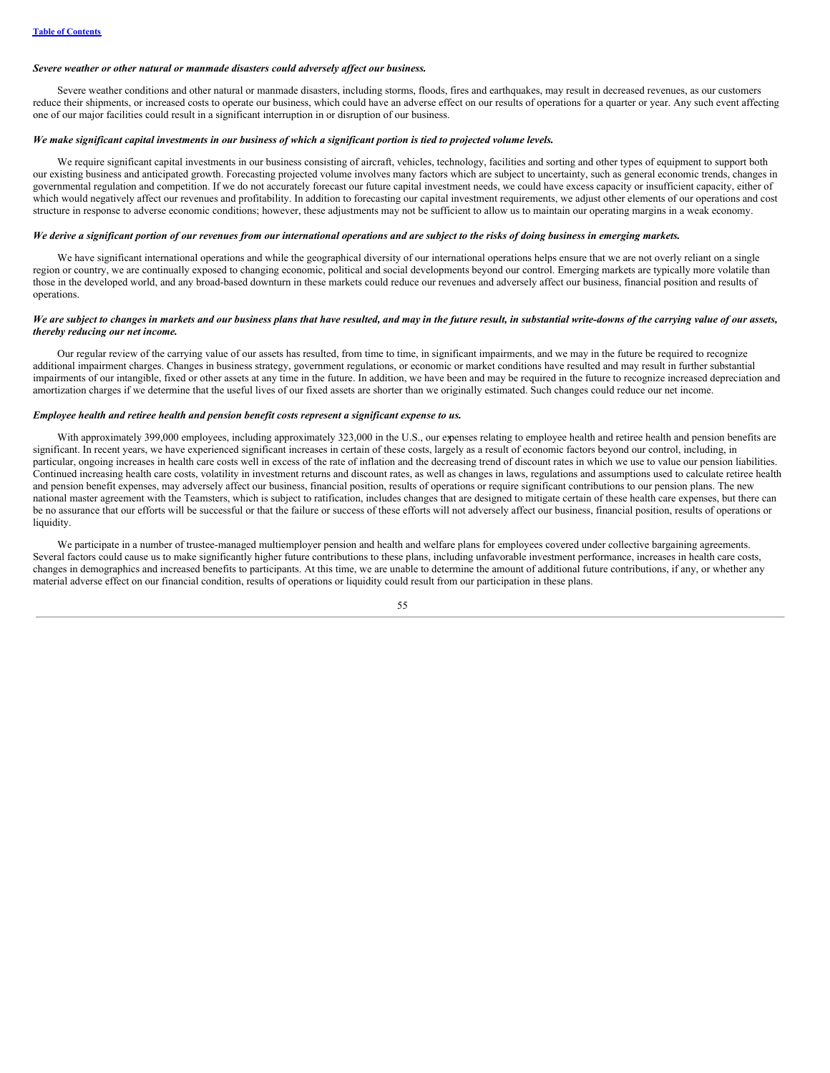### *Severe weather or other natural or manmade disasters could adversely af ect our business.*

Severe weather conditions and other natural or manmade disasters, including storms, floods, fires and earthquakes, may result in decreased revenues, as our customers reduce their shipments, or increased costs to operate our business, which could have an adverse effect on our results of operations for a quarter or year. Any such event affecting one of our major facilities could result in a significant interruption in or disruption of our business.

### We make significant capital investments in our business of which a significant portion is tied to projected volume levels.

We require significant capital investments in our business consisting of aircraft, vehicles, technology, facilities and sorting and other types of equipment to support both our existing business and anticipated growth. Forecasting projected volume involves many factors which are subject to uncertainty, such as general economic trends, changes in governmental regulation and competition. If we do not accurately forecast our future capital investment needs, we could have excess capacity or insufficient capacity, either of which would negatively affect our revenues and profitability. In addition to forecasting our capital investment requirements, we adjust other elements of our operations and cost structure in response to adverse economic conditions; however, these adjustments may not be sufficient to allow us to maintain our operating margins in a weak economy.

### We derive a significant portion of our revenues from our international operations and are subject to the risks of doing business in emerging markets.

We have significant international operations and while the geographical diversity of our international operations helps ensure that we are not overly reliant on a single region or country, we are continually exposed to changing economic, political and social developments beyond our control. Emerging markets are typically more volatile than those in the developed world, and any broad-based downturn in these markets could reduce our revenues and adversely affect our business, financial position and results of operations.

### We are subject to changes in markets and our business plans that have resulted, and may in the future result, in substantial write-downs of the carrying value of our assets, *thereby reducing our net income.*

Our regular review of the carrying value of our assets has resulted, from time to time, in significant impairments, and we may in the future be required to recognize additional impairment charges. Changes in business strategy, government regulations, or economic or market conditions have resulted and may result in further substantial impairments of our intangible, fixed or other assets at any time in the future. In addition, we have been and may be required in the future to recognize increased depreciation and amortization charges if we determine that the useful lives of our fixed assets are shorter than we originally estimated. Such changes could reduce our net income.

### *Employee health and retiree health and pension benefit costs represent a significant expense to us.*

With approximately 399,000 employees, including approximately 323,000 in the U.S., our expenses relating to employee health and retiree health and pension benefits are significant. In recent years, we have experienced significant increases in certain of these costs, largely as a result of economic factors beyond our control, including, in particular, ongoing increases in health care costs well in excess of the rate of inflation and the decreasing trend of discount rates in which we use to value our pension liabilities. Continued increasing health care costs, volatility in investment returns and discount rates, as well as changes in laws, regulations and assumptions used to calculate retiree health and pension benefit expenses, may adversely affect our business, financial position, results of operations or require significant contributions to our pension plans. The new national master agreement with the Teamsters, which is subject to ratification, includes changes that are designed to mitigate certain of these health care expenses, but there can be no assurance that our efforts will be successful or that the failure or success of these efforts will not adversely affect our business, financial position, results of operations or liquidity.

We participate in a number of trustee-managed multiemployer pension and health and welfare plans for employees covered under collective bargaining agreements. Several factors could cause us to make significantly higher future contributions to these plans, including unfavorable investment performance, increases in health care costs, changes in demographics and increased benefits to participants. At this time, we are unable to determine the amount of additional future contributions, if any, or whether any material adverse effect on our financial condition, results of operations or liquidity could result from our participation in these plans.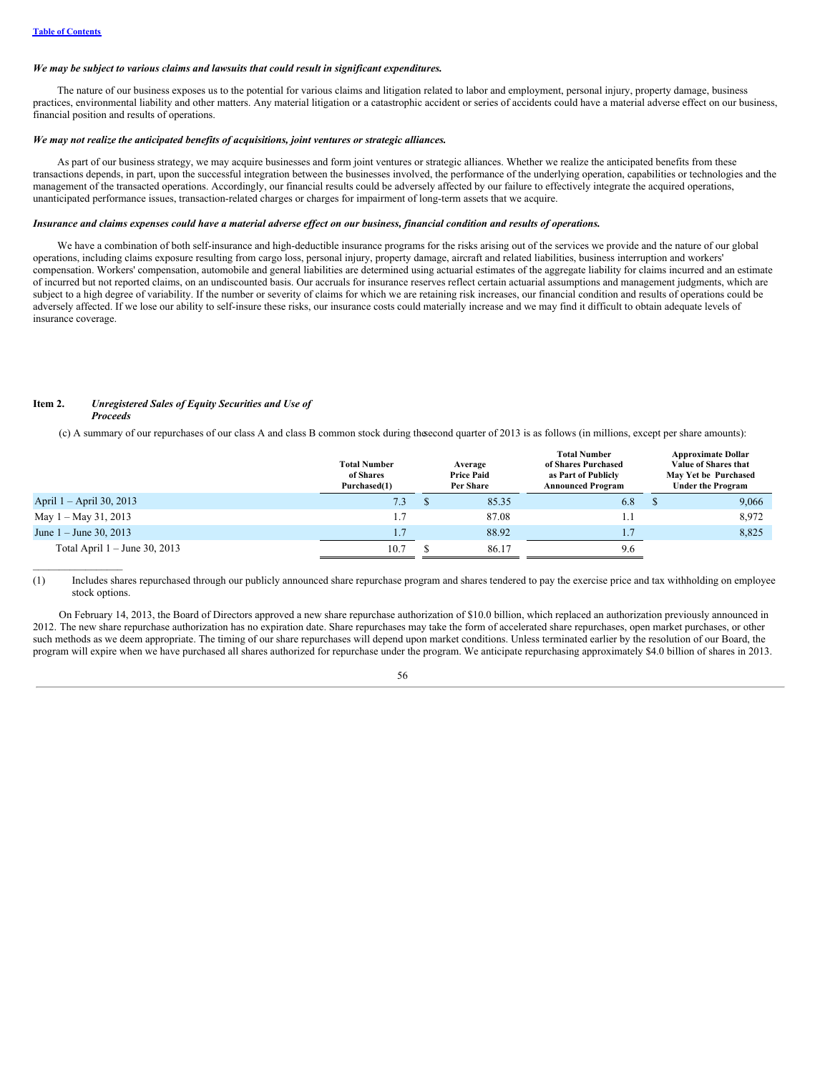$\mathcal{L}=\mathcal{L}^{\mathcal{L}}$  , where  $\mathcal{L}^{\mathcal{L}}$ 

### *We may be subject to various claims and lawsuits that could result in significant expenditures.*

The nature of our business exposes us to the potential for various claims and litigation related to labor and employment, personal injury, property damage, business practices, environmental liability and other matters. Any material litigation or a catastrophic accident or series of accidents could have a material adverse effect on our business, financial position and results of operations.

### *We may not realize the anticipated benefits of acquisitions, joint ventures or strategic alliances.*

As part of our business strategy, we may acquire businesses and form joint ventures or strategic alliances. Whether we realize the anticipated benefits from these transactions depends, in part, upon the successful integration between the businesses involved, the performance of the underlying operation, capabilities or technologies and the management of the transacted operations. Accordingly, our financial results could be adversely affected by our failure to effectively integrate the acquired operations, unanticipated performance issues, transaction-related charges or charges for impairment of long-term assets that we acquire.

### Insurance and claims expenses could have a material adverse effect on our business, financial condition and results of operations.

We have a combination of both self-insurance and high-deductible insurance programs for the risks arising out of the services we provide and the nature of our global operations, including claims exposure resulting from cargo loss, personal injury, property damage, aircraft and related liabilities, business interruption and workers' compensation. Workers' compensation, automobile and general liabilities are determined using actuarial estimates of the aggregate liability for claims incurred and an estimate of incurred but not reported claims, on an undiscounted basis. Our accruals for insurance reserves reflect certain actuarial assumptions and management judgments, which are subject to a high degree of variability. If the number or severity of claims for which we are retaining risk increases, our financial condition and results of operations could be adversely affected. If we lose our ability to self-insure these risks, our insurance costs could materially increase and we may find it difficult to obtain adequate levels of insurance coverage.

### <span id="page-57-0"></span>**Item 2.** *Unregistered Sales of Equity Securities and Use of Proceeds*

(c) A summary of our repurchases of our class A and class B common stock during thesecond quarter of 2013 is as follows (in millions, except per share amounts):

|                                 | <b>Total Number</b><br>of Shares<br>Purchased(1) | Average<br><b>Price Paid</b><br>Per Share | <b>Total Number</b><br>of Shares Purchased<br>as Part of Publicly<br><b>Announced Program</b> | <b>Approximate Dollar</b><br>Value of Shares that<br>May Yet be Purchased<br><b>Under the Program</b> |       |  |
|---------------------------------|--------------------------------------------------|-------------------------------------------|-----------------------------------------------------------------------------------------------|-------------------------------------------------------------------------------------------------------|-------|--|
| April $1 -$ April 30, 2013      | 7.3                                              | 85.35                                     | 6.8                                                                                           |                                                                                                       | 9,066 |  |
| May $1 -$ May 31, 2013          |                                                  | 87.08                                     | 1.1                                                                                           |                                                                                                       | 8.972 |  |
| June $1 -$ June 30, 2013        | 1.7                                              | 88.92                                     | 1.7                                                                                           |                                                                                                       | 8,825 |  |
| Total April $1 -$ June 30, 2013 | 10.7                                             | 86.17                                     | 9.6                                                                                           |                                                                                                       |       |  |

(1) Includes shares repurchased through our publicly announced share repurchase program and shares tendered to pay the exercise price and tax withholding on employee stock options.

On February 14, 2013, the Board of Directors approved a new share repurchase authorization of \$10.0 billion, which replaced an authorization previously announced in 2012. The new share repurchase authorization has no expiration date. Share repurchases may take the form of accelerated share repurchases, open market purchases, or other such methods as we deem appropriate. The timing of our share repurchases will depend upon market conditions. Unless terminated earlier by the resolution of our Board, the program will expire when we have purchased all shares authorized for repurchase under the program. We anticipate repurchasing approximately \$4.0 billion of shares in 2013.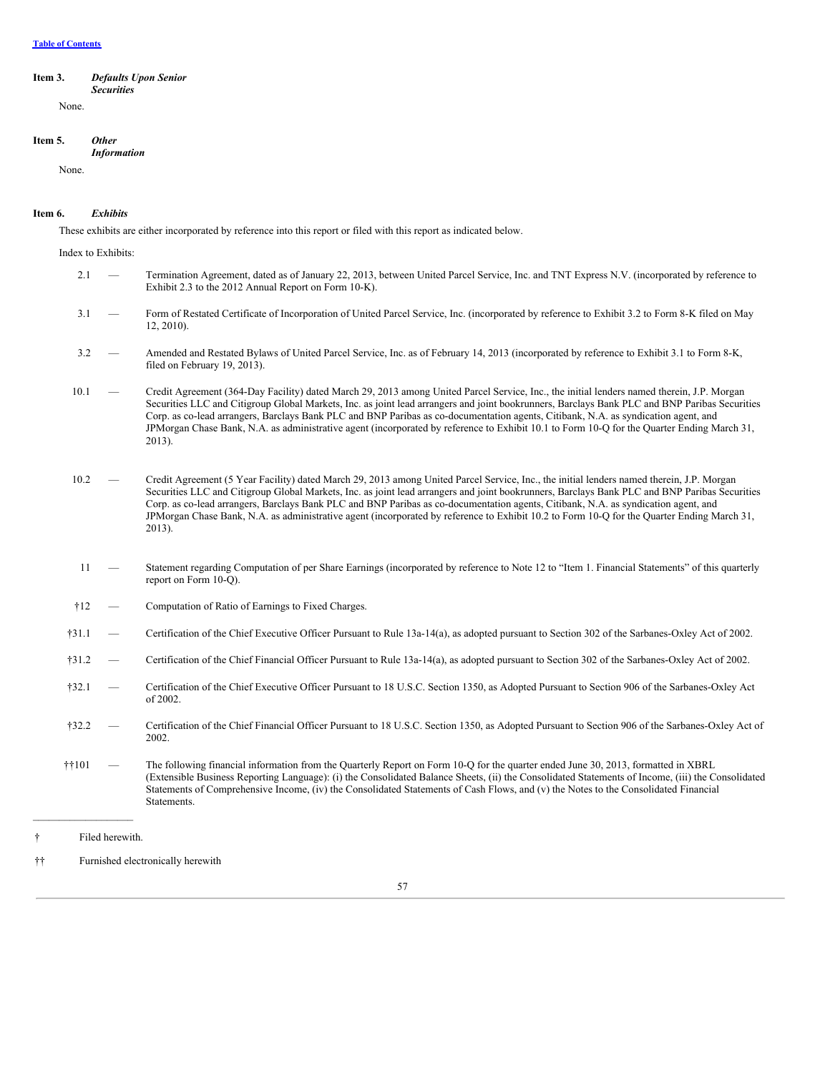# <span id="page-58-0"></span>**Item 3.** *Defaults Upon Senior*

*Securities*

None.

## <span id="page-58-1"></span>**Item 5.** *Other*

*Information*

<span id="page-58-2"></span>None.

## **Item 6.** *Exhibits*

These exhibits are either incorporated by reference into this report or filed with this report as indicated below.

Index to Exhibits:

- 2.1 Termination Agreement, dated as of January 22, 2013, between United Parcel Service, Inc. and TNT Express N.V. (incorporated by reference to Exhibit 2.3 to the 2012 Annual Report on Form 10-K).
- 3.1 Form of Restated Certificate of Incorporation of United Parcel Service, Inc. (incorporated by reference to Exhibit 3.2 to Form 8-K filed on May 12, 2010).
- 3.2 Amended and Restated Bylaws of United Parcel Service, Inc. as of February 14, 2013 (incorporated by reference to Exhibit 3.1 to Form 8-K, filed on February 19, 2013).
- 10.1 Credit Agreement (364-Day Facility) dated March 29, 2013 among United Parcel Service, Inc., the initial lenders named therein, J.P. Morgan Securities LLC and Citigroup Global Markets, Inc. as joint lead arrangers and joint bookrunners, Barclays Bank PLC and BNP Paribas Securities Corp. as co-lead arrangers, Barclays Bank PLC and BNP Paribas as co-documentation agents, Citibank, N.A. as syndication agent, and JPMorgan Chase Bank, N.A. as administrative agent (incorporated by reference to Exhibit 10.1 to Form 10-Q for the Quarter Ending March 31, 2013).
- 10.2 Credit Agreement (5 Year Facility) dated March 29, 2013 among United Parcel Service, Inc., the initial lenders named therein, J.P. Morgan Securities LLC and Citigroup Global Markets, Inc. as joint lead arrangers and joint bookrunners, Barclays Bank PLC and BNP Paribas Securities Corp. as co-lead arrangers, Barclays Bank PLC and BNP Paribas as co-documentation agents, Citibank, N.A. as syndication agent, and JPMorgan Chase Bank, N.A. as administrative agent (incorporated by reference to Exhibit 10.2 to Form 10-Q for the Quarter Ending March 31, 2013).
- 11 Statement regarding Computation of per Share Earnings (incorporated by reference to Note 12 to "Item 1. Financial Statements" of this quarterly report on Form 10-Q).
- †12 Computation of Ratio of Earnings to Fixed Charges.
- †31.1 Certification of the Chief Executive Officer Pursuant to Rule 13a-14(a), as adopted pursuant to Section 302 of the Sarbanes-Oxley Act of 2002.
- †31.2 Certification of the Chief Financial Officer Pursuant to Rule 13a-14(a), as adopted pursuant to Section 302 of the Sarbanes-Oxley Act of 2002.
- †32.1 Certification of the Chief Executive Officer Pursuant to 18 U.S.C. Section 1350, as Adopted Pursuant to Section 906 of the Sarbanes-Oxley Act of 2002.
- †32.2 Certification of the Chief Financial Officer Pursuant to 18 U.S.C. Section 1350, as Adopted Pursuant to Section 906 of the Sarbanes-Oxley Act of 2002.
- ††101 The following financial information from the Quarterly Report on Form 10-Q for the quarter ended June 30, 2013, formatted in XBRL (Extensible Business Reporting Language): (i) the Consolidated Balance Sheets, (ii) the Consolidated Statements of Income, (iii) the Consolidated Statements of Comprehensive Income, (iv) the Consolidated Statements of Cash Flows, and (v) the Notes to the Consolidated Financial Statements.

 $\mathcal{L}=\mathcal{L}^{\mathcal{L}}$  , where  $\mathcal{L}^{\mathcal{L}}$  , we have the set of the set of the set of the set of the set of the set of the set of the set of the set of the set of the set of the set of the set of the set of the set of † Filed herewith.

†† Furnished electronically herewith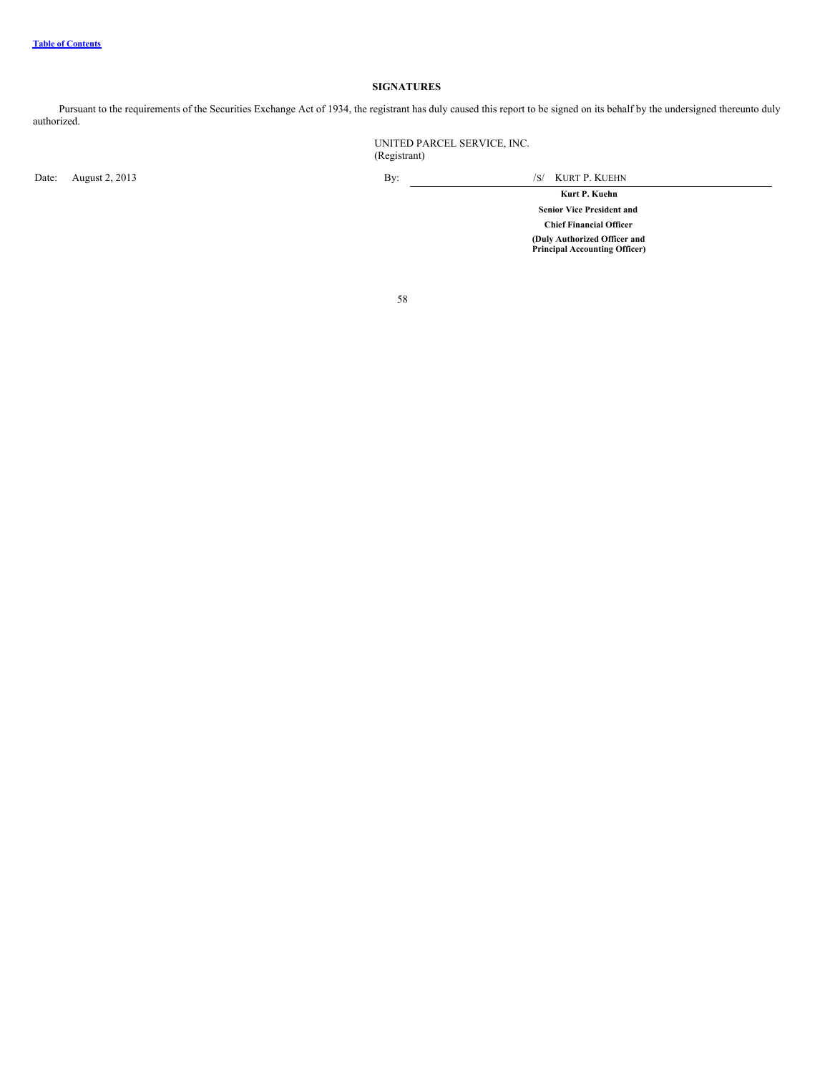## **SIGNATURES**

Pursuant to the requirements of the Securities Exchange Act of 1934, the registrant has duly caused this report to be signed on its behalf by the undersigned thereunto duly authorized.

> UNITED PARCEL SERVICE, INC. (Registrant)

Date: August 2, 2013 By: /S/ KURT P. KUEHN

**Kurt P. Kuehn Senior Vice President and Chief Financial Officer (Duly Authorized Officer and Principal Accounting Officer)**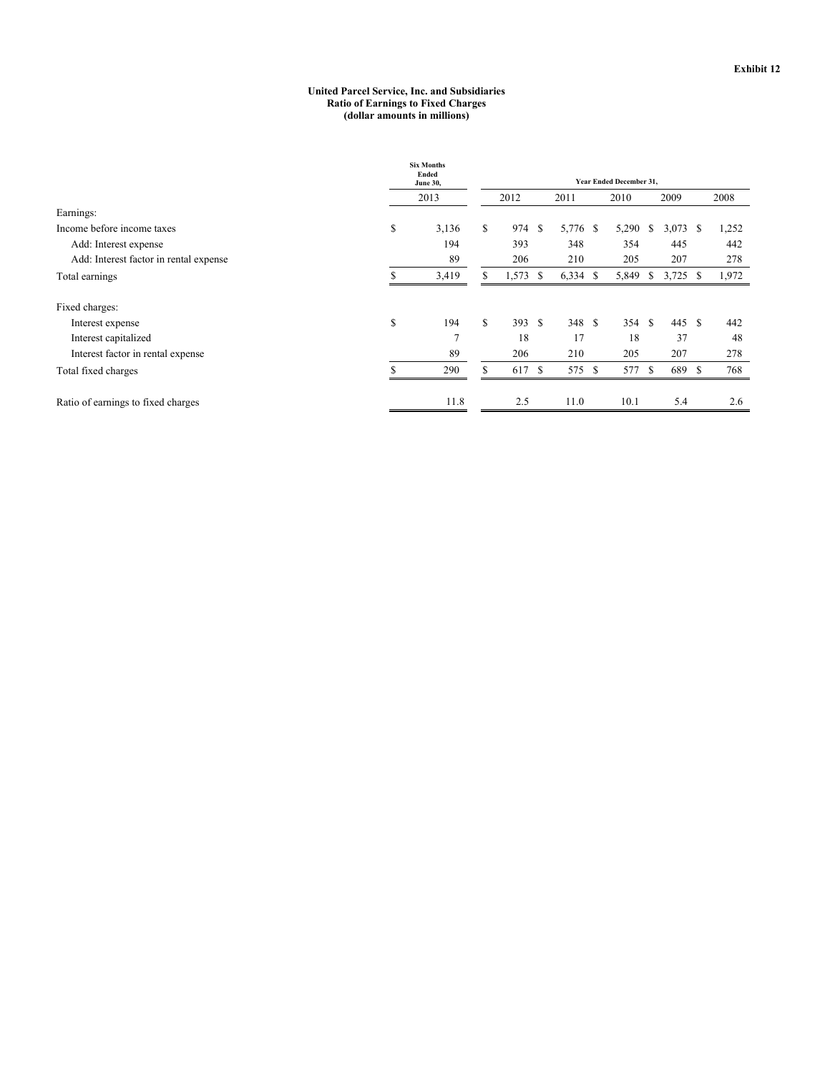### **United Parcel Service, Inc. and Subsidiaries Ratio of Earnings to Fixed Charges (dollar amounts in millions)**

|                                        | <b>Six Months</b><br>Ended<br><b>June 30.</b> |                |      | Year Ended December 31, |               |            |      |        |      |            |    |       |
|----------------------------------------|-----------------------------------------------|----------------|------|-------------------------|---------------|------------|------|--------|------|------------|----|-------|
|                                        | 2013                                          |                | 2012 |                         | 2011          |            | 2010 |        | 2009 |            |    | 2008  |
| Earnings:                              |                                               |                |      |                         |               |            |      |        |      |            |    |       |
| Income before income taxes             | \$                                            | 3,136          | \$   | 974                     | <sup>\$</sup> | 5,776      | S.   | 5,290  | S    | 3,073      | -S | 1,252 |
| Add: Interest expense                  |                                               | 194            |      | 393                     |               | 348        |      | 354    |      | 445        |    | 442   |
| Add: Interest factor in rental expense |                                               | 89             |      | 206                     |               | 210        |      | 205    |      | 207        |    | 278   |
| Total earnings                         |                                               | 3,419          | S    | $1,573$ \$              |               | $6,334$ \$ |      | 5,849  | -S   | $3,725$ \$ |    | 1,972 |
| Fixed charges:                         |                                               |                |      |                         |               |            |      |        |      |            |    |       |
| Interest expense                       | \$                                            | 194            | \$   | 393                     | <sup>\$</sup> | 348 S      |      | 354 \$ |      | 445        | -S | 442   |
| Interest capitalized                   |                                               | $\overline{7}$ |      | 18                      |               | 17         |      | 18     |      | 37         |    | 48    |
| Interest factor in rental expense      |                                               | 89             |      | 206                     |               | 210        |      | 205    |      | 207        |    | 278   |
| Total fixed charges                    | S                                             | 290            | \$   | 617                     | -S            | 575        | \$.  | 577    | \$.  | 689 \$     |    | 768   |
| Ratio of earnings to fixed charges     |                                               | 11.8           |      | 2.5                     |               | 11.0       |      | 10.1   |      | 5.4        |    | 2.6   |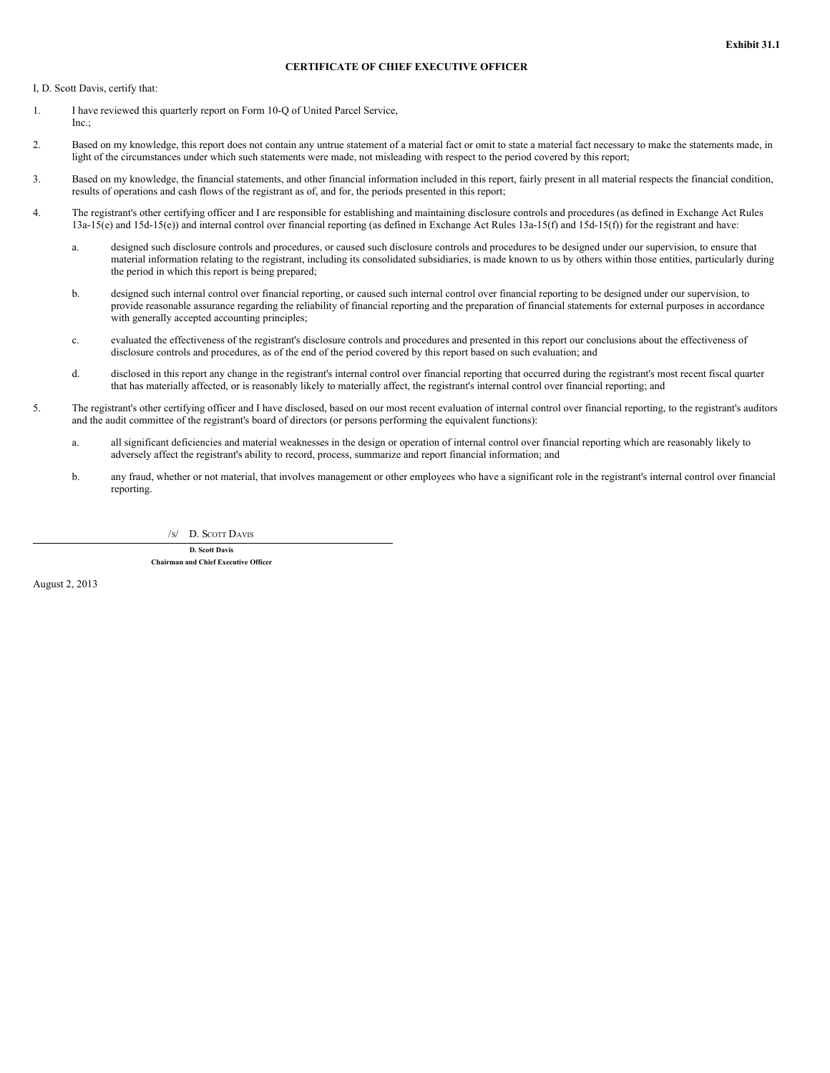# **CERTIFICATE OF CHIEF EXECUTIVE OFFICER**

### I, D. Scott Davis, certify that:

- 1. I have reviewed this quarterly report on Form 10-Q of United Parcel Service, Inc.;
- 2. Based on my knowledge, this report does not contain any untrue statement of a material fact or omit to state a material fact necessary to make the statements made, in light of the circumstances under which such statements were made, not misleading with respect to the period covered by this report;
- 3. Based on my knowledge, the financial statements, and other financial information included in this report, fairly present in all material respects the financial condition, results of operations and cash flows of the registrant as of, and for, the periods presented in this report;
- 4. The registrant's other certifying officer and I are responsible for establishing and maintaining disclosure controls and procedures (as defined in Exchange Act Rules 13a-15(e) and 15d-15(e)) and internal control over financial reporting (as defined in Exchange Act Rules 13a-15(f) and 15d-15(f)) for the registrant and have:
	- a. designed such disclosure controls and procedures, or caused such disclosure controls and procedures to be designed under our supervision, to ensure that material information relating to the registrant, including its consolidated subsidiaries, is made known to us by others within those entities, particularly during the period in which this report is being prepared;
	- b. designed such internal control over financial reporting, or caused such internal control over financial reporting to be designed under our supervision, to provide reasonable assurance regarding the reliability of financial reporting and the preparation of financial statements for external purposes in accordance with generally accepted accounting principles;
	- c. evaluated the effectiveness of the registrant's disclosure controls and procedures and presented in this report our conclusions about the effectiveness of disclosure controls and procedures, as of the end of the period covered by this report based on such evaluation; and
	- d. disclosed in this report any change in the registrant's internal control over financial reporting that occurred during the registrant's most recent fiscal quarter that has materially affected, or is reasonably likely to materially affect, the registrant's internal control over financial reporting; and
- 5. The registrant's other certifying officer and I have disclosed, based on our most recent evaluation of internal control over financial reporting, to the registrant's auditors and the audit committee of the registrant's board of directors (or persons performing the equivalent functions):
	- a. all significant deficiencies and material weaknesses in the design or operation of internal control over financial reporting which are reasonably likely to adversely affect the registrant's ability to record, process, summarize and report financial information; and
	- b. any fraud, whether or not material, that involves management or other employees who have a significant role in the registrant's internal control over financial reporting.

/S/ D. SCOTT DAVIS

**D. Scott Davis Chairman and Chief Executive Officer**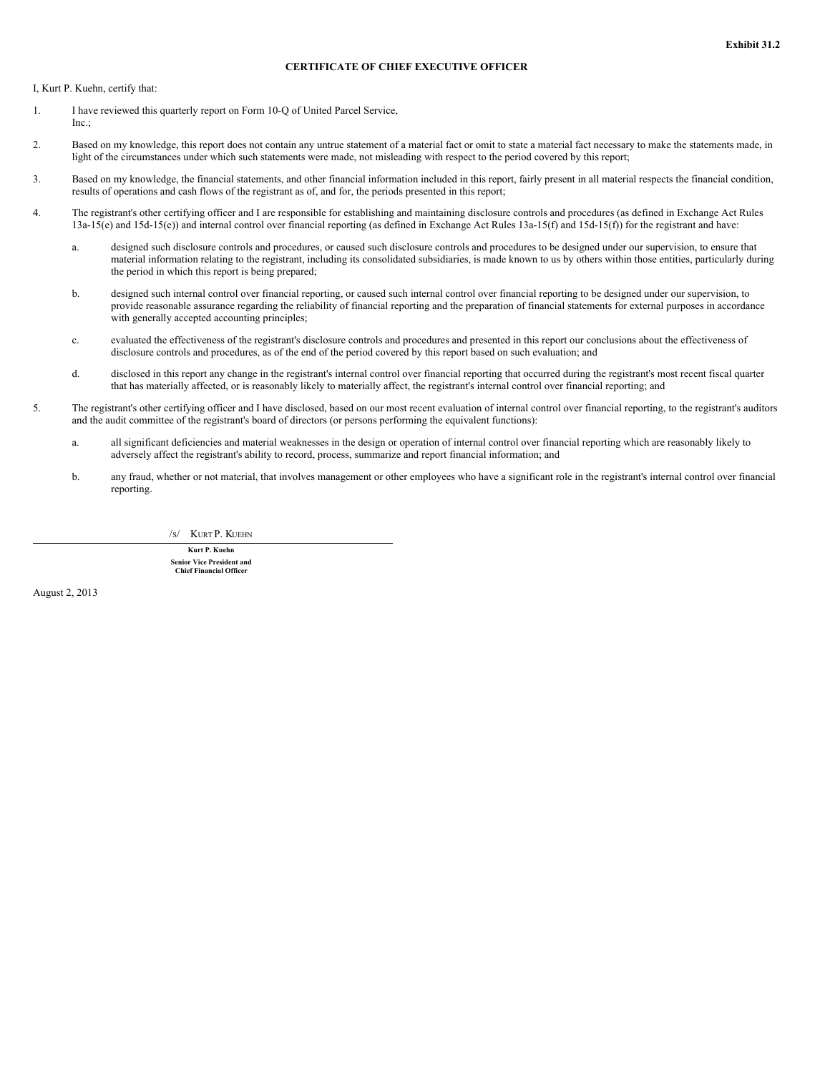# **CERTIFICATE OF CHIEF EXECUTIVE OFFICER**

### I, Kurt P. Kuehn, certify that:

- 1. I have reviewed this quarterly report on Form 10-Q of United Parcel Service, Inc.;
- 2. Based on my knowledge, this report does not contain any untrue statement of a material fact or omit to state a material fact necessary to make the statements made, in light of the circumstances under which such statements were made, not misleading with respect to the period covered by this report;
- 3. Based on my knowledge, the financial statements, and other financial information included in this report, fairly present in all material respects the financial condition, results of operations and cash flows of the registrant as of, and for, the periods presented in this report;
- 4. The registrant's other certifying officer and I are responsible for establishing and maintaining disclosure controls and procedures (as defined in Exchange Act Rules 13a-15(e) and 15d-15(e)) and internal control over financial reporting (as defined in Exchange Act Rules 13a-15(f) and 15d-15(f)) for the registrant and have:
	- a. designed such disclosure controls and procedures, or caused such disclosure controls and procedures to be designed under our supervision, to ensure that material information relating to the registrant, including its consolidated subsidiaries, is made known to us by others within those entities, particularly during the period in which this report is being prepared;
	- b. designed such internal control over financial reporting, or caused such internal control over financial reporting to be designed under our supervision, to provide reasonable assurance regarding the reliability of financial reporting and the preparation of financial statements for external purposes in accordance with generally accepted accounting principles;
	- c. evaluated the effectiveness of the registrant's disclosure controls and procedures and presented in this report our conclusions about the effectiveness of disclosure controls and procedures, as of the end of the period covered by this report based on such evaluation; and
	- d. disclosed in this report any change in the registrant's internal control over financial reporting that occurred during the registrant's most recent fiscal quarter that has materially affected, or is reasonably likely to materially affect, the registrant's internal control over financial reporting; and
- 5. The registrant's other certifying officer and I have disclosed, based on our most recent evaluation of internal control over financial reporting, to the registrant's auditors and the audit committee of the registrant's board of directors (or persons performing the equivalent functions):
	- a. all significant deficiencies and material weaknesses in the design or operation of internal control over financial reporting which are reasonably likely to adversely affect the registrant's ability to record, process, summarize and report financial information; and
	- b. any fraud, whether or not material, that involves management or other employees who have a significant role in the registrant's internal control over financial reporting.

/S/ KURT P. KUEHN

**Kurt P. Kuehn Senior Vice President and Chief Financial Officer**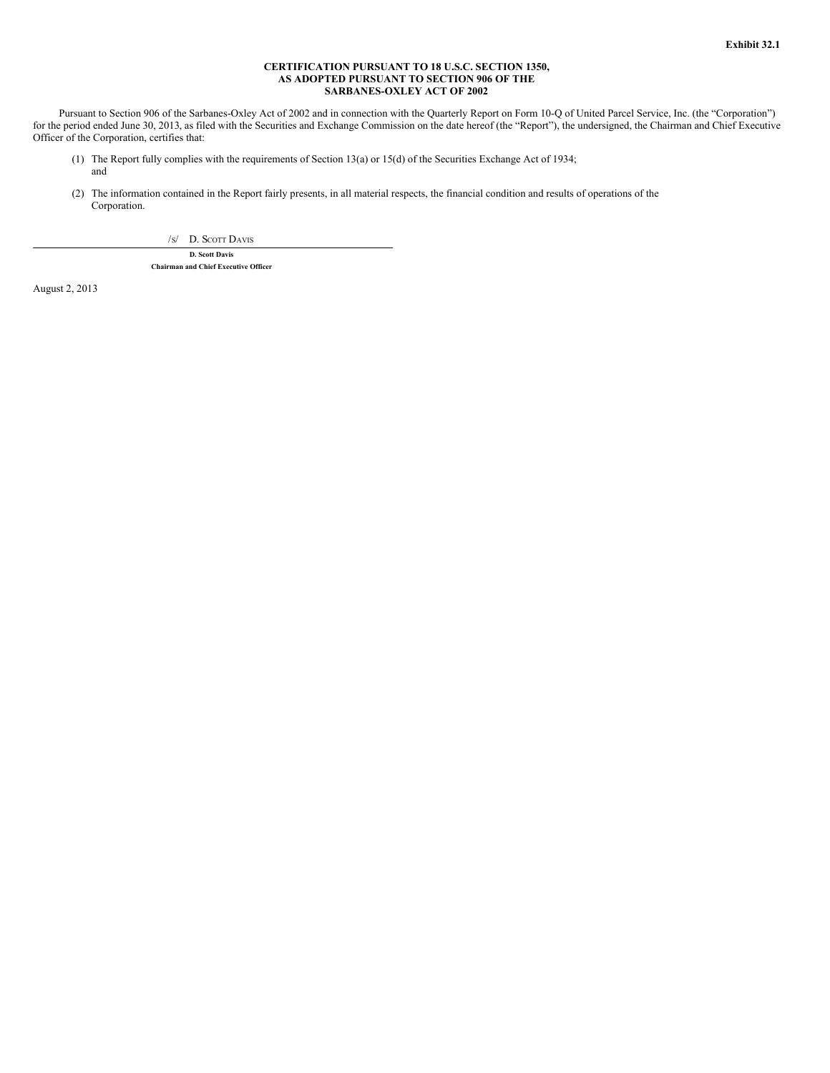### **CERTIFICATION PURSUANT TO 18 U.S.C. SECTION 1350, AS ADOPTED PURSUANT TO SECTION 906 OF THE SARBANES-OXLEY ACT OF 2002**

Pursuant to Section 906 of the Sarbanes-Oxley Act of 2002 and in connection with the Quarterly Report on Form 10-Q of United Parcel Service, Inc. (the "Corporation") for the period ended June 30, 2013, as filed with the Securities and Exchange Commission on the date hereof (the "Report"), the undersigned, the Chairman and Chief Executive Officer of the Corporation, certifies that:

- (1) The Report fully complies with the requirements of Section 13(a) or 15(d) of the Securities Exchange Act of 1934; and
- (2) The information contained in the Report fairly presents, in all material respects, the financial condition and results of operations of the Corporation.

/S/ D. SCOTT DAVIS

**D. Scott Davis Chairman and Chief Executive Officer**